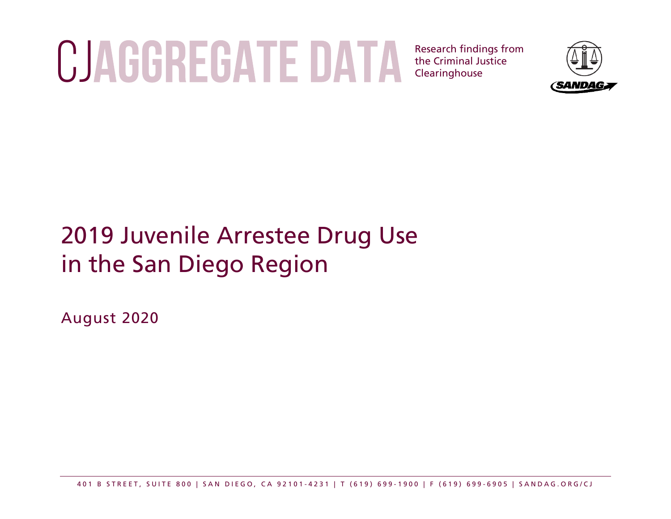# CJACGREGATE DATA Research findings from

the Criminal Justice Clearinghouse



# 2019 Juvenile Arrestee Drug Use in the San Diego Region

August 2020

401 B STREET, SUITE 800 | SAN DIEGO, CA 92101 - 4231 | T (619) 699 - 1900 | F (619) 699 - 6905 | SANDAG.ORG/CJ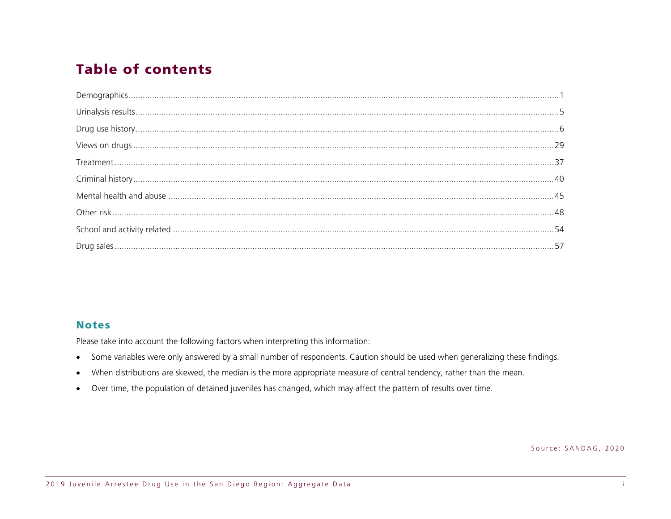# **Table of contents**

#### **Notes**

Please take into account the following factors when interpreting this information:

- Some variables were only answered by a small number of respondents. Caution should be used when generalizing these findings.  $\bullet$
- When distributions are skewed, the median is the more appropriate measure of central tendency, rather than the mean.  $\bullet$
- Over time, the population of detained juveniles has changed, which may affect the pattern of results over time.  $\bullet$

Source: SANDAG, 2020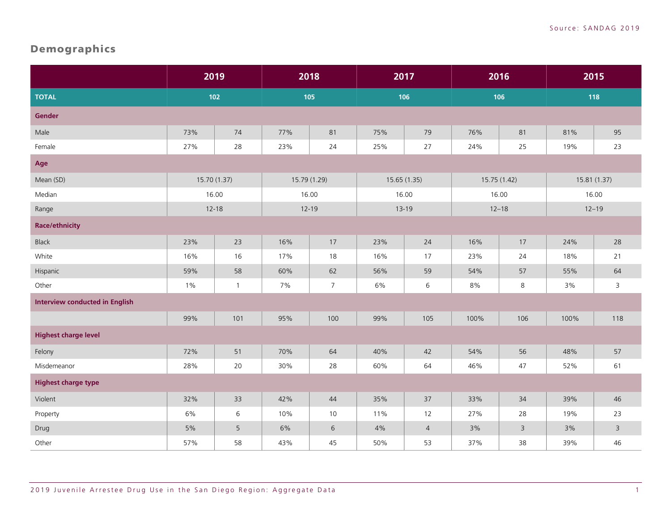# <span id="page-2-0"></span>Demographics

|                                       | 2019         |              | 2018         |                | 2017         |                | 2016         |           | 2015 |                |
|---------------------------------------|--------------|--------------|--------------|----------------|--------------|----------------|--------------|-----------|------|----------------|
| <b>TOTAL</b>                          |              | $102$        | 105          |                | 106          |                | 106          |           | 118  |                |
| <b>Gender</b>                         |              |              |              |                |              |                |              |           |      |                |
| Male                                  | 73%          | 74           | 77%          | 81             | 75%          | 79             | 76%          | 81        | 81%  | 95             |
| Female                                | 27%          | 28           | 23%          | 24             | 25%          | $27$           | 24%          | 25        | 19%  | 23             |
| Age                                   |              |              |              |                |              |                |              |           |      |                |
| Mean (SD)                             | 15.70 (1.37) |              | 15.79 (1.29) |                | 15.65 (1.35) |                | 15.75 (1.42) |           |      | 15.81 (1.37)   |
| Median                                |              | 16.00        | 16.00        |                | 16.00        |                | 16.00        |           |      | 16.00          |
| Range                                 |              | $12 - 18$    | $12 - 19$    |                |              | $13 - 19$      |              | $12 - 18$ |      | $12 - 19$      |
| <b>Race/ethnicity</b>                 |              |              |              |                |              |                |              |           |      |                |
| <b>Black</b>                          | 23%          | 23           | 16%          | 17             | 23%          | 24             | 16%          | 17        | 24%  | 28             |
| White                                 | 16%          | 16           | 17%          | 18             | 16%          | 17             | 23%          | 24        | 18%  | 21             |
| Hispanic                              | 59%          | 58           | 60%          | 62             | 56%          | 59             | 54%          | 57        | 55%  | 64             |
| Other                                 | 1%           | $\mathbf{1}$ | 7%           | $\overline{7}$ | 6%           | 6              | 8%           | $\,8\,$   | 3%   | $\mathsf{3}$   |
| <b>Interview conducted in English</b> |              |              |              |                |              |                |              |           |      |                |
|                                       | 99%          | 101          | 95%          | 100            | 99%          | 105            | 100%         | 106       | 100% | 118            |
| <b>Highest charge level</b>           |              |              |              |                |              |                |              |           |      |                |
| Felony                                | 72%          | 51           | 70%          | 64             | 40%          | 42             | 54%          | 56        | 48%  | 57             |
| Misdemeanor                           | 28%          | $20\,$       | 30%          | 28             | 60%          | 64             | 46%          | 47        | 52%  | 61             |
| <b>Highest charge type</b>            |              |              |              |                |              |                |              |           |      |                |
| Violent                               | 32%          | 33           | 42%          | 44             | 35%          | 37             | 33%          | 34        | 39%  | 46             |
| Property                              | 6%           | 6            | 10%          | 10             | 11%          | 12             | 27%          | 28        | 19%  | 23             |
| Drug                                  | 5%           | 5            | 6%           | 6              | $4\%$        | $\overline{4}$ | 3%           | 3         | 3%   | $\overline{3}$ |
| Other                                 | 57%          | 58           | 43%          | 45             | 50%          | 53             | 37%          | 38        | 39%  | 46             |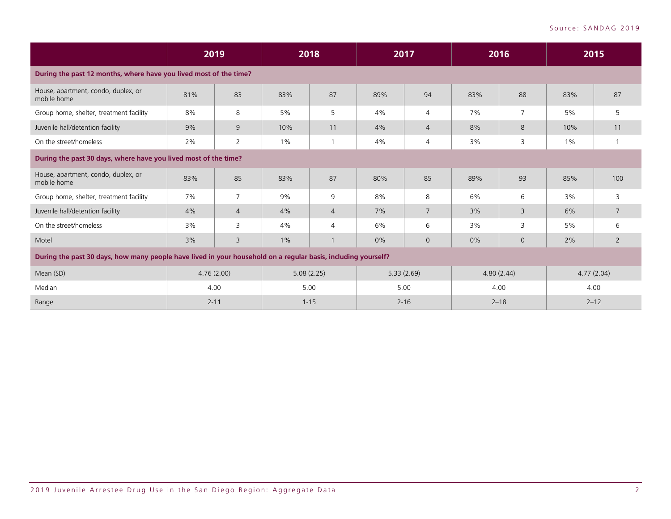|                                                                                                               |            | 2019           | 2018     |                | 2017  |                | 2016 |                | 2015     |            |
|---------------------------------------------------------------------------------------------------------------|------------|----------------|----------|----------------|-------|----------------|------|----------------|----------|------------|
| During the past 12 months, where have you lived most of the time?                                             |            |                |          |                |       |                |      |                |          |            |
| House, apartment, condo, duplex, or<br>mobile home                                                            | 81%        | 83             | 83%      | 87             | 89%   | 94             | 83%  | 88             | 83%      | 87         |
| Group home, shelter, treatment facility                                                                       | 8%         | 8              | 5%       | 5              | 4%    | $\overline{4}$ | 7%   | $\overline{7}$ | 5%       | 5          |
| Juvenile hall/detention facility                                                                              | 9%         | 9              | 10%      | 11             | 4%    | $\overline{4}$ | 8%   | 8              | 10%      | 11         |
| On the street/homeless                                                                                        | 2%         | 2              | $1\%$    |                | 4%    | 4              | 3%   | 3              | $1\%$    |            |
| During the past 30 days, where have you lived most of the time?                                               |            |                |          |                |       |                |      |                |          |            |
| House, apartment, condo, duplex, or<br>mobile home                                                            | 83%        | 85             | 83%      | 87             | 80%   | 85             | 89%  | 93             | 85%      | 100        |
| Group home, shelter, treatment facility                                                                       | 7%         | $\overline{7}$ | 9%       | 9              | 8%    | 8              | 6%   | 6              | 3%       | 3          |
| Juvenile hall/detention facility                                                                              | 4%         | $\overline{4}$ | 4%       | $\overline{4}$ | 7%    | 7              | 3%   | 3              | 6%       | 7          |
| On the street/homeless                                                                                        | 3%         | 3              | 4%       | 4              | 6%    | 6              | 3%   | 3              | 5%       | 6          |
| Motel                                                                                                         | 3%         | 3              | $1\%$    |                | $0\%$ | $\overline{0}$ | 0%   | $\mathbf 0$    | 2%       | 2          |
| During the past 30 days, how many people have lived in your household on a regular basis, including yourself? |            |                |          |                |       |                |      |                |          |            |
| Mean (SD)                                                                                                     | 4.76(2.00) |                |          | 5.08(2.25)     |       | 5.33(2.69)     |      | 4.80(2.44)     |          | 4.77(2.04) |
| Median                                                                                                        | 4.00       |                | 5.00     |                |       | 5.00           | 4.00 |                | 4.00     |            |
| Range                                                                                                         | $2 - 11$   |                | $1 - 15$ |                |       | $2 - 16$       |      | $2 - 18$       | $2 - 12$ |            |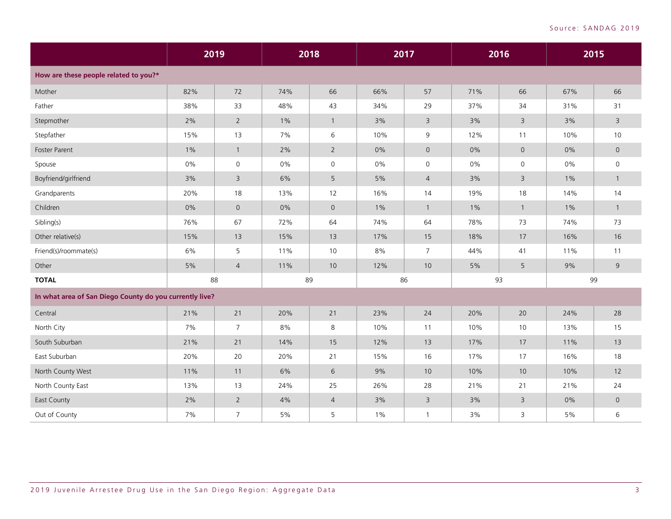|                                                         | 2019  |                     |       | 2018           | 2017  |                | 2016 |              |       | 2015                |
|---------------------------------------------------------|-------|---------------------|-------|----------------|-------|----------------|------|--------------|-------|---------------------|
| How are these people related to you?*                   |       |                     |       |                |       |                |      |              |       |                     |
| Mother                                                  | 82%   | 72                  | 74%   | 66             | 66%   | 57             | 71%  | 66           | 67%   | 66                  |
| Father                                                  | 38%   | 33                  | 48%   | 43             | 34%   | 29             | 37%  | 34           | 31%   | 31                  |
| Stepmother                                              | 2%    | $\overline{2}$      | $1\%$ | $\mathbf{1}$   | 3%    | 3              | 3%   | 3            | 3%    | $\overline{3}$      |
| Stepfather                                              | 15%   | 13                  | 7%    | 6              | 10%   | 9              | 12%  | 11           | 10%   | 10                  |
| Foster Parent                                           | $1\%$ | $\mathbf{1}$        | 2%    | $\overline{2}$ | 0%    | $\overline{0}$ | 0%   | $\mathbf 0$  | 0%    | $\mathsf{O}\xspace$ |
| Spouse                                                  | 0%    | $\mathsf{O}\xspace$ | 0%    | 0              | $0\%$ | $\mathsf{O}$   | 0%   | 0            | 0%    | $\mathsf{O}$        |
| Boyfriend/girlfriend                                    | 3%    | $\overline{3}$      | 6%    | 5              | 5%    | $\overline{4}$ | 3%   | 3            | $1\%$ | $\overline{1}$      |
| Grandparents                                            | 20%   | 18                  | 13%   | 12             | 16%   | 14             | 19%  | 18           | 14%   | 14                  |
| Children                                                | 0%    | $\overline{0}$      | 0%    | $\overline{0}$ | $1\%$ | $\overline{1}$ | 1%   | $\mathbf{1}$ | $1\%$ | $\mathbf{1}$        |
| Sibling(s)                                              | 76%   | 67                  | 72%   | 64             | 74%   | 64             | 78%  | 73           | 74%   | 73                  |
| Other relative(s)                                       | 15%   | 13                  | 15%   | 13             | 17%   | 15             | 18%  | 17           | 16%   | 16                  |
| Friend(s)/roommate(s)                                   | 6%    | 5                   | 11%   | 10             | 8%    | $\overline{7}$ | 44%  | 41           | 11%   | 11                  |
| Other                                                   | 5%    | $\overline{4}$      | 11%   | 10             | 12%   | 10             | 5%   | 5            | 9%    | 9                   |
| <b>TOTAL</b>                                            | 88    |                     |       | 89             |       | 86             | 93   |              | 99    |                     |
| In what area of San Diego County do you currently live? |       |                     |       |                |       |                |      |              |       |                     |
| Central                                                 | 21%   | 21                  | 20%   | 21             | 23%   | 24             | 20%  | 20           | 24%   | 28                  |
| North City                                              | 7%    | $\overline{7}$      | 8%    | 8              | 10%   | 11             | 10%  | 10           | 13%   | 15                  |
| South Suburban                                          | 21%   | 21                  | 14%   | 15             | 12%   | 13             | 17%  | 17           | 11%   | 13                  |
| East Suburban                                           | 20%   | 20                  | 20%   | 21             | 15%   | 16             | 17%  | 17           | 16%   | 18                  |
| North County West                                       | 11%   | 11                  | 6%    | 6              | 9%    | 10             | 10%  | 10           | 10%   | 12                  |
| North County East                                       | 13%   | 13                  | 24%   | 25             | 26%   | 28             | 21%  | 21           | 21%   | 24                  |
| East County                                             | 2%    | $\overline{2}$      | 4%    | $\overline{4}$ | 3%    | 3              | 3%   | 3            | 0%    | $\overline{0}$      |
| Out of County                                           | 7%    | $\overline{7}$      | $5\%$ | 5              | $1\%$ | $\mathbf{1}$   | 3%   | 3            | $5\%$ | 6                   |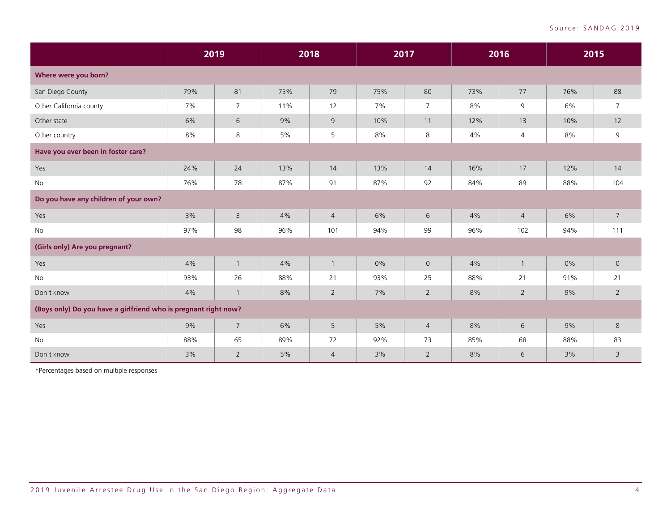|                                                                 |     | 2019           | 2018 |                | 2017 |                | 2016 |                | 2015 |                |
|-----------------------------------------------------------------|-----|----------------|------|----------------|------|----------------|------|----------------|------|----------------|
| Where were you born?                                            |     |                |      |                |      |                |      |                |      |                |
| San Diego County                                                | 79% | 81             | 75%  | 79             | 75%  | 80             | 73%  | 77             | 76%  | 88             |
| Other California county                                         | 7%  | $\overline{7}$ | 11%  | 12             | 7%   | 7              | 8%   | 9              | 6%   | $\overline{7}$ |
| Other state                                                     | 6%  | 6              | 9%   | 9              | 10%  | 11             | 12%  | 13             | 10%  | 12             |
| Other country                                                   | 8%  | 8              | 5%   | 5              | 8%   | 8              | 4%   | $\overline{4}$ | 8%   | 9              |
| Have you ever been in foster care?                              |     |                |      |                |      |                |      |                |      |                |
| Yes                                                             | 24% | 24             | 13%  | 14             | 13%  | 14             | 16%  | 17             | 12%  | 14             |
| No                                                              | 76% | 78             | 87%  | 91             | 87%  | 92             | 84%  | 89             | 88%  | 104            |
| Do you have any children of your own?                           |     |                |      |                |      |                |      |                |      |                |
| Yes                                                             | 3%  | $\mathsf 3$    | 4%   | $\overline{4}$ | 6%   | 6              | 4%   | $\overline{4}$ | 6%   | $\overline{7}$ |
| No                                                              | 97% | 98             | 96%  | 101            | 94%  | 99             | 96%  | 102            | 94%  | 111            |
| (Girls only) Are you pregnant?                                  |     |                |      |                |      |                |      |                |      |                |
| Yes                                                             | 4%  | $\overline{1}$ | 4%   | $\mathbf{1}$   | 0%   | $\mathsf{O}$   | 4%   | $\overline{1}$ | 0%   | $\mathbf 0$    |
| No                                                              | 93% | 26             | 88%  | 21             | 93%  | 25             | 88%  | 21             | 91%  | 21             |
| Don't know                                                      | 4%  | $\mathbf{1}$   | 8%   | $\overline{2}$ | 7%   | $\overline{2}$ | 8%   | $\overline{2}$ | 9%   | $\overline{2}$ |
| (Boys only) Do you have a girlfriend who is pregnant right now? |     |                |      |                |      |                |      |                |      |                |
| Yes                                                             | 9%  | $\overline{7}$ | 6%   | 5              | 5%   | $\overline{4}$ | 8%   | 6              | 9%   | 8              |
| No                                                              | 88% | 65             | 89%  | 72             | 92%  | 73             | 85%  | 68             | 88%  | 83             |
| Don't know                                                      | 3%  | $\overline{2}$ | 5%   | $\overline{4}$ | 3%   | $\overline{2}$ | 8%   | 6              | 3%   | $\overline{3}$ |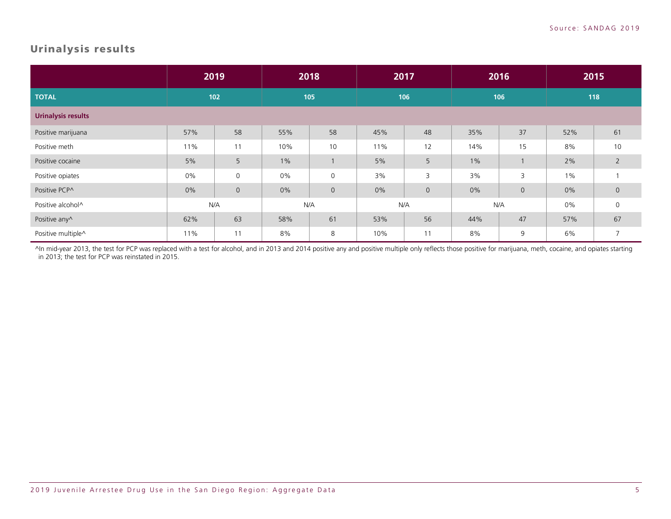#### <span id="page-6-0"></span>Urinalysis results

|                           |       | 2019         |       | 2018         |     | 2017        |       | 2016           |       | 2015           |
|---------------------------|-------|--------------|-------|--------------|-----|-------------|-------|----------------|-------|----------------|
| <b>TOTAL</b>              |       | 102          | 105   |              | 106 |             | 106   |                |       | 118            |
| <b>Urinalysis results</b> |       |              |       |              |     |             |       |                |       |                |
| Positive marijuana        | 57%   | 58           | 55%   | 58           | 45% | 48          | 35%   | 37             | 52%   | 61             |
| Positive meth             | 11%   | 11           | 10%   | 10           | 11% | 12          | 14%   | 15             | 8%    | 10             |
| Positive cocaine          | 5%    | 5            | $1\%$ |              | 5%  | 5           | $1\%$ |                | 2%    | $\overline{2}$ |
| Positive opiates          | $0\%$ | $\mathsf{O}$ | 0%    | $\mathbf 0$  | 3%  | 3           | 3%    | 3              | $1\%$ |                |
| Positive PCP^             | 0%    | $\mathsf{O}$ | 0%    | $\mathsf{O}$ | 0%  | $\mathbf 0$ | 0%    | $\overline{0}$ | 0%    | $\mathbf 0$    |
| Positive alcohol^         |       | N/A          |       | N/A          | N/A |             |       | N/A            | 0%    | $\mathbf 0$    |
| Positive any^             | 62%   | 63           | 58%   | 61           | 53% | 56          | 44%   | 47             | 57%   | 67             |
| Positive multiple^        | 11%   | 11           | 8%    | 8            | 10% | 11          | 8%    | 9              | 6%    | $\overline{7}$ |

^In mid-year 2013, the test for PCP was replaced with a test for alcohol, and in 2013 and 2014 positive any and positive multiple only reflects those positive for marijuana, meth, cocaine, and opiates starting in 2013; the test for PCP was reinstated in 2015.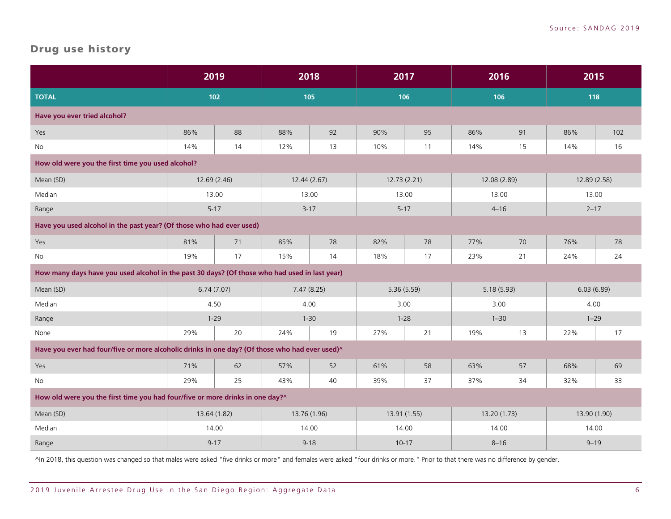#### <span id="page-7-0"></span>Drug use history

|                                                                                                | 2019         |    | 2018         |     | 2017         |    | 2016         |    | 2015         |     |
|------------------------------------------------------------------------------------------------|--------------|----|--------------|-----|--------------|----|--------------|----|--------------|-----|
| <b>TOTAL</b>                                                                                   | $102$        |    |              | 105 | 106          |    | 106          |    | 118          |     |
| Have you ever tried alcohol?                                                                   |              |    |              |     |              |    |              |    |              |     |
| Yes                                                                                            | 86%          | 88 | 88%          | 92  | 90%          | 95 | 86%          | 91 | 86%          | 102 |
| No                                                                                             | 14%          | 14 | 12%          | 13  | 10%          | 11 | 14%          | 15 | 14%          | 16  |
| How old were you the first time you used alcohol?                                              |              |    |              |     |              |    |              |    |              |     |
| Mean (SD)                                                                                      | 12.69 (2.46) |    | 12.44(2.67)  |     | 12.73 (2.21) |    | 12.08 (2.89) |    | 12.89 (2.58) |     |
| Median                                                                                         | 13.00        |    | 13.00        |     | 13.00        |    | 13.00        |    | 13.00        |     |
| Range                                                                                          | $5 - 17$     |    | $3 - 17$     |     | $5 - 17$     |    | $4 - 16$     |    | $2 - 17$     |     |
| Have you used alcohol in the past year? (Of those who had ever used)                           |              |    |              |     |              |    |              |    |              |     |
| Yes                                                                                            | 81%          | 71 | 85%          | 78  | 82%          | 78 | 77%          | 70 | 76%          | 78  |
| No                                                                                             | 19%          | 17 | 15%          | 14  | 18%          | 17 | 23%          | 21 | 24%          | 24  |
| How many days have you used alcohol in the past 30 days? (Of those who had used in last year)  |              |    |              |     |              |    |              |    |              |     |
| Mean (SD)                                                                                      | 6.74(7.07)   |    | 7.47(8.25)   |     | 5.36(5.59)   |    | 5.18(5.93)   |    | 6.03(6.89)   |     |
| Median                                                                                         | 4.50         |    | 4.00         |     | 3.00         |    | 3.00         |    | 4.00         |     |
| Range                                                                                          | $1 - 29$     |    | $1 - 30$     |     | $1 - 28$     |    | $1 - 30$     |    | $1 - 29$     |     |
| None                                                                                           | 29%          | 20 | 24%          | 19  | 27%          | 21 | 19%          | 13 | 22%          | 17  |
| Have you ever had four/five or more alcoholic drinks in one day? (Of those who had ever used)^ |              |    |              |     |              |    |              |    |              |     |
| Yes                                                                                            | 71%          | 62 | 57%          | 52  | 61%          | 58 | 63%          | 57 | 68%          | 69  |
| No                                                                                             | 29%          | 25 | 43%          | 40  | 39%          | 37 | 37%          | 34 | 32%          | 33  |
| How old were you the first time you had four/five or more drinks in one day?^                  |              |    |              |     |              |    |              |    |              |     |
| Mean (SD)                                                                                      | 13.64 (1.82) |    | 13.76 (1.96) |     | 13.91 (1.55) |    | 13.20 (1.73) |    | 13.90 (1.90) |     |
| Median                                                                                         | 14.00        |    | 14.00        |     | 14.00        |    | 14.00        |    | 14.00        |     |
| Range                                                                                          | $9 - 17$     |    | $9 - 18$     |     | $10-17$      |    | $8 - 16$     |    | $9 - 19$     |     |

^In 2018, this question was changed so that males were asked "five drinks or more" and females were asked "four drinks or more." Prior to that there was no difference by gender.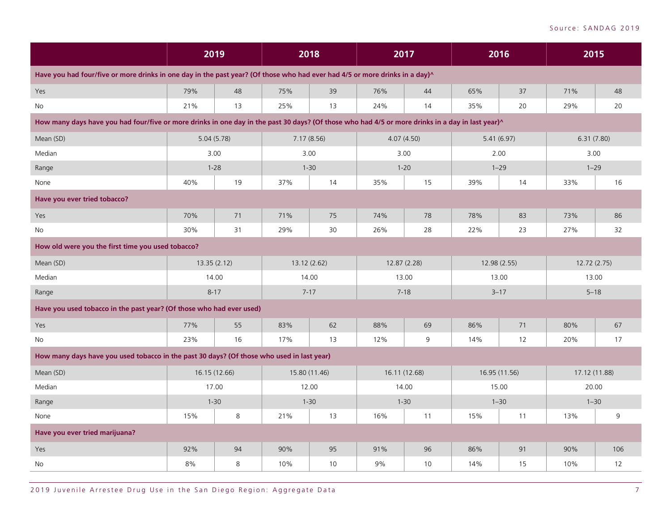|                                                                                                                                                  | 2019 |               |     | 2018          | 2017         |               | 2016          |    | 2015          |     |
|--------------------------------------------------------------------------------------------------------------------------------------------------|------|---------------|-----|---------------|--------------|---------------|---------------|----|---------------|-----|
| Have you had four/five or more drinks in one day in the past year? (Of those who had ever had 4/5 or more drinks in a day)^                      |      |               |     |               |              |               |               |    |               |     |
| Yes                                                                                                                                              | 79%  | 48            | 75% | 39            | 76%          | 44            | 65%           | 37 | 71%           | 48  |
| No                                                                                                                                               | 21%  | 13            | 25% | 13            | 24%          | 14            | 35%           | 20 | 29%           | 20  |
| How many days have you had four/five or more drinks in one day in the past 30 days? (Of those who had 4/5 or more drinks in a day in last year)^ |      |               |     |               |              |               |               |    |               |     |
| Mean (SD)                                                                                                                                        |      | 5.04(5.78)    |     | 7.17(8.56)    | 4.07(4.50)   |               | 5.41(6.97)    |    | 6.31(7.80)    |     |
| Median                                                                                                                                           |      | 3.00          |     | 3.00          | 3.00         |               | 2.00          |    | 3.00          |     |
| Range                                                                                                                                            |      | $1 - 28$      |     | $1 - 30$      |              | $1 - 20$      | $1 - 29$      |    | $1 - 29$      |     |
| None                                                                                                                                             | 40%  | 19            | 37% | 14            | 35%          | 15            | 39%           | 14 | 33%           | 16  |
| Have you ever tried tobacco?                                                                                                                     |      |               |     |               |              |               |               |    |               |     |
| Yes                                                                                                                                              | 70%  | 71            | 71% | 75            | 74%          | 78            | 78%           | 83 | 73%           | 86  |
| No.                                                                                                                                              | 30%  | 31            | 29% | 30            | 26%          | 28            | 22%           | 23 | 27%           | 32  |
| How old were you the first time you used tobacco?                                                                                                |      |               |     |               |              |               |               |    |               |     |
| Mean (SD)                                                                                                                                        |      | 13.35(2.12)   |     | 13.12 (2.62)  | 12.87 (2.28) |               | 12.98 (2.55)  |    | 12.72 (2.75)  |     |
| Median                                                                                                                                           |      | 14.00         |     | 14.00         |              | 13.00         | 13.00         |    | 13.00         |     |
| Range                                                                                                                                            |      | $8 - 17$      |     | $7 - 17$      | $7 - 18$     |               | $3 - 17$      |    | $5 - 18$      |     |
| Have you used tobacco in the past year? (Of those who had ever used)                                                                             |      |               |     |               |              |               |               |    |               |     |
| Yes                                                                                                                                              | 77%  | 55            | 83% | 62            | 88%          | 69            | 86%           | 71 | 80%           | 67  |
| No                                                                                                                                               | 23%  | 16            | 17% | 13            | 12%          | 9             | 14%           | 12 | 20%           | 17  |
| How many days have you used tobacco in the past 30 days? (Of those who used in last year)                                                        |      |               |     |               |              |               |               |    |               |     |
| Mean (SD)                                                                                                                                        |      | 16.15 (12.66) |     | 15.80 (11.46) |              | 16.11 (12.68) | 16.95 (11.56) |    | 17.12 (11.88) |     |
| Median                                                                                                                                           |      | 17.00         |     | 12.00         |              | 14.00         | 15.00         |    | 20.00         |     |
| Range                                                                                                                                            |      | $1 - 30$      |     | $1 - 30$      |              | $1 - 30$      | $1 - 30$      |    | $1 - 30$      |     |
| None                                                                                                                                             | 15%  | 8             | 21% | 13            | 16%          | 11            | 15%           | 11 | 13%           | 9   |
| Have you ever tried marijuana?                                                                                                                   |      |               |     |               |              |               |               |    |               |     |
| Yes                                                                                                                                              | 92%  | 94            | 90% | 95            | 91%          | 96            | 86%           | 91 | 90%           | 106 |
| No                                                                                                                                               | 8%   | $\,8\,$       | 10% | 10            | 9%           | 10            | 14%           | 15 | 10%           | 12  |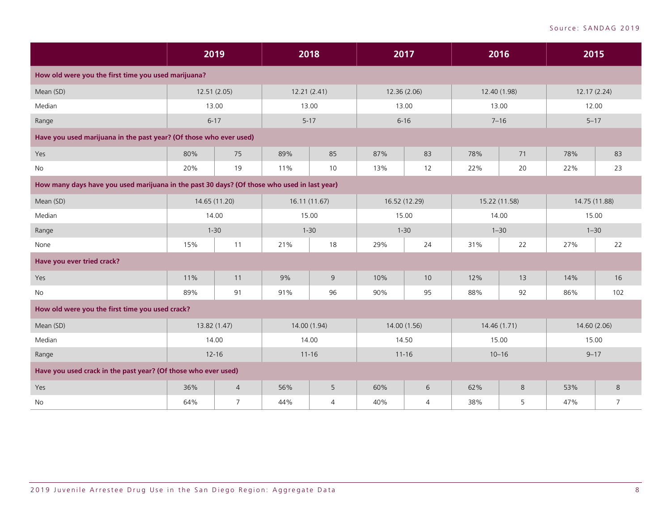|                                                                                             | 2019          |                | 2018         |                | 2017          |           | 2016     |               | 2015          |                |
|---------------------------------------------------------------------------------------------|---------------|----------------|--------------|----------------|---------------|-----------|----------|---------------|---------------|----------------|
| How old were you the first time you used marijuana?                                         |               |                |              |                |               |           |          |               |               |                |
| Mean (SD)                                                                                   | 12.51 (2.05)  |                | 12.21(2.41)  |                | 12.36 (2.06)  |           |          | 12.40 (1.98)  | 12.17 (2.24)  |                |
| Median                                                                                      | 13.00         |                | 13.00        |                | 13.00         |           | 13.00    |               | 12.00         |                |
| Range                                                                                       | $6 - 17$      |                | $5 - 17$     |                | $6 - 16$      |           | $7 - 16$ |               | $5 - 17$      |                |
| Have you used marijuana in the past year? (Of those who ever used)                          |               |                |              |                |               |           |          |               |               |                |
| Yes                                                                                         | 80%           | 75             | 89%          | 85             | 87%           | 83        | 78%      | 71            | 78%           | 83             |
| <b>No</b>                                                                                   | 20%           | 19             | 11%          | 10             | 13%           | 12        | 22%      | 20            | 22%           | 23             |
| How many days have you used marijuana in the past 30 days? (Of those who used in last year) |               |                |              |                |               |           |          |               |               |                |
| Mean (SD)                                                                                   | 14.65 (11.20) |                | 16.11(11.67) |                | 16.52 (12.29) |           |          | 15.22 (11.58) | 14.75 (11.88) |                |
| Median                                                                                      | 14.00         |                | 15.00        |                | 15.00         |           | 14.00    |               | 15.00         |                |
| Range                                                                                       | $1 - 30$      |                | $1 - 30$     |                | $1 - 30$      |           |          | $1 - 30$      | $1 - 30$      |                |
| None                                                                                        | 15%           | 11             | 21%          | 18             | 29%           | 24        | 31%      | 22            | 27%           | 22             |
| Have you ever tried crack?                                                                  |               |                |              |                |               |           |          |               |               |                |
| Yes                                                                                         | 11%           | 11             | 9%           | $\overline{9}$ | 10%           | 10        | 12%      | 13            | 14%           | 16             |
| No                                                                                          | 89%           | 91             | 91%          | 96             | 90%           | 95        | 88%      | 92            | 86%           | 102            |
| How old were you the first time you used crack?                                             |               |                |              |                |               |           |          |               |               |                |
| Mean (SD)                                                                                   | 13.82 (1.47)  |                | 14.00 (1.94) |                | 14.00 (1.56)  |           |          | 14.46 (1.71)  | 14.60 (2.06)  |                |
| Median                                                                                      | 14.00         |                | 14.00        |                | 14.50         |           | 15.00    |               | 15.00         |                |
| Range                                                                                       | $12 - 16$     |                | $11 - 16$    |                |               | $11 - 16$ |          | $10 - 16$     | $9 - 17$      |                |
| Have you used crack in the past year? (Of those who ever used)                              |               |                |              |                |               |           |          |               |               |                |
| Yes                                                                                         | 36%           | $\overline{4}$ | 56%          | 5              | 60%           | 6         | 62%      | 8             | 53%           | 8              |
| No                                                                                          | 64%           | $\overline{7}$ | 44%          | 4              | 40%           | 4         | 38%      | 5             | 47%           | $\overline{7}$ |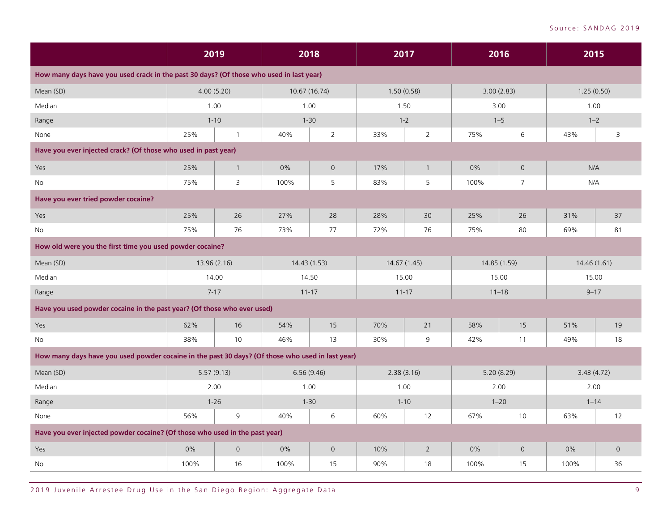|                                                                                                  | 2019       |                     |                       | 2018                | 2017         |                | 2016        |                     | 2015         |                |
|--------------------------------------------------------------------------------------------------|------------|---------------------|-----------------------|---------------------|--------------|----------------|-------------|---------------------|--------------|----------------|
| How many days have you used crack in the past 30 days? (Of those who used in last year)          |            |                     |                       |                     |              |                |             |                     |              |                |
| Mean (SD)                                                                                        | 4.00(5.20) |                     |                       | 10.67 (16.74)       | 1.50(0.58)   |                | 3.00(2.83)  |                     | 1.25(0.50)   |                |
| Median                                                                                           | 1.00       |                     |                       | 1.00                | 1.50         |                | 3.00        |                     | 1.00         |                |
| Range                                                                                            |            | $1 - 10$            |                       | $1 - 30$            | $1 - 2$      |                | $1 - 5$     |                     | $1 - 2$      |                |
| None                                                                                             | 25%        | $\overline{1}$      | 40%<br>$\overline{2}$ |                     | 33%          | $\overline{2}$ | 75%         | 6                   | 43%          | 3              |
| Have you ever injected crack? (Of those who used in past year)                                   |            |                     |                       |                     |              |                |             |                     |              |                |
| Yes                                                                                              | 25%        | $\mathbf{1}$        | 0%                    | $\overline{0}$      | 17%          | $\mathbf{1}$   | 0%          | $\overline{0}$      | N/A          |                |
| No                                                                                               | 75%        | 3                   | 100%                  | 5                   | 83%          | 5              | 100%        | 7                   | N/A          |                |
| Have you ever tried powder cocaine?                                                              |            |                     |                       |                     |              |                |             |                     |              |                |
| Yes                                                                                              | 25%        | 26                  | 27%                   | 28                  | 28%          | 30             | 25%         | 26                  | 31%          | 37             |
| <b>No</b>                                                                                        | 75%        | 76                  | 73%<br>77             |                     | 72%          | 76             | 75%         | 80                  | 69%          | 81             |
| How old were you the first time you used powder cocaine?                                         |            |                     |                       |                     |              |                |             |                     |              |                |
| Mean (SD)                                                                                        |            | 13.96 (2.16)        | 14.43 (1.53)          |                     | 14.67 (1.45) |                |             | 14.85 (1.59)        | 14.46 (1.61) |                |
| Median                                                                                           |            | 14.00               | 14.50                 |                     |              | 15.00          | 15.00       |                     | 15.00        |                |
| Range                                                                                            |            | $7 - 17$            |                       | $11 - 17$           | $11 - 17$    |                |             | $11 - 18$           | $9 - 17$     |                |
| Have you used powder cocaine in the past year? (Of those who ever used)                          |            |                     |                       |                     |              |                |             |                     |              |                |
| Yes                                                                                              | 62%        | 16                  | 54%                   | 15                  | 70%          | 21             | 58%         | 15                  | 51%          | 19             |
| No                                                                                               | 38%        | 10                  | 46%                   | 13                  | 30%          | 9              | 42%         | 11                  | 49%          | 18             |
| How many days have you used powder cocaine in the past 30 days? (Of those who used in last year) |            |                     |                       |                     |              |                |             |                     |              |                |
| Mean (SD)                                                                                        |            | 5.57(9.13)          |                       | 6.56(9.46)          | 2.38(3.16)   |                | 5.20 (8.29) |                     | 3.43(4.72)   |                |
| Median                                                                                           |            | 2.00                |                       | 1.00                | 1.00         |                | 2.00        |                     | 2.00         |                |
| Range                                                                                            |            | $1 - 26$            |                       | $1 - 30$            |              | $1 - 10$       |             | $1 - 20$            | $1 - 14$     |                |
| None                                                                                             | 56%        | 9                   | 40%                   | 6                   | 60%          | 12             | 67%         | 10                  | 63%          | 12             |
| Have you ever injected powder cocaine? (Of those who used in the past year)                      |            |                     |                       |                     |              |                |             |                     |              |                |
| Yes                                                                                              | 0%         | $\mathsf{O}\xspace$ | 0%                    | $\mathsf{O}\xspace$ | 10%          | $\sqrt{2}$     | 0%          | $\mathsf{O}\xspace$ | 0%           | $\overline{0}$ |
| No                                                                                               | 100%       | 16                  | 100%                  | 15                  | 90%          | 18             | 100%        | 15                  | 100%         | 36             |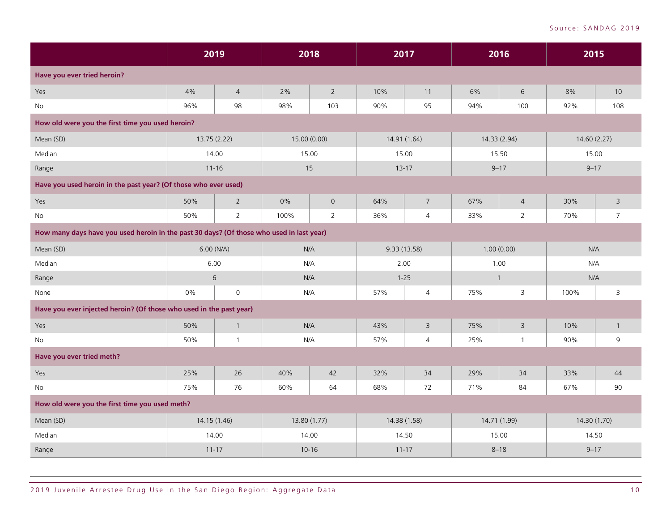|                                                                                          | 2019         |                | 2018         |                | 2017         |                | 2016         |                         | 2015         |                |
|------------------------------------------------------------------------------------------|--------------|----------------|--------------|----------------|--------------|----------------|--------------|-------------------------|--------------|----------------|
| Have you ever tried heroin?                                                              |              |                |              |                |              |                |              |                         |              |                |
| Yes                                                                                      | 4%           | $\overline{4}$ | 2%           | $\overline{2}$ | 10%          | 11             | 6%           | 6                       | 8%           | 10             |
| No                                                                                       | 96%          | 98             | 98%          | 103            | 90%          | 95             | 94%          | 100                     | 92%          | 108            |
| How old were you the first time you used heroin?                                         |              |                |              |                |              |                |              |                         |              |                |
| Mean (SD)                                                                                | 13.75 (2.22) |                | 15.00 (0.00) |                |              | 14.91 (1.64)   |              | 14.33 (2.94)            | 14.60 (2.27) |                |
| Median                                                                                   | 14.00        |                | 15.00        |                | 15.00        |                | 15.50        |                         | 15.00        |                |
| Range                                                                                    | $11 - 16$    |                | 15           |                |              | $13 - 17$      |              | $9 - 17$                | $9 - 17$     |                |
| Have you used heroin in the past year? (Of those who ever used)                          |              |                |              |                |              |                |              |                         |              |                |
| Yes                                                                                      | 50%          | $\overline{2}$ | 0%           | $\overline{0}$ | 64%          | $\overline{7}$ | 67%          | $\overline{4}$          | 30%          | $\mathsf{3}$   |
| No                                                                                       | 50%          | $\overline{2}$ | 100%         | $\overline{2}$ | 36%          | $\overline{4}$ | 33%          | 2                       | 70%          | $\overline{7}$ |
| How many days have you used heroin in the past 30 days? (Of those who used in last year) |              |                |              |                |              |                |              |                         |              |                |
| Mean (SD)                                                                                | 6.00 (N/A)   |                | N/A          |                | 9.33 (13.58) |                |              | 1.00(0.00)              | N/A          |                |
| Median                                                                                   | 6.00         |                | N/A          |                | 2.00         |                | 1.00         |                         | N/A          |                |
| Range                                                                                    | 6            |                | N/A          |                | $1 - 25$     |                | $\mathbf{1}$ |                         | N/A          |                |
| None                                                                                     | 0%           | $\mathbf 0$    | N/A          |                | 57%          | $\overline{4}$ | 75%          | 3                       | 100%         | 3              |
| Have you ever injected heroin? (Of those who used in the past year)                      |              |                |              |                |              |                |              |                         |              |                |
| Yes                                                                                      | 50%          | $\overline{1}$ | N/A          |                | 43%          | $\overline{3}$ | 75%          | $\overline{\mathbf{3}}$ | 10%          | $\mathbf{1}$   |
| No                                                                                       | 50%          | $\overline{1}$ | N/A          |                | 57%          | $\overline{4}$ | 25%          | $\mathbf{1}$            | 90%          | 9              |
| Have you ever tried meth?                                                                |              |                |              |                |              |                |              |                         |              |                |
| Yes                                                                                      | 25%          | 26             | 40%          | 42             | 32%          | 34             | 29%          | 34                      | 33%          | 44             |
| No                                                                                       | 75%          | 76             | 60%          | 64             | 68%          | 72             | 71%          | 84                      | 67%          | 90             |
| How old were you the first time you used meth?                                           |              |                |              |                |              |                |              |                         |              |                |
| Mean (SD)                                                                                | 14.15 (1.46) |                | 13.80 (1.77) |                | 14.38 (1.58) |                | 14.71 (1.99) |                         | 14.30 (1.70) |                |
| Median                                                                                   | 14.00        |                | 14.00        |                |              | 14.50          | 15.00        |                         | 14.50        |                |
| Range                                                                                    | $11 - 17$    |                | $10 - 16$    |                | $11 - 17$    |                | $8 - 18$     |                         | $9 - 17$     |                |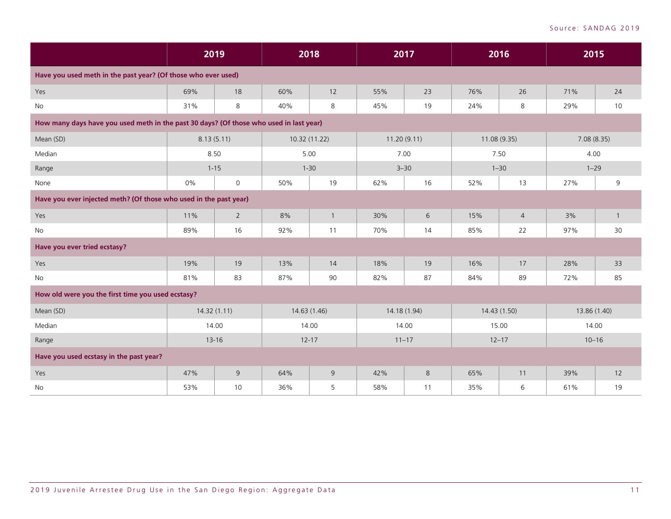|                                                                                        | 2019       |                      | 2018         |                | 2017         |    | 2016        |                | 2015         |              |
|----------------------------------------------------------------------------------------|------------|----------------------|--------------|----------------|--------------|----|-------------|----------------|--------------|--------------|
| Have you used meth in the past year? (Of those who ever used)                          |            |                      |              |                |              |    |             |                |              |              |
| Yes                                                                                    | 69%        | 18                   | 60%          | 12             | 55%          | 23 | 76%         | 26             | 71%          | 24           |
| No                                                                                     | 31%        | 8                    | 40%          | 8              | 45%          | 19 | 24%         | 8              | 29%          | 10           |
| How many days have you used meth in the past 30 days? (Of those who used in last year) |            |                      |              |                |              |    |             |                |              |              |
| Mean (SD)                                                                              | 8.13(5.11) |                      |              | 10.32 (11.22)  | 11.20(9.11)  |    | 11.08(9.35) |                | 7.08(8.35)   |              |
| Median                                                                                 | 8.50       |                      | 5.00         |                | 7.00         |    | 7.50        |                | 4.00         |              |
| Range                                                                                  |            | $1 - 15$<br>$1 - 30$ |              |                | $3 - 30$     |    |             | $1 - 30$       | $1 - 29$     |              |
| None                                                                                   | 0%         | $\mathsf{O}\xspace$  | 50%          | 19             | 62%          | 16 | 52%         | 13             | 27%          | 9            |
| Have you ever injected meth? (Of those who used in the past year)                      |            |                      |              |                |              |    |             |                |              |              |
| Yes                                                                                    | 11%        | $\overline{2}$       | 8%           | $\overline{1}$ | 30%          | 6  | 15%         | $\overline{4}$ | 3%           | $\mathbf{1}$ |
| No                                                                                     | 89%        | 16                   | 92%          | 11             | 70%          | 14 | 85%         | 22             | 97%          | 30           |
| Have you ever tried ecstasy?                                                           |            |                      |              |                |              |    |             |                |              |              |
| Yes                                                                                    | 19%        | 19                   | 13%          | 14             | 18%          | 19 | 16%         | 17             | 28%          | 33           |
| <b>No</b>                                                                              | 81%        | 83                   | 87%          | 90             | 82%          | 87 | 84%         | 89             | 72%          | 85           |
| How old were you the first time you used ecstasy?                                      |            |                      |              |                |              |    |             |                |              |              |
| Mean (SD)                                                                              |            | 14.32(1.11)          | 14.63 (1.46) |                | 14.18 (1.94) |    |             | 14.43 (1.50)   | 13.86 (1.40) |              |
| Median                                                                                 |            | 14.00                | 14.00        |                | 14.00        |    | 15.00       |                | 14.00        |              |
| Range                                                                                  |            | $13 - 16$            | $12 - 17$    |                | $11 - 17$    |    | $12 - 17$   |                | $10 - 16$    |              |
| Have you used ecstasy in the past year?                                                |            |                      |              |                |              |    |             |                |              |              |
| Yes                                                                                    | 47%        | $\mathsf 9$          | 64%          | 9              | 42%          | 8  | 65%         | 11             | 39%          | 12           |
| No                                                                                     | 53%        | 10                   | 36%          | 5              | 58%          | 11 | 35%         | 6              | 61%          | 19           |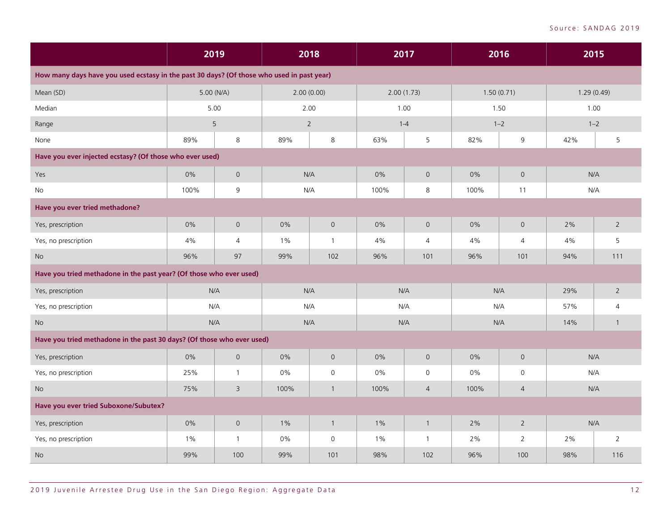|                                                                                           | 2019  |                     | 2018  |                |       | 2017                |      | 2016                |       | 2015           |
|-------------------------------------------------------------------------------------------|-------|---------------------|-------|----------------|-------|---------------------|------|---------------------|-------|----------------|
| How many days have you used ecstasy in the past 30 days? (Of those who used in past year) |       |                     |       |                |       |                     |      |                     |       |                |
| Mean (SD)                                                                                 |       | 5.00 (N/A)          |       | 2.00(0.00)     |       | 2.00(1.73)          |      | 1.50(0.71)          |       | 1.29(0.49)     |
| Median                                                                                    |       | 5.00                |       | 2.00           |       | 1.00                |      | 1.50                | 1.00  |                |
| Range                                                                                     |       | $\sqrt{5}$          |       | $\overline{2}$ |       | $1 - 4$             |      | $1 - 2$             |       | $1 - 2$        |
| None                                                                                      | 89%   | 8                   | 89%   | 8              | 63%   | 5                   | 82%  | 9                   | 42%   | 5              |
| Have you ever injected ecstasy? (Of those who ever used)                                  |       |                     |       |                |       |                     |      |                     |       |                |
| Yes                                                                                       | $0\%$ | $\mathsf{O}\xspace$ |       | N/A            | $0\%$ | $\mathsf{O}$        | 0%   | $\mathsf{O}\xspace$ |       | N/A            |
| No                                                                                        | 100%  | 9                   |       | N/A            | 100%  | 8                   | 100% | 11                  |       | N/A            |
| Have you ever tried methadone?                                                            |       |                     |       |                |       |                     |      |                     |       |                |
| Yes, prescription                                                                         | 0%    | $\mathsf{O}$        | 0%    | $\mathbf 0$    | 0%    | $\overline{0}$      | 0%   | $\mathsf{O}$        | 2%    | $\overline{2}$ |
| Yes, no prescription                                                                      | 4%    | $\overline{4}$      | $1\%$ | $\mathbf{1}$   | 4%    | $\overline{4}$      | 4%   | $\overline{4}$      | 4%    | 5              |
| <b>No</b>                                                                                 | 96%   | 97                  | 99%   | 102            | 96%   | 101                 | 96%  | 101                 | 94%   | 111            |
| Have you tried methadone in the past year? (Of those who ever used)                       |       |                     |       |                |       |                     |      |                     |       |                |
| Yes, prescription                                                                         |       | N/A                 |       | N/A            |       | N/A                 |      | N/A                 | 29%   | $\overline{2}$ |
| Yes, no prescription                                                                      |       | N/A                 |       | N/A            |       | N/A                 |      | N/A                 | 57%   | 4              |
| $\rm No$                                                                                  | N/A   |                     |       | N/A            |       | N/A                 |      | N/A                 | 14%   | $\overline{1}$ |
| Have you tried methadone in the past 30 days? (Of those who ever used)                    |       |                     |       |                |       |                     |      |                     |       |                |
| Yes, prescription                                                                         | 0%    | $\mathsf{O}$        | $0\%$ | $\mathsf{O}$   | 0%    | $\mathsf{O}$        | 0%   | $\mathbf 0$         |       | N/A            |
| Yes, no prescription                                                                      | 25%   | $\mathbf{1}$        | $0\%$ | 0              | 0%    | $\mathsf{O}\xspace$ | 0%   | $\mathsf{O}\xspace$ |       | N/A            |
| <b>No</b>                                                                                 | 75%   | 3                   | 100%  | $\mathbf{1}$   | 100%  | $\overline{4}$      | 100% | $\overline{4}$      |       | N/A            |
| Have you ever tried Suboxone/Subutex?                                                     |       |                     |       |                |       |                     |      |                     |       |                |
| Yes, prescription                                                                         | 0%    | $\mathsf{O}\xspace$ | $1\%$ | $\mathbf{1}$   | $1\%$ | $\mathbf{1}$        | 2%   | $\overline{2}$      |       | N/A            |
| Yes, no prescription                                                                      | $1\%$ | $\mathbf{1}$        | $0\%$ | 0              | $1\%$ | $\overline{1}$      | 2%   | 2                   | $2\%$ | 2              |
| <b>No</b>                                                                                 | 99%   | 100                 | 99%   | 101            | 98%   | 102                 | 96%  | 100                 | 98%   | 116            |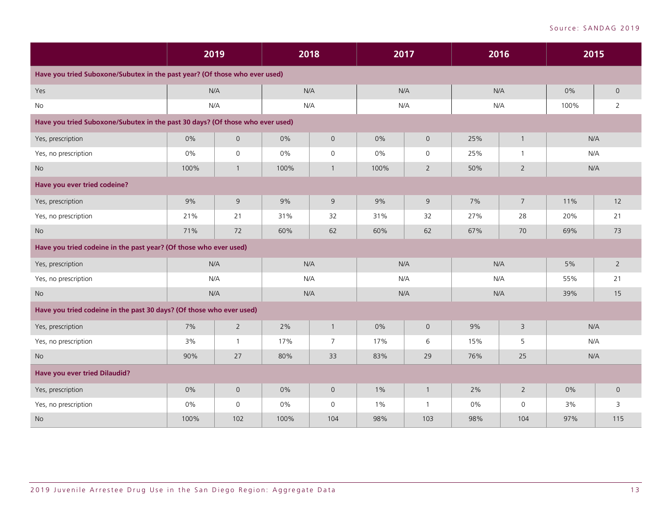|                                                                               | 2019 |                     |       | 2018           |       | 2017           | 2016  |                 | 2015 |                |
|-------------------------------------------------------------------------------|------|---------------------|-------|----------------|-------|----------------|-------|-----------------|------|----------------|
| Have you tried Suboxone/Subutex in the past year? (Of those who ever used)    |      |                     |       |                |       |                |       |                 |      |                |
| Yes                                                                           | N/A  |                     |       | N/A            |       | N/A            | N/A   |                 | 0%   | $\overline{0}$ |
| <b>No</b>                                                                     | N/A  |                     |       | N/A            |       | N/A            | N/A   |                 | 100% | 2              |
| Have you tried Suboxone/Subutex in the past 30 days? (Of those who ever used) |      |                     |       |                |       |                |       |                 |      |                |
| Yes, prescription                                                             | 0%   | $\mathsf{O}\xspace$ | $0\%$ | $\overline{0}$ | 0%    | $\overline{0}$ | 25%   | $\mathbf{1}$    | N/A  |                |
| Yes, no prescription                                                          | 0%   | $\mathsf{O}$        | 0%    | $\mathsf{O}$   | $0\%$ | $\mathbf 0$    | 25%   | $\mathbf{1}$    | N/A  |                |
| No                                                                            | 100% | $\mathbf{1}$        | 100%  | $\mathbf{1}$   | 100%  | $\overline{2}$ | 50%   | $\overline{2}$  | N/A  |                |
| Have you ever tried codeine?                                                  |      |                     |       |                |       |                |       |                 |      |                |
| Yes, prescription                                                             | 9%   | 9                   | 9%    | 9              | 9%    | 9              | 7%    | $7\overline{ }$ | 11%  | 12             |
| Yes, no prescription                                                          | 21%  | 21                  | 31%   | 32             | 31%   | 32             | 27%   | 28              | 20%  | 21             |
| <b>No</b>                                                                     | 71%  | 72                  | 60%   | 62             | 60%   | 62             | 67%   | 70              | 69%  | 73             |
| Have you tried codeine in the past year? (Of those who ever used)             |      |                     |       |                |       |                |       |                 |      |                |
| Yes, prescription                                                             | N/A  |                     |       | N/A            |       | N/A            | N/A   |                 | 5%   | $\overline{2}$ |
| Yes, no prescription                                                          | N/A  |                     |       | N/A            |       | N/A            | N/A   |                 | 55%  | 21             |
| <b>No</b>                                                                     | N/A  |                     |       | N/A            |       | N/A            | N/A   |                 | 39%  | 15             |
| Have you tried codeine in the past 30 days? (Of those who ever used)          |      |                     |       |                |       |                |       |                 |      |                |
| Yes, prescription                                                             | 7%   | $\overline{2}$      | 2%    | $\mathbf{1}$   | 0%    | $\overline{0}$ | 9%    | 3               | N/A  |                |
| Yes, no prescription                                                          | 3%   | $\mathbf{1}$        | 17%   | $\overline{7}$ | 17%   | 6              | 15%   | 5               | N/A  |                |
| <b>No</b>                                                                     | 90%  | 27                  | 80%   | 33             | 83%   | 29             | 76%   | 25              | N/A  |                |
| <b>Have you ever tried Dilaudid?</b>                                          |      |                     |       |                |       |                |       |                 |      |                |
| Yes, prescription                                                             | 0%   | $\mathsf{O}$        | 0%    | $\overline{0}$ | $1\%$ | $\mathbf{1}$   | $2\%$ | $\overline{2}$  | 0%   | $\mathbf 0$    |
| Yes, no prescription                                                          | 0%   | $\mathsf{O}$        | 0%    | $\mathsf{O}$   | $1\%$ | $\overline{1}$ | $0\%$ | $\mathsf{O}$    | 3%   | 3              |
| <b>No</b>                                                                     | 100% | 102                 | 100%  | 104            | 98%   | 103            | 98%   | 104             | 97%  | 115            |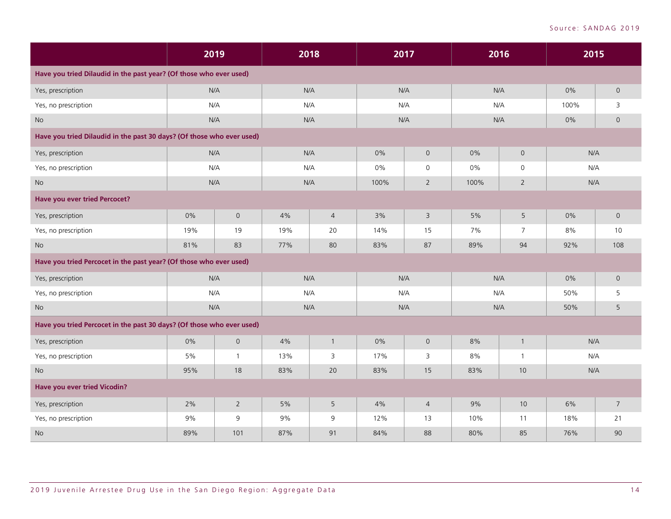|                                                                       |     | 2019                |     | 2018           |      | 2017           | 2016 |                | 2015 |                |
|-----------------------------------------------------------------------|-----|---------------------|-----|----------------|------|----------------|------|----------------|------|----------------|
| Have you tried Dilaudid in the past year? (Of those who ever used)    |     |                     |     |                |      |                |      |                |      |                |
| Yes, prescription                                                     | N/A |                     |     | N/A            | N/A  |                | N/A  |                | 0%   | $\mathsf{O}$   |
| Yes, no prescription                                                  | N/A |                     |     | N/A            | N/A  |                | N/A  |                | 100% | 3              |
| No                                                                    | N/A |                     |     | N/A            | N/A  |                | N/A  |                | 0%   | $\overline{0}$ |
| Have you tried Dilaudid in the past 30 days? (Of those who ever used) |     |                     |     |                |      |                |      |                |      |                |
| Yes, prescription                                                     | N/A |                     |     | N/A            | 0%   | $\mathsf{O}$   | 0%   | $\mathsf O$    | N/A  |                |
| Yes, no prescription                                                  | N/A |                     |     | N/A            | 0%   | $\mathbf 0$    | 0%   | $\mathsf{O}$   | N/A  |                |
| <b>No</b>                                                             | N/A |                     |     | N/A            | 100% | $\overline{2}$ | 100% | $\overline{2}$ | N/A  |                |
| <b>Have you ever tried Percocet?</b>                                  |     |                     |     |                |      |                |      |                |      |                |
| Yes, prescription                                                     | 0%  | $\mathsf{O}\xspace$ | 4%  | $\overline{4}$ | 3%   | $\overline{3}$ | 5%   | 5              | 0%   | $\mathsf{O}$   |
| Yes, no prescription                                                  | 19% | 19                  | 19% | 20             | 14%  | 15             | 7%   | 7              | 8%   | 10             |
| <b>No</b>                                                             | 81% | 83                  | 77% | 80             | 83%  | 87             | 89%  | 94             | 92%  | 108            |
| Have you tried Percocet in the past year? (Of those who ever used)    |     |                     |     |                |      |                |      |                |      |                |
| Yes, prescription                                                     | N/A |                     |     | N/A            | N/A  |                | N/A  |                | 0%   | $\overline{0}$ |
| Yes, no prescription                                                  | N/A |                     |     | N/A            | N/A  |                | N/A  |                | 50%  | 5              |
| <b>No</b>                                                             | N/A |                     |     | N/A            | N/A  |                | N/A  |                | 50%  | 5              |
| Have you tried Percocet in the past 30 days? (Of those who ever used) |     |                     |     |                |      |                |      |                |      |                |
| Yes, prescription                                                     | 0%  | $\mathsf{O}\xspace$ | 4%  | $\mathbf{1}$   | 0%   | $\mathsf{O}$   | 8%   | $\overline{1}$ | N/A  |                |
| Yes, no prescription                                                  | 5%  | $\mathbf{1}$        | 13% | 3              | 17%  | 3              | 8%   | $\overline{1}$ | N/A  |                |
| No                                                                    | 95% | 18                  | 83% | 20             | 83%  | 15             | 83%  | 10             | N/A  |                |
| Have you ever tried Vicodin?                                          |     |                     |     |                |      |                |      |                |      |                |
| Yes, prescription                                                     | 2%  | $\overline{2}$      | 5%  | 5              | 4%   | $\overline{4}$ | 9%   | 10             | 6%   | $\overline{7}$ |
| Yes, no prescription                                                  | 9%  | 9                   | 9%  | 9              | 12%  | 13             | 10%  | 11             | 18%  | 21             |
| <b>No</b>                                                             | 89% | 101                 | 87% | 91             | 84%  | 88             | 80%  | 85             | 76%  | 90             |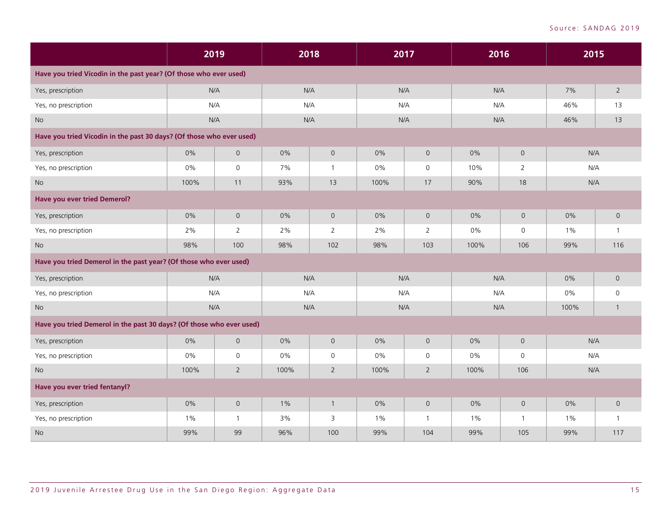|                                                                      |       | 2019           |      | 2018                |       | 2017                | 2016  |                     | 2015  |                |
|----------------------------------------------------------------------|-------|----------------|------|---------------------|-------|---------------------|-------|---------------------|-------|----------------|
| Have you tried Vicodin in the past year? (Of those who ever used)    |       |                |      |                     |       |                     |       |                     |       |                |
| Yes, prescription                                                    |       | N/A            |      | N/A                 |       | N/A                 | N/A   |                     | 7%    | $\overline{2}$ |
| Yes, no prescription                                                 |       | N/A            |      | N/A                 |       | N/A                 | N/A   |                     | 46%   | 13             |
| No                                                                   |       | N/A            |      | N/A                 |       | N/A                 | N/A   |                     | 46%   | 13             |
| Have you tried Vicodin in the past 30 days? (Of those who ever used) |       |                |      |                     |       |                     |       |                     |       |                |
| Yes, prescription                                                    | 0%    | $\mathsf{O}$   | 0%   | $\mathsf{O}\xspace$ | 0%    | $\mathbf 0$         | 0%    | $\mathsf{O}$        | N/A   |                |
| Yes, no prescription                                                 | 0%    | $\mathbf 0$    | 7%   | $\mathbf{1}$        | $0\%$ | $\mathbf 0$         | 10%   | 2                   | N/A   |                |
| <b>No</b>                                                            | 100%  | 11             | 93%  | 13                  | 100%  | 17                  | 90%   | 18                  | N/A   |                |
| <b>Have you ever tried Demerol?</b>                                  |       |                |      |                     |       |                     |       |                     |       |                |
| Yes, prescription                                                    | 0%    | $\overline{0}$ | 0%   | $\mathbf 0$         | 0%    | $\mathsf{O}$        | 0%    | $\mathsf{O}$        | 0%    | $\mathsf{O}$   |
| Yes, no prescription                                                 | 2%    | 2              | 2%   | $\overline{2}$      | 2%    | 2                   | 0%    | 0                   | $1\%$ | $\mathbf{1}$   |
| <b>No</b>                                                            | 98%   | 100            | 98%  | 102                 | 98%   | 103                 | 100%  | 106                 | 99%   | 116            |
| Have you tried Demerol in the past year? (Of those who ever used)    |       |                |      |                     |       |                     |       |                     |       |                |
| Yes, prescription                                                    |       | N/A            |      | N/A                 |       | N/A                 | N/A   |                     | $0\%$ | $\overline{0}$ |
| Yes, no prescription                                                 |       | N/A            |      | N/A                 |       | N/A                 | N/A   |                     | $0\%$ | $\Omega$       |
| No                                                                   |       | N/A            |      | N/A                 |       | N/A                 | N/A   |                     | 100%  |                |
| Have you tried Demerol in the past 30 days? (Of those who ever used) |       |                |      |                     |       |                     |       |                     |       |                |
| Yes, prescription                                                    | 0%    | $\overline{0}$ | 0%   | $\mathsf{O}$        | 0%    | $\mathsf{O}$        | 0%    | $\mathsf{O}$        | N/A   |                |
| Yes, no prescription                                                 | 0%    | $\mathsf O$    | 0%   | $\mathsf{O}$        | $0\%$ | $\mathsf{O}\xspace$ | 0%    | $\mathsf{O}\xspace$ | N/A   |                |
| No                                                                   | 100%  | $\overline{2}$ | 100% | $\overline{2}$      | 100%  | $\overline{2}$      | 100%  | 106                 | N/A   |                |
| Have you ever tried fentanyl?                                        |       |                |      |                     |       |                     |       |                     |       |                |
| Yes, prescription                                                    | 0%    | $\overline{0}$ | 1%   | $\mathbf{1}$        | 0%    | $\mathsf{O}$        | 0%    | $\mathsf{O}\xspace$ | 0%    | $\mathsf{O}$   |
| Yes, no prescription                                                 | $1\%$ | $\mathbf{1}$   | 3%   | 3                   | $1\%$ | $\mathbf{1}$        | $1\%$ | $\mathbf{1}$        | $1\%$ | $\mathbf{1}$   |
| <b>No</b>                                                            | 99%   | 99             | 96%  | 100                 | 99%   | 104                 | 99%   | 105                 | 99%   | 117            |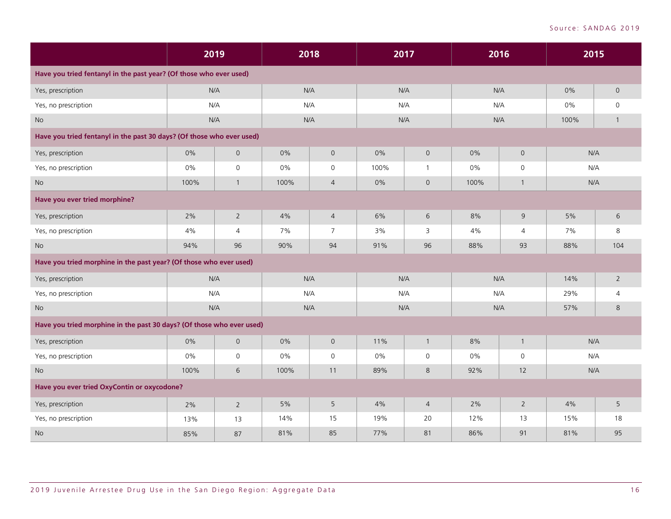|                                                                       |       | 2019                |      | 2018                |      | 2017           | 2016  |                     | 2015  |                |
|-----------------------------------------------------------------------|-------|---------------------|------|---------------------|------|----------------|-------|---------------------|-------|----------------|
| Have you tried fentanyl in the past year? (Of those who ever used)    |       |                     |      |                     |      |                |       |                     |       |                |
| Yes, prescription                                                     |       | N/A                 |      | N/A                 | N/A  |                | N/A   |                     | 0%    | $\mathsf{O}$   |
| Yes, no prescription                                                  |       | N/A                 |      | N/A                 | N/A  |                | N/A   |                     | $0\%$ | $\mathbf 0$    |
| No                                                                    |       | N/A                 |      | N/A                 | N/A  |                | N/A   |                     | 100%  |                |
| Have you tried fentanyl in the past 30 days? (Of those who ever used) |       |                     |      |                     |      |                |       |                     |       |                |
| Yes, prescription                                                     | 0%    | $\mathsf{O}$        | 0%   | $\mathbf 0$         | 0%   | $\mathsf{O}$   | 0%    | $\mathsf{O}$        | N/A   |                |
| Yes, no prescription                                                  | 0%    | $\mathsf O$         | 0%   | $\mathsf{O}$        | 100% | 1              | 0%    | $\mathsf{O}\xspace$ | N/A   |                |
| No                                                                    | 100%  | $\mathbf{1}$        | 100% | $\overline{4}$      | 0%   | $\mathsf{O}$   | 100%  | $\mathbf{1}$        | N/A   |                |
| Have you ever tried morphine?                                         |       |                     |      |                     |      |                |       |                     |       |                |
| Yes, prescription                                                     | 2%    | $\overline{2}$      | 4%   | $\overline{4}$      | 6%   | $\sqrt{6}$     | 8%    | 9                   | 5%    | 6              |
| Yes, no prescription                                                  | 4%    | $\overline{4}$      | 7%   | $\overline{7}$      | 3%   | 3              | 4%    | 4                   | 7%    | 8              |
| No                                                                    | 94%   | 96                  | 90%  | 94                  | 91%  | 96             | 88%   | 93                  | 88%   | 104            |
| Have you tried morphine in the past year? (Of those who ever used)    |       |                     |      |                     |      |                |       |                     |       |                |
| Yes, prescription                                                     |       | N/A                 |      | N/A                 | N/A  |                | N/A   |                     | 14%   | $\overline{2}$ |
| Yes, no prescription                                                  |       | N/A                 |      | N/A                 |      | N/A            | N/A   |                     | 29%   | 4              |
| <b>No</b>                                                             |       | N/A                 |      | N/A                 | N/A  |                | N/A   |                     | 57%   | 8              |
| Have you tried morphine in the past 30 days? (Of those who ever used) |       |                     |      |                     |      |                |       |                     |       |                |
| Yes, prescription                                                     | 0%    | $\mathsf{O}\xspace$ | 0%   | $\mathsf{O}\xspace$ | 11%  | $\mathbf{1}$   | 8%    | $\mathbf{1}$        | N/A   |                |
| Yes, no prescription                                                  | $0\%$ | $\mathsf{O}$        | 0%   | 0                   | 0%   | $\mathbf 0$    | $0\%$ | $\mathsf{O}$        | N/A   |                |
| <b>No</b>                                                             | 100%  | 6                   | 100% | 11                  | 89%  | 8              | 92%   | 12                  | N/A   |                |
| Have you ever tried OxyContin or oxycodone?                           |       |                     |      |                     |      |                |       |                     |       |                |
| Yes, prescription                                                     | 2%    | $\overline{2}$      | 5%   | 5                   | 4%   | $\overline{4}$ | 2%    | $\overline{2}$      | 4%    | 5              |
| Yes, no prescription                                                  | 13%   | 13                  | 14%  | 15                  | 19%  | 20             | 12%   | 13                  | 15%   | 18             |
| <b>No</b>                                                             | 85%   | 87                  | 81%  | 85                  | 77%  | 81             | 86%   | 91                  | 81%   | 95             |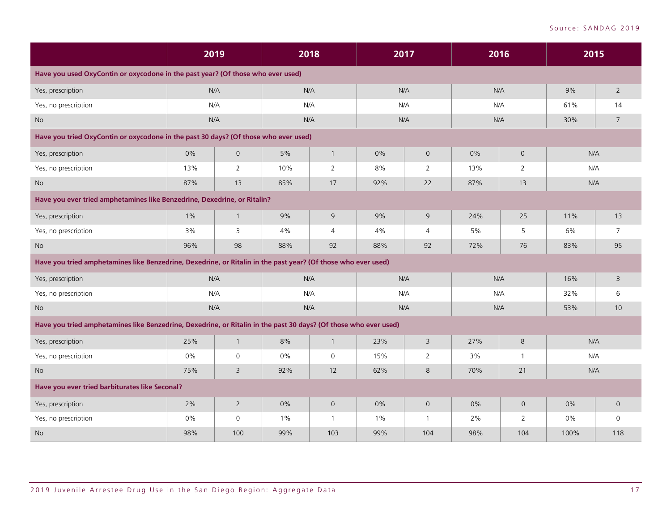|                                                                                                                  |       | 2019           |       | 2018           |       | 2017           | 2016  |                | 2015 |                 |
|------------------------------------------------------------------------------------------------------------------|-------|----------------|-------|----------------|-------|----------------|-------|----------------|------|-----------------|
| Have you used OxyContin or oxycodone in the past year? (Of those who ever used)                                  |       |                |       |                |       |                |       |                |      |                 |
| Yes, prescription                                                                                                |       | N/A            |       | N/A            |       | N/A            | N/A   |                | 9%   | $\overline{2}$  |
| Yes, no prescription                                                                                             |       | N/A            |       | N/A            |       | N/A            | N/A   |                | 61%  | 14              |
| <b>No</b>                                                                                                        | N/A   |                |       | N/A            |       | N/A            | N/A   |                | 30%  | $\overline{7}$  |
| Have you tried OxyContin or oxycodone in the past 30 days? (Of those who ever used)                              |       |                |       |                |       |                |       |                |      |                 |
| Yes, prescription                                                                                                | $0\%$ | $\overline{0}$ | 5%    | $\mathbf{1}$   | 0%    | $\mathbf 0$    | 0%    | $\mathsf{O}$   | N/A  |                 |
| Yes, no prescription                                                                                             | 13%   | 2              | 10%   | $\overline{2}$ | 8%    | $\overline{2}$ | 13%   | 2              | N/A  |                 |
| <b>No</b>                                                                                                        | 87%   | 13             | 85%   | 17             | 92%   | 22             | 87%   | 13             | N/A  |                 |
| Have you ever tried amphetamines like Benzedrine, Dexedrine, or Ritalin?                                         |       |                |       |                |       |                |       |                |      |                 |
| Yes, prescription                                                                                                | $1\%$ | $\mathbf{1}$   | 9%    | 9              | 9%    | $\overline{9}$ | 24%   | 25             | 11%  | 13              |
| Yes, no prescription                                                                                             | 3%    | 3              | 4%    | $\overline{4}$ | 4%    | $\overline{4}$ | 5%    | 5              | 6%   | $7^{\circ}$     |
| <b>No</b>                                                                                                        | 96%   | 98             | 88%   | 92             | 88%   | 92             | 72%   | 76             | 83%  | 95              |
| Have you tried amphetamines like Benzedrine, Dexedrine, or Ritalin in the past year? (Of those who ever used)    |       |                |       |                |       |                |       |                |      |                 |
| Yes, prescription                                                                                                |       | N/A            |       | N/A            |       | N/A            | N/A   |                | 16%  | $\overline{3}$  |
| Yes, no prescription                                                                                             |       | N/A            |       | N/A            |       | N/A            | N/A   |                | 32%  | 6               |
| No                                                                                                               | N/A   |                |       | N/A            |       | N/A            | N/A   |                | 53%  | 10 <sup>°</sup> |
| Have you tried amphetamines like Benzedrine, Dexedrine, or Ritalin in the past 30 days? (Of those who ever used) |       |                |       |                |       |                |       |                |      |                 |
| Yes, prescription                                                                                                | 25%   | $\mathbf{1}$   | 8%    | $\mathbf{1}$   | 23%   | 3              | 27%   | 8              | N/A  |                 |
| Yes, no prescription                                                                                             | $0\%$ | $\mathbf 0$    | $0\%$ | $\mathsf{O}$   | 15%   | $\overline{2}$ | 3%    | $\mathbf{1}$   | N/A  |                 |
| No                                                                                                               | 75%   | 3              | 92%   | 12             | 62%   | 8              | 70%   | 21             | N/A  |                 |
| Have you ever tried barbiturates like Seconal?                                                                   |       |                |       |                |       |                |       |                |      |                 |
| Yes, prescription                                                                                                | 2%    | $\overline{2}$ | 0%    | $\mathsf{O}$   | $0\%$ | $\mathbf{O}$   | $0\%$ | $\mathbf 0$    | 0%   | $\overline{0}$  |
| Yes, no prescription                                                                                             | 0%    | $\mathsf{O}$   | $1\%$ | $\mathbf{1}$   | $1\%$ | $\mathbf{1}$   | 2%    | $\overline{2}$ | 0%   | $\mathsf{O}$    |
| <b>No</b>                                                                                                        | 98%   | 100            | 99%   | 103            | 99%   | 104            | 98%   | 104            | 100% | 118             |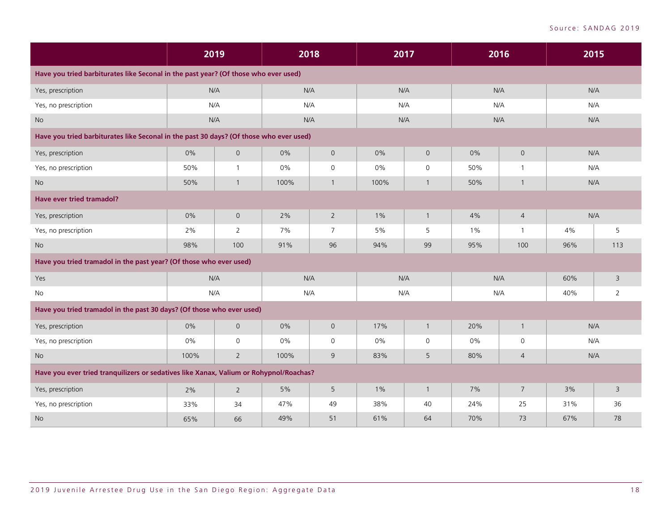|                                                                                        |      | 2019           |      | 2018           |       | 2017           | 2016  |                |     | 2015           |
|----------------------------------------------------------------------------------------|------|----------------|------|----------------|-------|----------------|-------|----------------|-----|----------------|
| Have you tried barbiturates like Seconal in the past year? (Of those who ever used)    |      |                |      |                |       |                |       |                |     |                |
| Yes, prescription                                                                      | N/A  |                |      | N/A            |       | N/A            | N/A   |                |     | N/A            |
| Yes, no prescription                                                                   | N/A  |                |      | N/A            |       | N/A            | N/A   |                |     | N/A            |
| No                                                                                     | N/A  |                |      | N/A            |       | N/A            | N/A   |                |     | N/A            |
| Have you tried barbiturates like Seconal in the past 30 days? (Of those who ever used) |      |                |      |                |       |                |       |                |     |                |
| Yes, prescription                                                                      | 0%   | $\mathsf O$    | 0%   | $\mathsf{O}$   | 0%    | $\overline{0}$ | 0%    | $\mathsf{O}$   |     | N/A            |
| Yes, no prescription                                                                   | 50%  | $\mathbf{1}$   | 0%   | $\mathsf{O}$   | 0%    | $\mathbf 0$    | 50%   | $\mathbf{1}$   |     | N/A            |
| <b>No</b>                                                                              | 50%  | $\mathbf{1}$   | 100% | $\mathbf{1}$   | 100%  | $\mathbf{1}$   | 50%   | $\mathbf{1}$   | N/A |                |
| <b>Have ever tried tramadol?</b>                                                       |      |                |      |                |       |                |       |                |     |                |
| Yes, prescription                                                                      | 0%   | $\mathsf{O}$   | 2%   | $2^{\circ}$    | $1\%$ | $\mathbf{1}$   | 4%    | $\overline{4}$ |     | N/A            |
| Yes, no prescription                                                                   | 2%   | $\overline{2}$ | 7%   | $\overline{7}$ | 5%    | 5              | $1\%$ | $\mathbf{1}$   | 4%  | 5              |
| <b>No</b>                                                                              | 98%  | 100            | 91%  | 96             | 94%   | 99             | 95%   | 100            | 96% | 113            |
| Have you tried tramadol in the past year? (Of those who ever used)                     |      |                |      |                |       |                |       |                |     |                |
| Yes                                                                                    | N/A  |                |      | N/A            |       | N/A            | N/A   |                | 60% | 3              |
| No                                                                                     | N/A  |                |      | N/A            |       | N/A            | N/A   |                | 40% | $\overline{2}$ |
| Have you tried tramadol in the past 30 days? (Of those who ever used)                  |      |                |      |                |       |                |       |                |     |                |
| Yes, prescription                                                                      | 0%   | $\mathsf{O}$   | 0%   | $\overline{0}$ | 17%   | $\mathbf{1}$   | 20%   | $\mathbf{1}$   |     | N/A            |
| Yes, no prescription                                                                   | 0%   | $\mathsf{O}$   | 0%   | $\mathsf{O}$   | $0\%$ | $\mathbf 0$    | 0%    | $\mathbf 0$    |     | N/A            |
| <b>No</b>                                                                              | 100% | $\overline{2}$ | 100% | 9              | 83%   | 5              | 80%   | $\overline{4}$ |     | N/A            |
| Have you ever tried tranquilizers or sedatives like Xanax, Valium or Rohypnol/Roachas? |      |                |      |                |       |                |       |                |     |                |
| Yes, prescription                                                                      | 2%   | $\overline{2}$ | 5%   | 5              | 1%    | $\overline{1}$ | 7%    | $\overline{7}$ | 3%  | $\overline{3}$ |
| Yes, no prescription                                                                   | 33%  | 34             | 47%  | 49             | 38%   | 40             | 24%   | 25             | 31% | 36             |
| <b>No</b>                                                                              | 65%  | 66             | 49%  | 51             | 61%   | 64             | 70%   | 73             | 67% | 78             |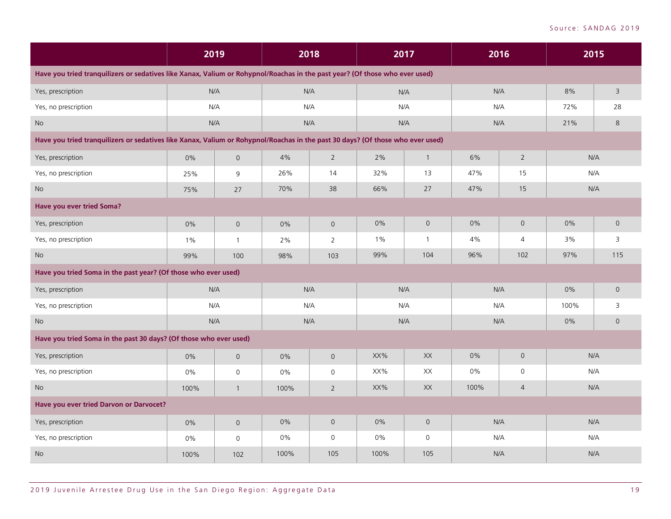|                                                                                                                                |       | 2019                |      | 2018                |       | 2017                   |       | 2016                |      | 2015           |
|--------------------------------------------------------------------------------------------------------------------------------|-------|---------------------|------|---------------------|-------|------------------------|-------|---------------------|------|----------------|
| Have you tried tranquilizers or sedatives like Xanax, Valium or Rohypnol/Roachas in the past year? (Of those who ever used)    |       |                     |      |                     |       |                        |       |                     |      |                |
| Yes, prescription                                                                                                              |       | N/A                 |      | N/A                 |       | N/A                    |       | N/A                 | 8%   | $\overline{3}$ |
| Yes, no prescription                                                                                                           |       | N/A                 |      | N/A                 |       | N/A                    |       | N/A                 | 72%  | 28             |
| No                                                                                                                             |       | N/A                 |      | N/A                 |       | N/A                    |       | N/A                 | 21%  | 8              |
| Have you tried tranquilizers or sedatives like Xanax, Valium or Rohypnol/Roachas in the past 30 days? (Of those who ever used) |       |                     |      |                     |       |                        |       |                     |      |                |
| Yes, prescription                                                                                                              | 0%    | $\mathsf{O}\xspace$ | 4%   | $\overline{2}$      | 2%    | $\mathbf{1}$           | 6%    | $\overline{2}$      |      | N/A            |
| Yes, no prescription                                                                                                           | 25%   | $\mathsf 9$         | 26%  | 14                  | 32%   | 13                     | 47%   | 15                  |      | N/A            |
| No                                                                                                                             | 75%   | 27                  | 70%  | 38                  | 66%   | 27                     | 47%   | 15                  |      | N/A            |
| Have you ever tried Soma?                                                                                                      |       |                     |      |                     |       |                        |       |                     |      |                |
| Yes, prescription                                                                                                              | 0%    | $\overline{0}$      | 0%   | $\mathbf 0$         | 0%    | $\mathsf{O}$           | 0%    | $\mathsf{O}$        | 0%   | $\mathsf{O}$   |
| Yes, no prescription                                                                                                           | $1\%$ | $\mathbf{1}$        | 2%   | 2                   | $1\%$ | $\overline{1}$         | 4%    | 4                   | 3%   | 3              |
| <b>No</b>                                                                                                                      | 99%   | 100                 | 98%  | 103                 | 99%   | 104                    | 96%   | 102                 | 97%  | 115            |
| Have you tried Soma in the past year? (Of those who ever used)                                                                 |       |                     |      |                     |       |                        |       |                     |      |                |
| Yes, prescription                                                                                                              |       | N/A                 |      | N/A                 |       | N/A                    |       | N/A                 | 0%   | $\mathsf{O}$   |
| Yes, no prescription                                                                                                           |       | N/A                 |      | N/A                 |       | N/A                    |       | N/A                 | 100% | 3              |
| No                                                                                                                             |       | N/A                 |      | N/A                 |       | N/A                    |       | N/A                 | 0%   | $\mathsf{O}$   |
| Have you tried Soma in the past 30 days? (Of those who ever used)                                                              |       |                     |      |                     |       |                        |       |                     |      |                |
| Yes, prescription                                                                                                              | 0%    | $\mathsf{O}\xspace$ | 0%   | $\mathsf{O}\xspace$ | XX%   | $\mathsf{X}\mathsf{X}$ | $0\%$ | $\mathsf{O}\xspace$ |      | N/A            |
| Yes, no prescription                                                                                                           | 0%    | $\mathsf{O}$        | 0%   | $\mathsf{O}$        | XX%   | XX                     | 0%    | $\mathsf{O}$        |      | N/A            |
| <b>No</b>                                                                                                                      | 100%  | $\mathbf{1}$        | 100% | $\overline{2}$      | XX%   | XX                     | 100%  | 4                   |      | N/A            |
| Have you ever tried Darvon or Darvocet?                                                                                        |       |                     |      |                     |       |                        |       |                     |      |                |
| Yes, prescription                                                                                                              | $0\%$ | $\mathsf O$         | 0%   | $\mathsf{O}$        | 0%    | $\mathsf{O}$           |       | N/A                 |      | N/A            |
| Yes, no prescription                                                                                                           | 0%    | $\mathsf{O}$        | 0%   | $\mathbf 0$         | $0\%$ | $\mathbf 0$            |       | N/A                 | N/A  |                |
| No                                                                                                                             | 100%  | 102                 | 100% | 105                 | 100%  | 105                    |       | N/A                 |      | N/A            |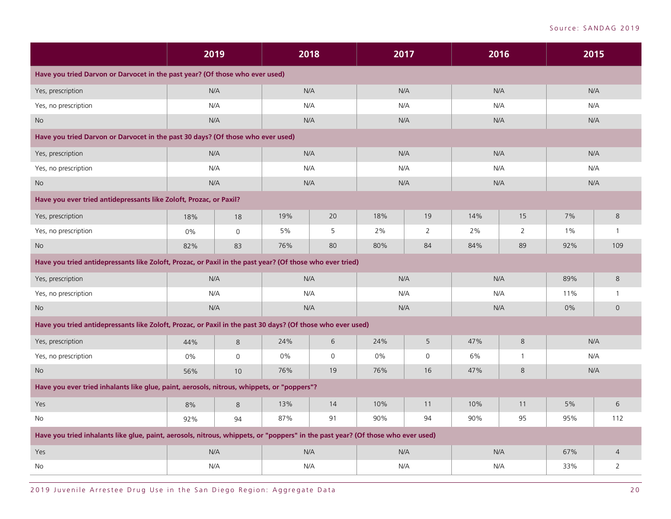|                                                                                                                                 | 2019 |                     | 2018 |             | 2017  |             | 2016 |                |       | 2015           |
|---------------------------------------------------------------------------------------------------------------------------------|------|---------------------|------|-------------|-------|-------------|------|----------------|-------|----------------|
| Have you tried Darvon or Darvocet in the past year? (Of those who ever used)                                                    |      |                     |      |             |       |             |      |                |       |                |
| Yes, prescription                                                                                                               | N/A  |                     |      | N/A         | N/A   |             |      | N/A            |       | N/A            |
| Yes, no prescription                                                                                                            | N/A  |                     |      | N/A         | N/A   |             |      | N/A            |       | N/A            |
| <b>No</b>                                                                                                                       | N/A  |                     |      | N/A         | N/A   |             | N/A  |                |       | N/A            |
| Have you tried Darvon or Darvocet in the past 30 days? (Of those who ever used)                                                 |      |                     |      |             |       |             |      |                |       |                |
| Yes, prescription                                                                                                               | N/A  |                     |      | N/A         | N/A   |             |      | N/A            |       | N/A            |
| Yes, no prescription                                                                                                            | N/A  |                     |      | N/A         | N/A   |             |      | N/A            |       | N/A            |
| <b>No</b>                                                                                                                       | N/A  |                     | N/A  |             | N/A   |             |      | N/A            |       | N/A            |
| Have you ever tried antidepressants like Zoloft, Prozac, or Paxil?                                                              |      |                     |      |             |       |             |      |                |       |                |
| Yes, prescription                                                                                                               | 18%  | 18                  | 19%  | 20          | 18%   | 19          | 14%  | 15             | 7%    | 8              |
| Yes, no prescription                                                                                                            | 0%   | $\mathsf{O}$        | 5%   | 5           | 2%    | 2           | 2%   | $\overline{2}$ | $1\%$ | $\mathbf{1}$   |
| <b>No</b>                                                                                                                       | 82%  | 83                  | 76%  | 80          | 80%   | 84          | 84%  | 89             | 92%   | 109            |
| Have you tried antidepressants like Zoloft, Prozac, or Paxil in the past year? (Of those who ever tried)                        |      |                     |      |             |       |             |      |                |       |                |
| Yes, prescription                                                                                                               | N/A  |                     |      | N/A         | N/A   |             |      | N/A            | 89%   | $\,8\,$        |
| Yes, no prescription                                                                                                            | N/A  |                     |      | N/A         | N/A   |             |      | N/A            | 11%   | $\mathbf{1}$   |
| No                                                                                                                              | N/A  |                     |      | N/A         | N/A   |             |      | N/A            | 0%    | $\mathsf{O}$   |
| Have you tried antidepressants like Zoloft, Prozac, or Paxil in the past 30 days? (Of those who ever used)                      |      |                     |      |             |       |             |      |                |       |                |
| Yes, prescription                                                                                                               | 44%  | 8                   | 24%  | 6           | 24%   | $\mathsf S$ | 47%  | $\,8\,$        |       | N/A            |
| Yes, no prescription                                                                                                            | 0%   | $\mathsf{O}\xspace$ | 0%   | $\mathbf 0$ | $0\%$ | $\mathbf 0$ | 6%   | $\mathbf{1}$   |       | N/A            |
| <b>No</b>                                                                                                                       | 56%  | 10                  | 76%  | 19          | 76%   | 16          | 47%  | 8              |       | N/A            |
| Have you ever tried inhalants like glue, paint, aerosols, nitrous, whippets, or "poppers"?                                      |      |                     |      |             |       |             |      |                |       |                |
| Yes                                                                                                                             | 8%   | 8                   | 13%  | 14          | 10%   | 11          | 10%  | 11             | 5%    | 6              |
| No                                                                                                                              | 92%  | 94                  | 87%  | 91          | 90%   | 94          | 90%  | 95             | 95%   | 112            |
| Have you tried inhalants like glue, paint, aerosols, nitrous, whippets, or "poppers" in the past year? (Of those who ever used) |      |                     |      |             |       |             |      |                |       |                |
| Yes                                                                                                                             | N/A  |                     |      | N/A         | N/A   |             | N/A  |                | 67%   | $\overline{4}$ |
| No                                                                                                                              | N/A  |                     |      | N/A         | N/A   |             | N/A  |                | 33%   | 2              |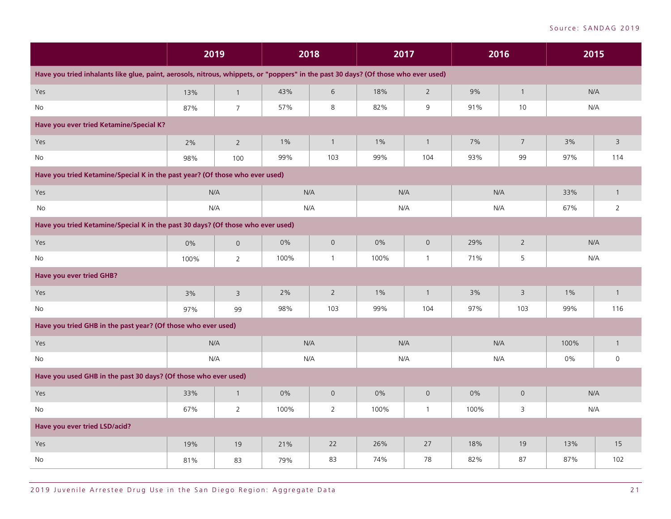|                                                                                                                                    | 2019 |                |       | 2018<br>2017<br>2016 |       |                | 2015 |                |       |                         |
|------------------------------------------------------------------------------------------------------------------------------------|------|----------------|-------|----------------------|-------|----------------|------|----------------|-------|-------------------------|
| Have you tried inhalants like glue, paint, aerosols, nitrous, whippets, or "poppers" in the past 30 days? (Of those who ever used) |      |                |       |                      |       |                |      |                |       |                         |
| Yes                                                                                                                                | 13%  | $\mathbf{1}$   | 43%   | 6                    | 18%   | $\overline{2}$ | 9%   | $\mathbf{1}$   | N/A   |                         |
| No                                                                                                                                 | 87%  | $\overline{7}$ | 57%   | 8                    | 82%   | 9              | 91%  | 10             | N/A   |                         |
| Have you ever tried Ketamine/Special K?                                                                                            |      |                |       |                      |       |                |      |                |       |                         |
| Yes                                                                                                                                | 2%   | $\overline{2}$ | $1\%$ | $\mathbf{1}$         | $1\%$ | $\overline{1}$ | 7%   | $\overline{7}$ | 3%    | $\overline{3}$          |
| No                                                                                                                                 | 98%  | 100            | 99%   | 103                  | 99%   | 104            | 93%  | 99             | 97%   | 114                     |
| Have you tried Ketamine/Special K in the past year? (Of those who ever used)                                                       |      |                |       |                      |       |                |      |                |       |                         |
| Yes                                                                                                                                | N/A  |                |       | N/A                  |       | N/A            |      | N/A            | 33%   | $\overline{1}$          |
| No                                                                                                                                 |      | N/A            |       | N/A                  |       | N/A            |      | N/A            | 67%   | $\overline{2}$          |
| Have you tried Ketamine/Special K in the past 30 days? (Of those who ever used)                                                    |      |                |       |                      |       |                |      |                |       |                         |
| Yes                                                                                                                                | 0%   | $\overline{0}$ | 0%    | $\mathsf{O}\xspace$  | 0%    | $\mathsf{O}$   | 29%  | $\overline{2}$ | N/A   |                         |
| No                                                                                                                                 | 100% | $\overline{2}$ | 100%  | $\mathbf{1}$         | 100%  | $\overline{1}$ | 71%  | 5              | N/A   |                         |
| Have you ever tried GHB?                                                                                                           |      |                |       |                      |       |                |      |                |       |                         |
| Yes                                                                                                                                | 3%   | $\overline{3}$ | 2%    | $\overline{2}$       | 1%    | $\mathbf{1}$   | 3%   | $\overline{3}$ | $1\%$ | $\overline{1}$          |
| No                                                                                                                                 | 97%  | 99             | 98%   | 103                  | 99%   | 104            | 97%  | 103            | 99%   | 116                     |
| Have you tried GHB in the past year? (Of those who ever used)                                                                      |      |                |       |                      |       |                |      |                |       |                         |
| Yes                                                                                                                                | N/A  |                |       | N/A                  |       | N/A            |      | N/A            | 100%  | $\overline{\mathbf{1}}$ |
| No                                                                                                                                 |      | N/A            |       | N/A                  |       | N/A            |      | N/A            | 0%    | $\mathsf{O}\xspace$     |
| Have you used GHB in the past 30 days? (Of those who ever used)                                                                    |      |                |       |                      |       |                |      |                |       |                         |
| Yes                                                                                                                                | 33%  | $\mathbf{1}$   | 0%    | $\mathbf 0$          | $0\%$ | $\overline{0}$ | 0%   | $\mathsf{O}$   | N/A   |                         |
| No                                                                                                                                 | 67%  | $\overline{2}$ | 100%  | $\overline{2}$       | 100%  | $\overline{1}$ | 100% | 3              | N/A   |                         |
| Have you ever tried LSD/acid?                                                                                                      |      |                |       |                      |       |                |      |                |       |                         |
| Yes                                                                                                                                | 19%  | 19             | 21%   | 22                   | 26%   | 27             | 18%  | 19             | 13%   | 15                      |
| No                                                                                                                                 | 81%  | 83             | 79%   | 83                   | 74%   | 78             | 82%  | 87             | 87%   | 102                     |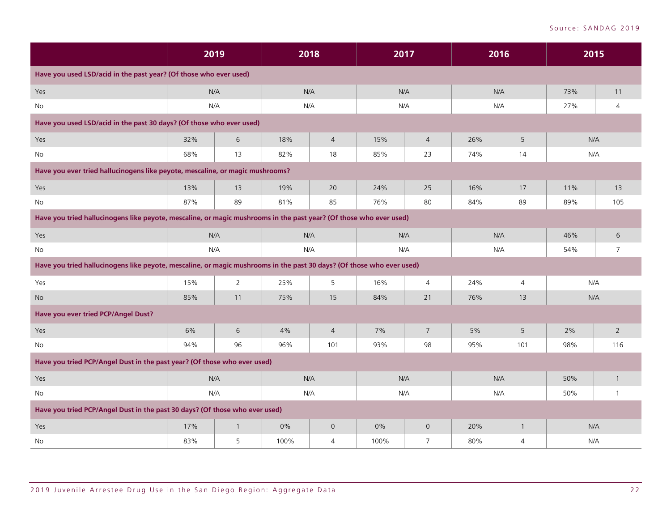|                                                                                                                       |     | 2019           | 2018  |                |      | 2017           |     | 2016           | 2015 |                          |
|-----------------------------------------------------------------------------------------------------------------------|-----|----------------|-------|----------------|------|----------------|-----|----------------|------|--------------------------|
| Have you used LSD/acid in the past year? (Of those who ever used)                                                     |     |                |       |                |      |                |     |                |      |                          |
| Yes                                                                                                                   | N/A |                |       | N/A            | N/A  |                |     | N/A            | 73%  | 11                       |
| No                                                                                                                    | N/A |                |       | N/A            | N/A  |                |     | N/A            | 27%  | 4                        |
| Have you used LSD/acid in the past 30 days? (Of those who ever used)                                                  |     |                |       |                |      |                |     |                |      |                          |
| Yes                                                                                                                   | 32% | 6              | 18%   | $\overline{4}$ | 15%  | $\overline{4}$ | 26% | $\sqrt{5}$     | N/A  |                          |
| <b>No</b>                                                                                                             | 68% | 13             | 82%   | 18             | 85%  | 23             | 74% | 14             | N/A  |                          |
| Have you ever tried hallucinogens like peyote, mescaline, or magic mushrooms?                                         |     |                |       |                |      |                |     |                |      |                          |
| Yes                                                                                                                   | 13% | 13             | 19%   | 20             | 24%  | 25             | 16% | 17             | 11%  | 13                       |
| No                                                                                                                    | 87% | 89             | 81%   | 85             | 76%  | 80             | 84% | 89             | 89%  | 105                      |
| Have you tried hallucinogens like peyote, mescaline, or magic mushrooms in the past year? (Of those who ever used)    |     |                |       |                |      |                |     |                |      |                          |
| Yes                                                                                                                   | N/A |                |       | N/A            | N/A  |                |     | N/A            | 46%  | 6                        |
| No                                                                                                                    | N/A |                |       | N/A            | N/A  |                |     | N/A            | 54%  | $\overline{7}$           |
| Have you tried hallucinogens like peyote, mescaline, or magic mushrooms in the past 30 days? (Of those who ever used) |     |                |       |                |      |                |     |                |      |                          |
| Yes                                                                                                                   | 15% | $\overline{2}$ | 25%   | 5              | 16%  | $\overline{4}$ | 24% | $\overline{4}$ | N/A  |                          |
| No                                                                                                                    | 85% | 11             | 75%   | 15             | 84%  | 21             | 76% | 13             | N/A  |                          |
| Have you ever tried PCP/Angel Dust?                                                                                   |     |                |       |                |      |                |     |                |      |                          |
| Yes                                                                                                                   | 6%  | 6              | 4%    | $\overline{4}$ | 7%   | $\overline{7}$ | 5%  | 5              | 2%   | $\overline{2}$           |
| No                                                                                                                    | 94% | 96             | 96%   | 101            | 93%  | 98             | 95% | 101            | 98%  | 116                      |
| Have you tried PCP/Angel Dust in the past year? (Of those who ever used)                                              |     |                |       |                |      |                |     |                |      |                          |
| Yes                                                                                                                   | N/A |                |       | N/A            | N/A  |                |     | N/A            | 50%  | $\mathbf{1}$             |
| No                                                                                                                    | N/A |                |       | N/A            | N/A  |                |     | N/A            | 50%  | $\overline{\phantom{a}}$ |
| Have you tried PCP/Angel Dust in the past 30 days? (Of those who ever used)                                           |     |                |       |                |      |                |     |                |      |                          |
| Yes                                                                                                                   | 17% | $\mathbf{1}$   | $0\%$ | $\overline{0}$ | 0%   | $\overline{0}$ | 20% | $\overline{1}$ | N/A  |                          |
| No                                                                                                                    | 83% | 5              | 100%  | $\overline{4}$ | 100% | $\overline{7}$ | 80% | $\overline{4}$ | N/A  |                          |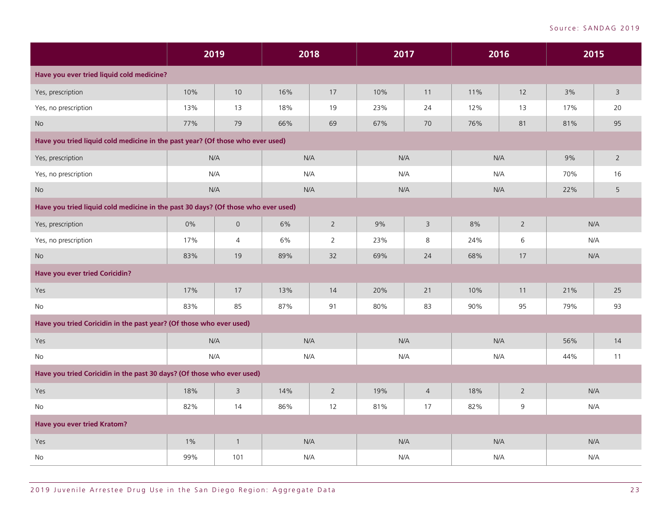|                                                                                   | 2019  |                |     | 2018           | 2017 |                | 2016 |                |     | 2015           |
|-----------------------------------------------------------------------------------|-------|----------------|-----|----------------|------|----------------|------|----------------|-----|----------------|
| Have you ever tried liquid cold medicine?                                         |       |                |     |                |      |                |      |                |     |                |
| Yes, prescription                                                                 | 10%   | 10             | 16% | 17             | 10%  | 11             | 11%  | 12             | 3%  | $\overline{3}$ |
| Yes, no prescription                                                              | 13%   | 13             | 18% | 19             | 23%  | 24             | 12%  | 13             | 17% | 20             |
| <b>No</b>                                                                         | 77%   | 79             | 66% | 69             | 67%  | 70             | 76%  | 81             | 81% | 95             |
| Have you tried liquid cold medicine in the past year? (Of those who ever used)    |       |                |     |                |      |                |      |                |     |                |
| Yes, prescription                                                                 | N/A   |                |     | N/A            | N/A  |                | N/A  |                | 9%  | $2^{\circ}$    |
| Yes, no prescription                                                              | N/A   |                |     | N/A            | N/A  |                | N/A  |                | 70% | 16             |
| No                                                                                | N/A   |                |     | N/A            | N/A  |                | N/A  |                | 22% | 5              |
| Have you tried liquid cold medicine in the past 30 days? (Of those who ever used) |       |                |     |                |      |                |      |                |     |                |
| Yes, prescription                                                                 | 0%    | $\mathsf{O}$   | 6%  | $2^{\circ}$    | 9%   | 3              | 8%   | $\overline{2}$ |     | N/A            |
| Yes, no prescription                                                              | 17%   | $\overline{4}$ | 6%  | $\overline{2}$ | 23%  | 8              | 24%  | 6              |     | N/A            |
| $\rm No$                                                                          | 83%   | 19             | 89% | 32             | 69%  | 24             | 68%  | 17             |     | N/A            |
| Have you ever tried Coricidin?                                                    |       |                |     |                |      |                |      |                |     |                |
| Yes                                                                               | 17%   | 17             | 13% | 14             | 20%  | 21             | 10%  | 11             | 21% | 25             |
| <b>No</b>                                                                         | 83%   | 85             | 87% | 91             | 80%  | 83             | 90%  | 95             | 79% | 93             |
| Have you tried Coricidin in the past year? (Of those who ever used)               |       |                |     |                |      |                |      |                |     |                |
| Yes                                                                               | N/A   |                |     | N/A            | N/A  |                | N/A  |                | 56% | 14             |
| No                                                                                | N/A   |                |     | N/A            | N/A  |                | N/A  |                | 44% | 11             |
| Have you tried Coricidin in the past 30 days? (Of those who ever used)            |       |                |     |                |      |                |      |                |     |                |
| Yes                                                                               | 18%   | $\overline{3}$ | 14% | $\overline{2}$ | 19%  | $\overline{4}$ | 18%  | $\overline{2}$ |     | N/A            |
| No                                                                                | 82%   | 14             | 86% | 12             | 81%  | 17             | 82%  | $\mathsf 9$    |     | N/A            |
| Have you ever tried Kratom?                                                       |       |                |     |                |      |                |      |                |     |                |
| Yes                                                                               | $1\%$ | $\mathbf{1}$   |     | N/A            | N/A  |                | N/A  |                |     | N/A            |
| No                                                                                | 99%   | 101            |     | N/A            | N/A  |                | N/A  |                |     | N/A            |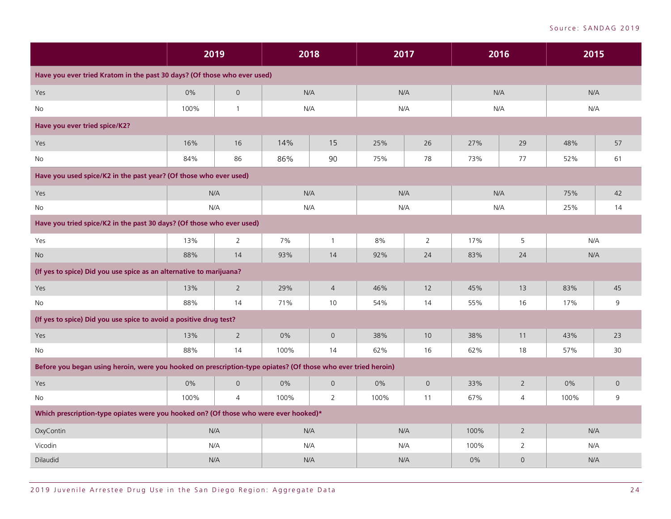|                                                                                                               | 2019  |                | 2018 |                     | 2017 |                | 2016 |                     | 2015 |              |
|---------------------------------------------------------------------------------------------------------------|-------|----------------|------|---------------------|------|----------------|------|---------------------|------|--------------|
| Have you ever tried Kratom in the past 30 days? (Of those who ever used)                                      |       |                |      |                     |      |                |      |                     |      |              |
| Yes                                                                                                           | 0%    | $\overline{0}$ | N/A  |                     | N/A  |                | N/A  |                     | N/A  |              |
| No                                                                                                            | 100%  | $\mathbf{1}$   | N/A  |                     | N/A  |                | N/A  |                     | N/A  |              |
| Have you ever tried spice/K2?                                                                                 |       |                |      |                     |      |                |      |                     |      |              |
| Yes                                                                                                           | 16%   | 16             | 14%  | 15                  | 25%  | 26             | 27%  | 29                  | 48%  | 57           |
| No                                                                                                            | 84%   | 86             | 86%  | 90                  | 75%  | 78             | 73%  | 77                  | 52%  | 61           |
| Have you used spice/K2 in the past year? (Of those who ever used)                                             |       |                |      |                     |      |                |      |                     |      |              |
| Yes                                                                                                           | N/A   |                | N/A  |                     | N/A  |                | N/A  |                     | 75%  | 42           |
| No                                                                                                            | N/A   |                | N/A  |                     | N/A  |                | N/A  |                     | 25%  | 14           |
| Have you tried spice/K2 in the past 30 days? (Of those who ever used)                                         |       |                |      |                     |      |                |      |                     |      |              |
| Yes                                                                                                           | 13%   | $\overline{2}$ | 7%   | $\mathbf{1}$        | 8%   | $\overline{2}$ | 17%  | 5                   | N/A  |              |
| <b>No</b>                                                                                                     | 88%   | 14             | 93%  | 14                  | 92%  | 24             | 83%  | 24                  | N/A  |              |
| (If yes to spice) Did you use spice as an alternative to marijuana?                                           |       |                |      |                     |      |                |      |                     |      |              |
| Yes                                                                                                           | 13%   | $\overline{2}$ | 29%  | $\overline{4}$      | 46%  | 12             | 45%  | 13                  | 83%  | 45           |
| No                                                                                                            | 88%   | 14             | 71%  | 10                  | 54%  | 14             | 55%  | 16                  | 17%  | 9            |
| (If yes to spice) Did you use spice to avoid a positive drug test?                                            |       |                |      |                     |      |                |      |                     |      |              |
| Yes                                                                                                           | 13%   | $\overline{2}$ | 0%   | $\mathsf{O}$        | 38%  | 10             | 38%  | 11                  | 43%  | 23           |
| No                                                                                                            | 88%   | 14             | 100% | 14                  | 62%  | 16             | 62%  | 18                  | 57%  | 30           |
| Before you began using heroin, were you hooked on prescription-type opiates? (Of those who ever tried heroin) |       |                |      |                     |      |                |      |                     |      |              |
| Yes                                                                                                           | $0\%$ | $\mathbf 0$    | 0%   | $\mathsf{O}\xspace$ | 0%   | $\mathsf O$    | 33%  | $\overline{2}$      | 0%   | $\mathsf{O}$ |
| <b>No</b>                                                                                                     | 100%  | $\overline{4}$ | 100% | $\overline{2}$      | 100% | 11             | 67%  | $\overline{4}$      | 100% | 9            |
| Which prescription-type opiates were you hooked on? (Of those who were ever hooked)*                          |       |                |      |                     |      |                |      |                     |      |              |
| OxyContin                                                                                                     |       | N/A            | N/A  |                     | N/A  |                | 100% | $\overline{2}$      | N/A  |              |
| Vicodin                                                                                                       | N/A   |                | N/A  |                     | N/A  |                | 100% | 2                   | N/A  |              |
| Dilaudid                                                                                                      | N/A   |                | N/A  |                     | N/A  |                | 0%   | $\mathsf{O}\xspace$ | N/A  |              |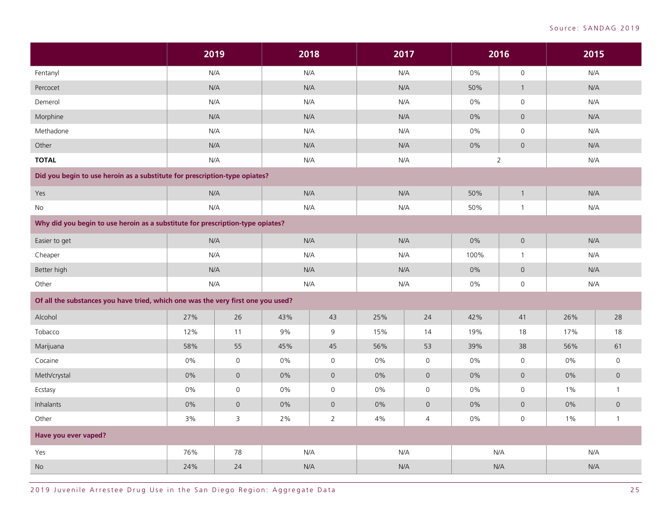|                                                                                  | 2019  |                     |       | 2018                |     | 2017                |       | 2016                | 2015  |                     |
|----------------------------------------------------------------------------------|-------|---------------------|-------|---------------------|-----|---------------------|-------|---------------------|-------|---------------------|
| Fentanyl                                                                         | N/A   |                     |       | N/A                 |     | N/A                 | $0\%$ | $\mathsf{O}\xspace$ | N/A   |                     |
| Percocet                                                                         | N/A   |                     |       | N/A                 | N/A |                     | 50%   | $\mathbf{1}$        | N/A   |                     |
| Demerol                                                                          | N/A   |                     |       | N/A                 | N/A |                     | 0%    | $\mathsf{O}$        | N/A   |                     |
| Morphine                                                                         | N/A   |                     |       | N/A                 | N/A |                     | $0\%$ | $\overline{0}$      | N/A   |                     |
| Methadone                                                                        | N/A   |                     |       | N/A                 |     | N/A                 | 0%    | $\mathsf{O}\xspace$ | N/A   |                     |
| Other                                                                            | N/A   |                     |       | N/A                 | N/A |                     | $0\%$ | $\mathbf 0$         | N/A   |                     |
| <b>TOTAL</b>                                                                     | N/A   |                     |       | N/A                 |     | N/A                 |       | $\overline{2}$      | N/A   |                     |
| Did you begin to use heroin as a substitute for prescription-type opiates?       |       |                     |       |                     |     |                     |       |                     |       |                     |
| Yes                                                                              | N/A   |                     |       | N/A                 | N/A |                     | 50%   | $\mathbf{1}$        | N/A   |                     |
| No                                                                               | N/A   |                     |       | N/A                 | N/A |                     | 50%   | $\mathbf{1}$        | N/A   |                     |
| Why did you begin to use heroin as a substitute for prescription-type opiates?   |       |                     |       |                     |     |                     |       |                     |       |                     |
| Easier to get                                                                    | N/A   |                     |       | N/A                 |     | N/A                 | $0\%$ | $\circ$             | N/A   |                     |
| Cheaper                                                                          | N/A   |                     |       | N/A                 |     | N/A                 | 100%  | $\mathbf{1}$        | N/A   |                     |
| Better high                                                                      | N/A   |                     |       | N/A                 | N/A |                     | $0\%$ | $\overline{0}$      | N/A   |                     |
| Other                                                                            | N/A   |                     |       | N/A                 | N/A |                     | 0%    | $\mathsf O$         | N/A   |                     |
| Of all the substances you have tried, which one was the very first one you used? |       |                     |       |                     |     |                     |       |                     |       |                     |
| Alcohol                                                                          | 27%   | 26                  | 43%   | 43                  | 25% | 24                  | 42%   | 41                  | 26%   | 28                  |
| Tobacco                                                                          | 12%   | 11                  | 9%    | 9                   | 15% | 14                  | 19%   | 18                  | 17%   | 18                  |
| Marijuana                                                                        | 58%   | 55                  | 45%   | 45                  | 56% | 53                  | 39%   | 38                  | 56%   | 61                  |
| Cocaine                                                                          | 0%    | $\mathsf{O}\xspace$ | 0%    | $\mathsf{O}\xspace$ | 0%  | $\mathsf{O}\xspace$ | 0%    | $\mathsf{O}\xspace$ | 0%    | $\mathsf{O}\xspace$ |
| Meth/crystal                                                                     | 0%    | $\overline{O}$      | 0%    | $\mathsf{O}\xspace$ | 0%  | $\mathsf{O}\xspace$ | 0%    | $\mathbf 0$         | 0%    | $\mathsf{O}\xspace$ |
| Ecstasy                                                                          | 0%    | $\mathsf{O}\xspace$ | 0%    | $\mathsf{O}\xspace$ | 0%  | $\mathsf{O}\xspace$ | 0%    | $\mathsf{O}\xspace$ | 1%    | $\mathbf{1}$        |
| Inhalants                                                                        | $0\%$ | $\mathsf{O}\xspace$ | 0%    | $\mathsf{O}\xspace$ | 0%  | $\mathsf{O}\xspace$ | 0%    | $\mathsf{O}$        | $0\%$ | $\mathsf{O}\xspace$ |
| Other                                                                            | 3%    | $\mathsf 3$         | $2\%$ | $\overline{2}$      | 4%  | $\overline{4}$      | 0%    | $\mathsf{O}\xspace$ | $1\%$ | $\mathbf{1}$        |
| Have you ever vaped?                                                             |       |                     |       |                     |     |                     |       |                     |       |                     |
| Yes                                                                              | 76%   | 78                  |       | N/A                 |     | N/A                 | N/A   |                     | N/A   |                     |
| <b>No</b>                                                                        | 24%   | 24                  |       | N/A                 |     | N/A                 | N/A   |                     | N/A   |                     |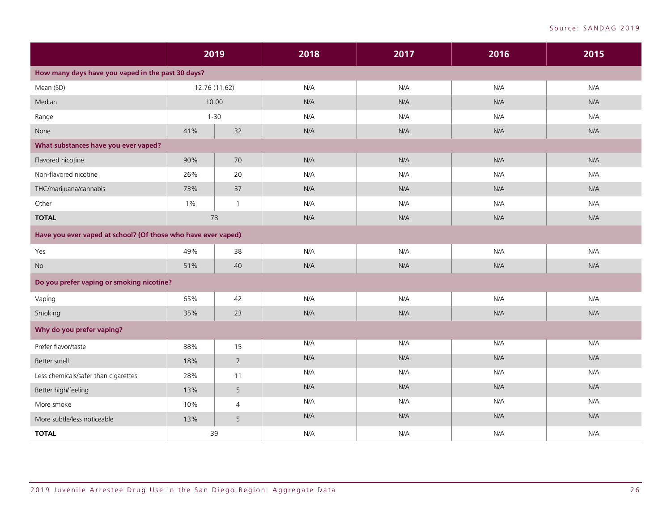|                                                               | 2019  |                | 2018 | 2017 | 2016 | 2015 |
|---------------------------------------------------------------|-------|----------------|------|------|------|------|
| How many days have you vaped in the past 30 days?             |       |                |      |      |      |      |
| Mean (SD)                                                     |       | 12.76 (11.62)  | N/A  | N/A  | N/A  | N/A  |
| Median                                                        |       | 10.00          | N/A  | N/A  | N/A  | N/A  |
| Range                                                         |       | $1 - 30$       | N/A  | N/A  | N/A  | N/A  |
| None                                                          | 41%   | 32             | N/A  | N/A  | N/A  | N/A  |
| What substances have you ever vaped?                          |       |                |      |      |      |      |
| Flavored nicotine                                             | 90%   | 70             | N/A  | N/A  | N/A  | N/A  |
| Non-flavored nicotine                                         | 26%   | 20             | N/A  | N/A  | N/A  | N/A  |
| THC/marijuana/cannabis                                        | 73%   | 57             | N/A  | N/A  | N/A  | N/A  |
| Other                                                         | $1\%$ | $\overline{1}$ | N/A  | N/A  | N/A  | N/A  |
| <b>TOTAL</b>                                                  |       | 78             | N/A  | N/A  | N/A  | N/A  |
| Have you ever vaped at school? (Of those who have ever vaped) |       |                |      |      |      |      |
| Yes                                                           | 49%   | 38             | N/A  | N/A  | N/A  | N/A  |
| <b>No</b>                                                     | 51%   | 40             | N/A  | N/A  | N/A  | N/A  |
| Do you prefer vaping or smoking nicotine?                     |       |                |      |      |      |      |
| Vaping                                                        | 65%   | 42             | N/A  | N/A  | N/A  | N/A  |
| Smoking                                                       | 35%   | 23             | N/A  | N/A  | N/A  | N/A  |
| Why do you prefer vaping?                                     |       |                |      |      |      |      |
| Prefer flavor/taste                                           | 38%   | 15             | N/A  | N/A  | N/A  | N/A  |
| Better smell                                                  | 18%   | $\overline{7}$ | N/A  | N/A  | N/A  | N/A  |
| Less chemicals/safer than cigarettes                          | 28%   | 11             | N/A  | N/A  | N/A  | N/A  |
| Better high/feeling                                           | 13%   | 5              | N/A  | N/A  | N/A  | N/A  |
| More smoke                                                    | 10%   | $\overline{4}$ | N/A  | N/A  | N/A  | N/A  |
| More subtle/less noticeable                                   | 13%   | 5              | N/A  | N/A  | N/A  | N/A  |
| <b>TOTAL</b>                                                  | 39    |                | N/A  | N/A  | N/A  | N/A  |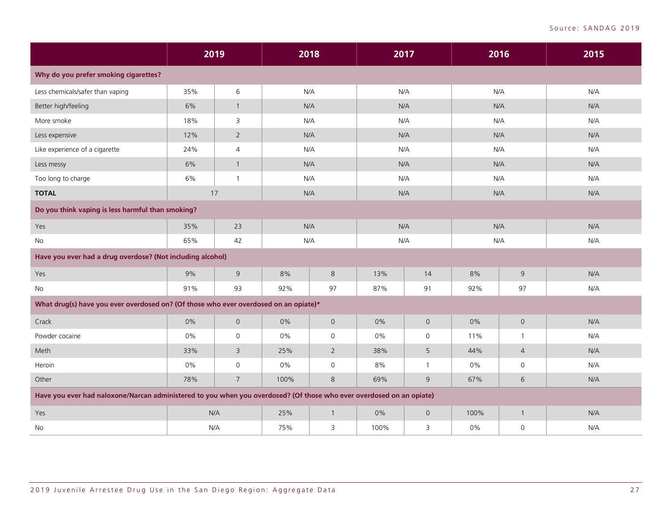|                                                                                                                      | 2019  |                | 2018 |                     | 2017  |              | 2016  |                | 2015 |
|----------------------------------------------------------------------------------------------------------------------|-------|----------------|------|---------------------|-------|--------------|-------|----------------|------|
| Why do you prefer smoking cigarettes?                                                                                |       |                |      |                     |       |              |       |                |      |
| Less chemicals/safer than vaping                                                                                     | 35%   | 6              |      | N/A                 |       | N/A          | N/A   |                | N/A  |
| Better high/feeling                                                                                                  | 6%    | $\mathbf{1}$   |      | N/A                 | N/A   |              | N/A   |                | N/A  |
| More smoke                                                                                                           | 18%   | 3              |      | N/A                 |       | N/A          |       | N/A            | N/A  |
| Less expensive                                                                                                       | 12%   | $\overline{2}$ | N/A  |                     |       | N/A          |       | N/A            | N/A  |
| Like experience of a cigarette                                                                                       | 24%   | $\overline{4}$ | N/A  |                     |       | N/A          |       | N/A            | N/A  |
| Less messy                                                                                                           | 6%    | $\mathbf{1}$   | N/A  |                     |       | N/A          |       | N/A            | N/A  |
| Too long to charge                                                                                                   | 6%    | $\mathbf{1}$   | N/A  |                     |       | N/A          |       | N/A            | N/A  |
| <b>TOTAL</b>                                                                                                         | 17    |                |      | N/A                 |       | N/A          |       | N/A            | N/A  |
| Do you think vaping is less harmful than smoking?                                                                    |       |                |      |                     |       |              |       |                |      |
| Yes                                                                                                                  | 35%   | 23             |      | N/A                 |       | N/A          |       | N/A            | N/A  |
| No                                                                                                                   | 65%   | 42             |      | N/A                 |       | N/A          |       | N/A            | N/A  |
| Have you ever had a drug overdose? (Not including alcohol)                                                           |       |                |      |                     |       |              |       |                |      |
| Yes                                                                                                                  | 9%    | $\mathsf 9$    | 8%   | 8                   | 13%   | 14           | 8%    | $\mathsf 9$    | N/A  |
| No                                                                                                                   | 91%   | 93             | 92%  | 97                  | 87%   | 91           | 92%   | 97             | N/A  |
| What drug(s) have you ever overdosed on? (Of those who ever overdosed on an opiate)*                                 |       |                |      |                     |       |              |       |                |      |
| Crack                                                                                                                | 0%    | $\overline{0}$ | 0%   | $\mathsf{O}$        | $0\%$ | $\mathsf{O}$ | 0%    | $\mathsf O$    | N/A  |
| Powder cocaine                                                                                                       | $0\%$ | $\mathsf O$    | 0%   | $\mathsf{O}\xspace$ | 0%    | $\mathsf{O}$ | 11%   | $\mathbf{1}$   | N/A  |
| Meth                                                                                                                 | 33%   | 3              | 25%  | $2^{\circ}$         | 38%   | 5            | 44%   | $\overline{4}$ | N/A  |
| Heroin                                                                                                               | 0%    | 0              | 0%   | $\mathsf{O}$        | 8%    | 1            | $0\%$ | $\mathsf{O}$   | N/A  |
| Other                                                                                                                | 78%   | $\overline{7}$ | 100% | 8                   | 69%   | 9            | 67%   | 6              | N/A  |
| Have you ever had naloxone/Narcan administered to you when you overdosed? (Of those who ever overdosed on an opiate) |       |                |      |                     |       |              |       |                |      |
| Yes                                                                                                                  | N/A   |                | 25%  | $\overline{1}$      | 0%    | $\mathbf 0$  | 100%  | $\mathbf{1}$   | N/A  |
| No                                                                                                                   | N/A   |                | 75%  | 3                   | 100%  | 3            | 0%    | $\mathsf O$    | N/A  |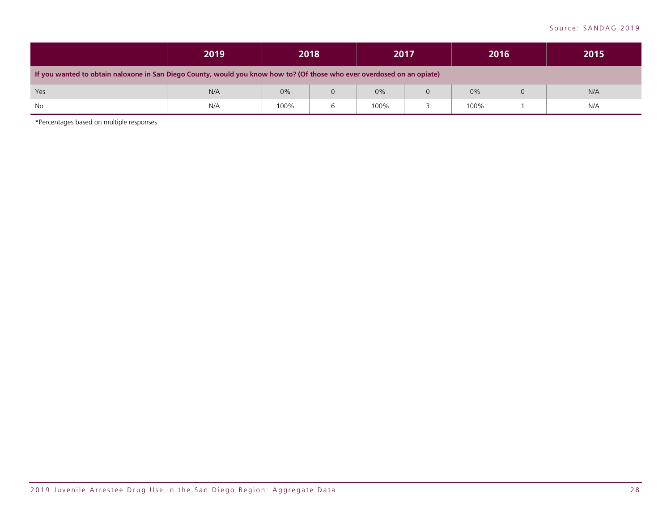|                                                                                                                         | 2019 |      | 2018 |      | 2017 |      | 2016 | 2015 |
|-------------------------------------------------------------------------------------------------------------------------|------|------|------|------|------|------|------|------|
| If you wanted to obtain naloxone in San Diego County, would you know how to? (Of those who ever overdosed on an opiate) |      |      |      |      |      |      |      |      |
| Yes                                                                                                                     | N/A  | 0%   |      | 0%   |      | 0%   | 0    | N/A  |
| No                                                                                                                      | N/A  | 100% |      | 100% |      | 100% |      | N/A  |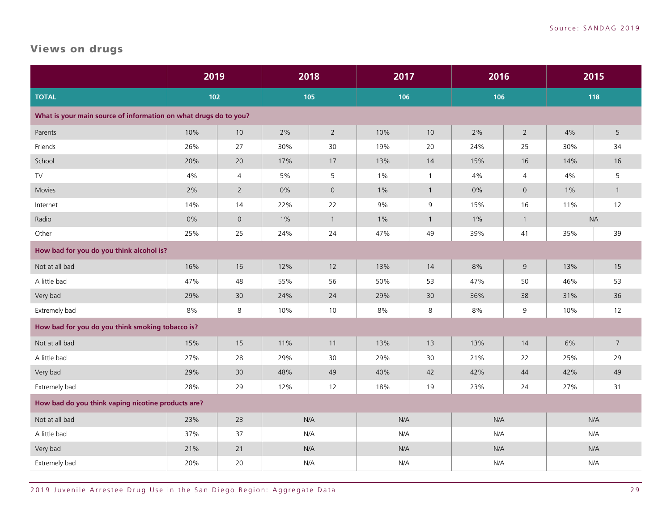# <span id="page-30-0"></span>Views on drugs

|                                                                  | 2019  |                |       | 2018                | 2017  |              | 2016  |                     | 2015      |                |
|------------------------------------------------------------------|-------|----------------|-------|---------------------|-------|--------------|-------|---------------------|-----------|----------------|
| <b>TOTAL</b>                                                     | 102   |                |       | 105                 | 106   |              | 106   |                     | 118       |                |
| What is your main source of information on what drugs do to you? |       |                |       |                     |       |              |       |                     |           |                |
| Parents                                                          | 10%   | 10             | 2%    | $\overline{2}$      | 10%   | 10           | 2%    | $\overline{2}$      | 4%        | 5              |
| Friends                                                          | 26%   | 27             | 30%   | 30                  | 19%   | 20           | 24%   | 25                  | 30%       | 34             |
| School                                                           | 20%   | 20             | 17%   | 17                  | 13%   | 14           | 15%   | 16                  | 14%       | 16             |
| ${\sf TV}$                                                       | $4\%$ | $\overline{4}$ | 5%    | 5                   | $1\%$ | $\mathbf{1}$ | 4%    | 4                   | $4\%$     | 5              |
| Movies                                                           | $2\%$ | $\overline{2}$ | 0%    | $\mathsf{O}\xspace$ | $1\%$ | $\mathbf{1}$ | 0%    | $\mathsf{O}\xspace$ | $1\%$     | $\overline{1}$ |
| Internet                                                         | 14%   | 14             | 22%   | 22                  | 9%    | 9            | 15%   | 16                  | 11%       | 12             |
| Radio                                                            | 0%    | $\mathsf{O}$   | $1\%$ | $\mathbf{1}$        | $1\%$ | $\mathbf{1}$ | $1\%$ | $\mathbf{1}$        | <b>NA</b> |                |
| Other                                                            | 25%   | 25             | 24%   | 24                  | 47%   | 49           | 39%   | $41$                | 35%       | 39             |
| How bad for you do you think alcohol is?                         |       |                |       |                     |       |              |       |                     |           |                |
| Not at all bad                                                   | 16%   | 16             | 12%   | 12                  | 13%   | 14           | 8%    | 9                   | 13%       | 15             |
| A little bad                                                     | 47%   | 48             | 55%   | 56                  | 50%   | 53           | 47%   | 50                  | 46%       | 53             |
| Very bad                                                         | 29%   | 30             | 24%   | 24                  | 29%   | 30           | 36%   | 38                  | 31%       | 36             |
| Extremely bad                                                    | 8%    | 8              | 10%   | 10                  | $8\%$ | 8            | 8%    | 9                   | 10%       | 12             |
| How bad for you do you think smoking tobacco is?                 |       |                |       |                     |       |              |       |                     |           |                |
| Not at all bad                                                   | 15%   | 15             | 11%   | 11                  | 13%   | 13           | 13%   | 14                  | 6%        | $\overline{7}$ |
| A little bad                                                     | 27%   | 28             | 29%   | 30                  | 29%   | 30           | 21%   | 22                  | 25%       | 29             |
| Very bad                                                         | 29%   | 30             | 48%   | 49                  | 40%   | 42           | 42%   | 44                  | 42%       | 49             |
| Extremely bad                                                    | 28%   | 29             | 12%   | 12                  | 18%   | 19           | 23%   | 24                  | 27%       | 31             |
| How bad do you think vaping nicotine products are?               |       |                |       |                     |       |              |       |                     |           |                |
| Not at all bad                                                   | 23%   | 23             |       | N/A                 | N/A   |              | N/A   |                     | N/A       |                |
| A little bad                                                     | 37%   | 37             |       | N/A                 | N/A   |              | N/A   |                     | N/A       |                |
| Very bad                                                         | 21%   | 21             |       | N/A                 | N/A   |              | N/A   |                     | N/A       |                |
| Extremely bad                                                    | 20%   | 20             |       | N/A                 | N/A   |              | N/A   |                     | N/A       |                |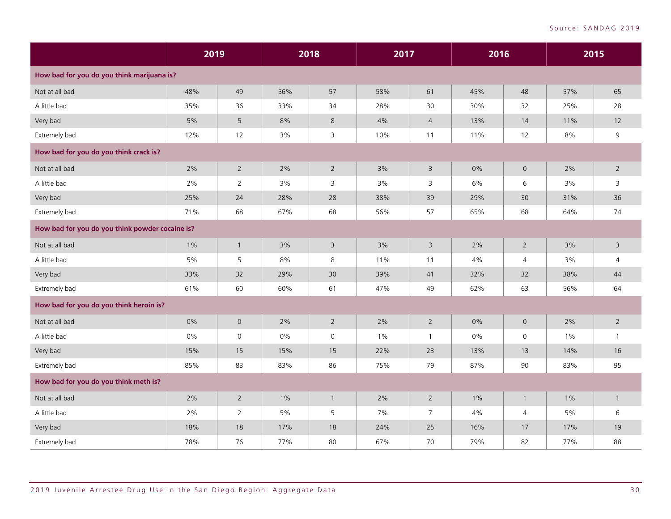|                                                 | 2019  |                |       | 2018                | 2017  |                | 2016  |                     |       | 2015           |
|-------------------------------------------------|-------|----------------|-------|---------------------|-------|----------------|-------|---------------------|-------|----------------|
| How bad for you do you think marijuana is?      |       |                |       |                     |       |                |       |                     |       |                |
| Not at all bad                                  | 48%   | 49             | 56%   | 57                  | 58%   | 61             | 45%   | 48                  | 57%   | 65             |
| A little bad                                    | 35%   | 36             | 33%   | 34                  | 28%   | 30             | 30%   | 32                  | 25%   | 28             |
| Very bad                                        | $5\%$ | 5              | 8%    | $8\phantom{1}$      | 4%    | $\overline{4}$ | 13%   | 14                  | 11%   | 12             |
| Extremely bad                                   | 12%   | 12             | 3%    | 3                   | 10%   | 11             | 11%   | 12                  | 8%    | 9              |
| How bad for you do you think crack is?          |       |                |       |                     |       |                |       |                     |       |                |
| Not at all bad                                  | $2\%$ | $\overline{2}$ | 2%    | $\overline{2}$      | 3%    | $\mathsf{3}$   | 0%    | $\mathsf{O}\xspace$ | $2\%$ | $2^{\circ}$    |
| A little bad                                    | 2%    | $\overline{2}$ | 3%    | 3                   | 3%    | 3              | 6%    | 6                   | 3%    | 3              |
| Very bad                                        | 25%   | 24             | 28%   | 28                  | 38%   | 39             | 29%   | 30                  | 31%   | 36             |
| Extremely bad                                   | 71%   | 68             | 67%   | 68                  | 56%   | 57             | 65%   | 68                  | 64%   | 74             |
| How bad for you do you think powder cocaine is? |       |                |       |                     |       |                |       |                     |       |                |
| Not at all bad                                  | $1\%$ | $\mathbf{1}$   | 3%    | $\overline{3}$      | 3%    | 3              | 2%    | $\overline{2}$      | 3%    | 3              |
| A little bad                                    | 5%    | 5              | 8%    | 8                   | 11%   | 11             | 4%    | $\overline{4}$      | 3%    | $\overline{4}$ |
| Very bad                                        | 33%   | 32             | 29%   | 30                  | 39%   | 41             | 32%   | 32                  | 38%   | 44             |
| Extremely bad                                   | 61%   | 60             | 60%   | 61                  | 47%   | 49             | 62%   | 63                  | 56%   | 64             |
| How bad for you do you think heroin is?         |       |                |       |                     |       |                |       |                     |       |                |
| Not at all bad                                  | 0%    | $\mathbf 0$    | 2%    | $\overline{2}$      | 2%    | $2^{\circ}$    | 0%    | $\mathbf 0$         | 2%    | $2^{\circ}$    |
| A little bad                                    | 0%    | $\mathsf{O}$   | 0%    | $\mathsf{O}\xspace$ | $1\%$ | $\mathbf{1}$   | 0%    | $\mathsf{O}$        | $1\%$ | $\mathbf{1}$   |
| Very bad                                        | 15%   | 15             | 15%   | 15                  | 22%   | 23             | 13%   | 13                  | 14%   | 16             |
| Extremely bad                                   | 85%   | 83             | 83%   | 86                  | 75%   | 79             | 87%   | 90                  | 83%   | 95             |
| How bad for you do you think meth is?           |       |                |       |                     |       |                |       |                     |       |                |
| Not at all bad                                  | 2%    | $\overline{2}$ | $1\%$ | $\overline{1}$      | 2%    | $\overline{2}$ | $1\%$ | $\mathbf{1}$        | $1\%$ | $\mathbf{1}$   |
| A little bad                                    | 2%    | $\overline{2}$ | $5\%$ | 5                   | 7%    | $\overline{7}$ | 4%    | 4                   | 5%    | 6              |
| Very bad                                        | 18%   | 18             | 17%   | 18                  | 24%   | 25             | 16%   | 17                  | 17%   | 19             |
| Extremely bad                                   | 78%   | 76             | 77%   | 80                  | 67%   | 70             | 79%   | 82                  | 77%   | 88             |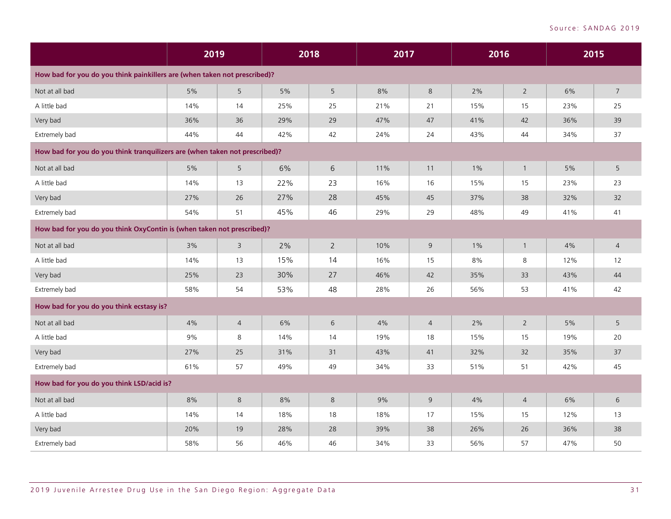|                                                                             | 2019 |                |       | 2018           | 2017 |                | 2016  |                |       | 2015           |
|-----------------------------------------------------------------------------|------|----------------|-------|----------------|------|----------------|-------|----------------|-------|----------------|
| How bad for you do you think painkillers are (when taken not prescribed)?   |      |                |       |                |      |                |       |                |       |                |
| Not at all bad                                                              | 5%   | 5              | $5\%$ | 5              | 8%   | 8              | $2\%$ | $\sqrt{2}$     | $6\%$ | $\overline{7}$ |
| A little bad                                                                | 14%  | 14             | 25%   | 25             | 21%  | 21             | 15%   | 15             | 23%   | 25             |
| Very bad                                                                    | 36%  | 36             | 29%   | 29             | 47%  | 47             | 41%   | 42             | 36%   | 39             |
| Extremely bad                                                               | 44%  | 44             | 42%   | 42             | 24%  | 24             | 43%   | 44             | 34%   | 37             |
| How bad for you do you think tranquilizers are (when taken not prescribed)? |      |                |       |                |      |                |       |                |       |                |
| Not at all bad                                                              | 5%   | 5              | 6%    | 6              | 11%  | 11             | $1\%$ | $\mathbf{1}$   | 5%    | 5              |
| A little bad                                                                | 14%  | 13             | 22%   | 23             | 16%  | 16             | 15%   | 15             | 23%   | 23             |
| Very bad                                                                    | 27%  | 26             | 27%   | 28             | 45%  | 45             | 37%   | 38             | 32%   | 32             |
| Extremely bad                                                               | 54%  | 51             | 45%   | 46             | 29%  | 29             | 48%   | 49             | 41%   | 41             |
| How bad for you do you think OxyContin is (when taken not prescribed)?      |      |                |       |                |      |                |       |                |       |                |
| Not at all bad                                                              | 3%   | 3              | 2%    | $\overline{2}$ | 10%  | 9              | 1%    | $\mathbf{1}$   | 4%    | $\overline{4}$ |
| A little bad                                                                | 14%  | 13             | 15%   | 14             | 16%  | 15             | 8%    | 8              | 12%   | 12             |
| Very bad                                                                    | 25%  | 23             | 30%   | 27             | 46%  | 42             | 35%   | 33             | 43%   | 44             |
| Extremely bad                                                               | 58%  | 54             | 53%   | 48             | 28%  | 26             | 56%   | 53             | 41%   | 42             |
| How bad for you do you think ecstasy is?                                    |      |                |       |                |      |                |       |                |       |                |
| Not at all bad                                                              | 4%   | $\overline{4}$ | 6%    | 6              | 4%   | $\overline{4}$ | 2%    | $\overline{2}$ | 5%    | 5              |
| A little bad                                                                | 9%   | 8              | 14%   | 14             | 19%  | 18             | 15%   | 15             | 19%   | 20             |
| Very bad                                                                    | 27%  | 25             | 31%   | 31             | 43%  | 41             | 32%   | 32             | 35%   | 37             |
| Extremely bad                                                               | 61%  | 57             | 49%   | 49             | 34%  | 33             | 51%   | 51             | 42%   | 45             |
| How bad for you do you think LSD/acid is?                                   |      |                |       |                |      |                |       |                |       |                |
| Not at all bad                                                              | 8%   | $\,8\,$        | 8%    | $\,8\,$        | 9%   | $\overline{9}$ | 4%    | $\overline{4}$ | 6%    | 6              |
| A little bad                                                                | 14%  | 14             | 18%   | 18             | 18%  | 17             | 15%   | 15             | 12%   | 13             |
| Very bad                                                                    | 20%  | 19             | 28%   | 28             | 39%  | 38             | 26%   | 26             | 36%   | 38             |
| Extremely bad                                                               | 58%  | 56             | 46%   | 46             | 34%  | 33             | 56%   | 57             | 47%   | 50             |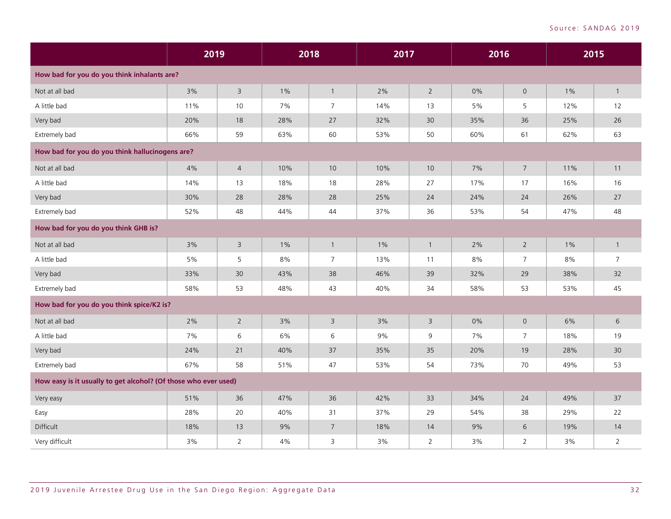|                                                                 | 2019 |                |       | 2018           | 2017  |                | 2016 |                | 2015  |                |
|-----------------------------------------------------------------|------|----------------|-------|----------------|-------|----------------|------|----------------|-------|----------------|
| How bad for you do you think inhalants are?                     |      |                |       |                |       |                |      |                |       |                |
| Not at all bad                                                  | 3%   | $\overline{3}$ | $1\%$ | $\mathbf{1}$   | 2%    | $\overline{2}$ | 0%   | $\mathbf{0}$   | $1\%$ | $\mathbf{1}$   |
| A little bad                                                    | 11%  | 10             | 7%    | $\overline{7}$ | 14%   | 13             | 5%   | 5              | 12%   | 12             |
| Very bad                                                        | 20%  | 18             | 28%   | 27             | 32%   | 30             | 35%  | 36             | 25%   | 26             |
| Extremely bad                                                   | 66%  | 59             | 63%   | 60             | 53%   | 50             | 60%  | 61             | 62%   | 63             |
| How bad for you do you think hallucinogens are?                 |      |                |       |                |       |                |      |                |       |                |
| Not at all bad                                                  | 4%   | $\sqrt{4}$     | 10%   | 10             | 10%   | $10$           | 7%   | $\overline{7}$ | 11%   | 11             |
| A little bad                                                    | 14%  | 13             | 18%   | 18             | 28%   | 27             | 17%  | 17             | 16%   | 16             |
| Very bad                                                        | 30%  | 28             | 28%   | 28             | 25%   | 24             | 24%  | 24             | 26%   | 27             |
| Extremely bad                                                   | 52%  | 48             | 44%   | 44             | 37%   | 36             | 53%  | 54             | 47%   | 48             |
| How bad for you do you think GHB is?                            |      |                |       |                |       |                |      |                |       |                |
| Not at all bad                                                  | 3%   | $\overline{3}$ | $1\%$ | $\mathbf{1}$   | $1\%$ | $\mathbf{1}$   | 2%   | $\overline{2}$ | $1\%$ | $\mathbf{1}$   |
| A little bad                                                    | 5%   | 5              | 8%    | $\overline{7}$ | 13%   | 11             | 8%   | $\overline{7}$ | 8%    | $\overline{7}$ |
| Very bad                                                        | 33%  | 30             | 43%   | 38             | 46%   | 39             | 32%  | 29             | 38%   | 32             |
| Extremely bad                                                   | 58%  | 53             | 48%   | 43             | 40%   | 34             | 58%  | 53             | 53%   | 45             |
| How bad for you do you think spice/K2 is?                       |      |                |       |                |       |                |      |                |       |                |
| Not at all bad                                                  | 2%   | $\overline{2}$ | 3%    | $\overline{3}$ | 3%    | $\overline{3}$ | 0%   | $\overline{0}$ | 6%    | 6              |
| A little bad                                                    | 7%   | 6              | 6%    | 6              | 9%    | 9              | 7%   | 7              | 18%   | 19             |
| Very bad                                                        | 24%  | 21             | 40%   | 37             | 35%   | 35             | 20%  | 19             | 28%   | 30             |
| Extremely bad                                                   | 67%  | 58             | 51%   | 47             | 53%   | 54             | 73%  | 70             | 49%   | 53             |
| How easy is it usually to get alcohol? (Of those who ever used) |      |                |       |                |       |                |      |                |       |                |
| Very easy                                                       | 51%  | 36             | 47%   | 36             | 42%   | 33             | 34%  | 24             | 49%   | 37             |
| Easy                                                            | 28%  | 20             | 40%   | 31             | 37%   | 29             | 54%  | 38             | 29%   | 22             |
| Difficult                                                       | 18%  | 13             | 9%    | $\overline{7}$ | 18%   | 14             | 9%   | 6              | 19%   | 14             |
| Very difficult                                                  | 3%   | $\overline{2}$ | $4\%$ | 3              | 3%    | $\overline{2}$ | 3%   | $\overline{2}$ | 3%    | $\overline{2}$ |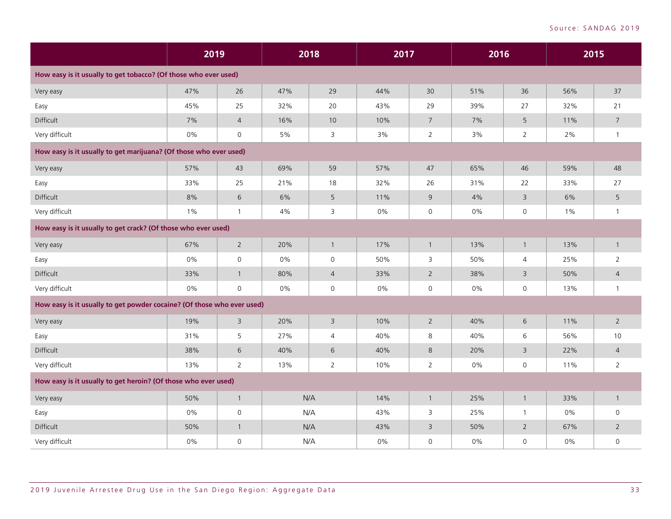|                                                                        | 2019  |                |       | 2018                | 2017 |                 | 2016 |                 | 2015  |                |
|------------------------------------------------------------------------|-------|----------------|-------|---------------------|------|-----------------|------|-----------------|-------|----------------|
| How easy is it usually to get tobacco? (Of those who ever used)        |       |                |       |                     |      |                 |      |                 |       |                |
| Very easy                                                              | 47%   | 26             | 47%   | 29                  | 44%  | 30              | 51%  | 36              | 56%   | 37             |
| Easy                                                                   | 45%   | 25             | 32%   | 20                  | 43%  | 29              | 39%  | 27              | 32%   | 21             |
| Difficult                                                              | 7%    | $\overline{4}$ | 16%   | 10                  | 10%  | $7\overline{ }$ | 7%   | $5\phantom{.0}$ | 11%   | $\overline{7}$ |
| Very difficult                                                         | $0\%$ | $\mathbf 0$    | $5\%$ | 3                   | 3%   | $\overline{2}$  | 3%   | $\overline{2}$  | 2%    | $\mathbf{1}$   |
| How easy is it usually to get marijuana? (Of those who ever used)      |       |                |       |                     |      |                 |      |                 |       |                |
| Very easy                                                              | 57%   | 43             | 69%   | 59                  | 57%  | 47              | 65%  | 46              | 59%   | 48             |
| Easy                                                                   | 33%   | 25             | 21%   | 18                  | 32%  | 26              | 31%  | 22              | 33%   | 27             |
| Difficult                                                              | 8%    | 6              | 6%    | 5                   | 11%  | 9               | 4%   | 3               | 6%    | 5              |
| Very difficult                                                         | $1\%$ | $\overline{1}$ | 4%    | 3                   | 0%   | 0               | 0%   | $\mathsf{O}$    | $1\%$ | -1             |
| How easy is it usually to get crack? (Of those who ever used)          |       |                |       |                     |      |                 |      |                 |       |                |
| Very easy                                                              | 67%   | $\overline{2}$ | 20%   | $\mathbf{1}$        | 17%  | $\overline{1}$  | 13%  | $\overline{1}$  | 13%   | $\mathbf{1}$   |
| Easy                                                                   | 0%    | $\mathsf{O}$   | $0\%$ | $\mathsf{O}\xspace$ | 50%  | 3               | 50%  | $\overline{4}$  | 25%   | $\overline{2}$ |
| Difficult                                                              | 33%   | $\overline{1}$ | 80%   | $\overline{4}$      | 33%  | $\overline{2}$  | 38%  | $\overline{3}$  | 50%   | $\overline{4}$ |
| Very difficult                                                         | 0%    | $\mathbf 0$    | 0%    | 0                   | 0%   | 0               | 0%   | $\mathbf 0$     | 13%   | $\mathbf{1}$   |
| How easy is it usually to get powder cocaine? (Of those who ever used) |       |                |       |                     |      |                 |      |                 |       |                |
| Very easy                                                              | 19%   | $\overline{3}$ | 20%   | $\overline{3}$      | 10%  | $\overline{2}$  | 40%  | 6               | 11%   | $2^{\circ}$    |
| Easy                                                                   | 31%   | 5              | 27%   | $\overline{4}$      | 40%  | 8               | 40%  | 6               | 56%   | 10             |
| Difficult                                                              | 38%   | $6\,$          | 40%   | 6                   | 40%  | $8\phantom{1}$  | 20%  | $\overline{3}$  | 22%   | $\overline{4}$ |
| Very difficult                                                         | 13%   | $\overline{2}$ | 13%   | $\overline{2}$      | 10%  | $\overline{2}$  | 0%   | $\mathsf{O}$    | 11%   | $\overline{2}$ |
| How easy is it usually to get heroin? (Of those who ever used)         |       |                |       |                     |      |                 |      |                 |       |                |
| Very easy                                                              | 50%   | $\overline{1}$ |       | N/A                 | 14%  | $\mathbf{1}$    | 25%  | $\mathbf{1}$    | 33%   | $\mathbf{1}$   |
| Easy                                                                   | 0%    | $\mathsf{O}$   |       | N/A                 | 43%  | 3               | 25%  | $\overline{1}$  | $0\%$ | 0              |
| Difficult                                                              | 50%   | $\overline{1}$ |       | N/A                 | 43%  | $\overline{3}$  | 50%  | $\overline{2}$  | 67%   | $\overline{2}$ |
| Very difficult                                                         | $0\%$ | $\mathbf 0$    |       | N/A                 | 0%   | $\Omega$        | 0%   | $\mathsf 0$     | $0\%$ | $\mathsf{O}$   |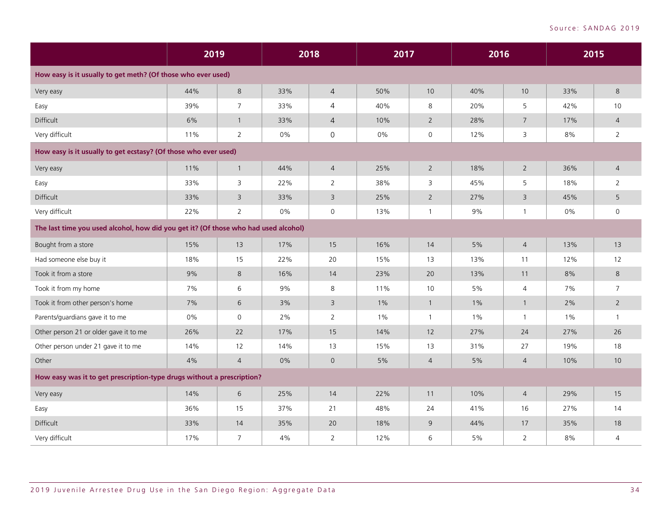|                                                                                     | 2019 |                |       | 2018           | 2017  |                | 2016  |                |       | 2015           |
|-------------------------------------------------------------------------------------|------|----------------|-------|----------------|-------|----------------|-------|----------------|-------|----------------|
| How easy is it usually to get meth? (Of those who ever used)                        |      |                |       |                |       |                |       |                |       |                |
| Very easy                                                                           | 44%  | $\,8\,$        | 33%   | $\overline{4}$ | 50%   | 10             | 40%   | 10             | 33%   | 8              |
| Easy                                                                                | 39%  | $\overline{7}$ | 33%   | 4              | 40%   | 8              | 20%   | 5              | 42%   | 10             |
| Difficult                                                                           | 6%   | $\mathbf{1}$   | 33%   | $\overline{4}$ | 10%   | $2^{\circ}$    | 28%   | $\overline{7}$ | 17%   | $\overline{4}$ |
| Very difficult                                                                      | 11%  | $\overline{2}$ | $0\%$ | $\mathsf{O}$   | 0%    | $\mathsf{O}$   | 12%   | 3              | 8%    | $\overline{2}$ |
| How easy is it usually to get ecstasy? (Of those who ever used)                     |      |                |       |                |       |                |       |                |       |                |
| Very easy                                                                           | 11%  | $\overline{1}$ | 44%   | $\overline{4}$ | 25%   | $2^{\circ}$    | 18%   | $\overline{2}$ | 36%   | $\overline{4}$ |
| Easy                                                                                | 33%  | 3              | 22%   | $\overline{2}$ | 38%   | 3              | 45%   | 5              | 18%   | 2              |
| Difficult                                                                           | 33%  | $\overline{3}$ | 33%   | $\overline{3}$ | 25%   | $2^{\circ}$    | 27%   | 3              | 45%   | 5              |
| Very difficult                                                                      | 22%  | $\overline{2}$ | 0%    | $\mathsf{O}$   | 13%   | $\mathbf{1}$   | 9%    | $\mathbf{1}$   | $0\%$ | 0              |
| The last time you used alcohol, how did you get it? (Of those who had used alcohol) |      |                |       |                |       |                |       |                |       |                |
| Bought from a store                                                                 | 15%  | 13             | 17%   | 15             | 16%   | 14             | 5%    | $\overline{4}$ | 13%   | 13             |
| Had someone else buy it                                                             | 18%  | 15             | 22%   | 20             | 15%   | 13             | 13%   | 11             | 12%   | 12             |
| Took it from a store                                                                | 9%   | 8              | 16%   | 14             | 23%   | 20             | 13%   | 11             | 8%    | 8              |
| Took it from my home                                                                | 7%   | 6              | 9%    | 8              | 11%   | 10             | 5%    | $\overline{4}$ | 7%    | $\overline{7}$ |
| Took it from other person's home                                                    | 7%   | 6              | 3%    | $\overline{3}$ | $1\%$ | $\mathbf{1}$   | 1%    | $\mathbf{1}$   | 2%    | $\overline{2}$ |
| Parents/guardians gave it to me                                                     | 0%   | $\mathbf 0$    | 2%    | $\overline{2}$ | 1%    | $\mathbf{1}$   | $1\%$ | $\mathbf{1}$   | $1\%$ | $\mathbf{1}$   |
| Other person 21 or older gave it to me                                              | 26%  | 22             | 17%   | 15             | 14%   | 12             | 27%   | 24             | 27%   | 26             |
| Other person under 21 gave it to me                                                 | 14%  | $12$           | 14%   | 13             | 15%   | 13             | 31%   | 27             | 19%   | 18             |
| Other                                                                               | 4%   | $\overline{4}$ | 0%    | $\mathbf 0$    | 5%    | $\overline{4}$ | 5%    | $\overline{4}$ | 10%   | 10             |
| How easy was it to get prescription-type drugs without a prescription?              |      |                |       |                |       |                |       |                |       |                |
| Very easy                                                                           | 14%  | 6              | 25%   | 14             | 22%   | 11             | 10%   | $\overline{4}$ | 29%   | 15             |
| Easy                                                                                | 36%  | 15             | 37%   | 21             | 48%   | 24             | 41%   | 16             | 27%   | 14             |
| Difficult                                                                           | 33%  | 14             | 35%   | 20             | 18%   | 9              | 44%   | 17             | 35%   | 18             |
| Very difficult                                                                      | 17%  | $\overline{7}$ | 4%    | $\overline{2}$ | 12%   | 6              | 5%    | $\overline{2}$ | 8%    | 4              |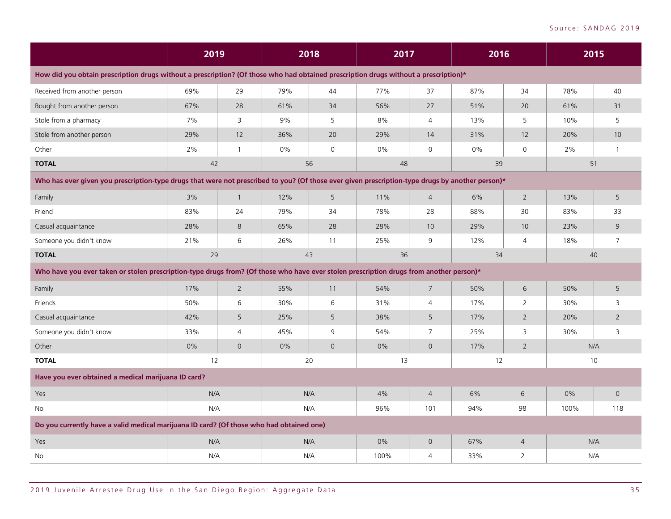|                                                                                                                                                  | 2019  |                |     | 2018         | 2017  |                | 2016 |                |       | 2015            |
|--------------------------------------------------------------------------------------------------------------------------------------------------|-------|----------------|-----|--------------|-------|----------------|------|----------------|-------|-----------------|
| How did you obtain prescription drugs without a prescription? (Of those who had obtained prescription drugs without a prescription)*             |       |                |     |              |       |                |      |                |       |                 |
| Received from another person                                                                                                                     | 69%   | 29             | 79% | 44           | 77%   | 37             | 87%  | 34             | 78%   | 40              |
| Bought from another person                                                                                                                       | 67%   | 28             | 61% | 34           | 56%   | 27             | 51%  | 20             | 61%   | 31              |
| Stole from a pharmacy                                                                                                                            | 7%    | 3              | 9%  | 5            | 8%    | $\overline{4}$ | 13%  | 5              | 10%   | 5               |
| Stole from another person                                                                                                                        | 29%   | 12             | 36% | 20           | 29%   | 14             | 31%  | 12             | 20%   | 10 <sup>°</sup> |
| Other                                                                                                                                            | $2\%$ | $\overline{1}$ | 0%  | $\mathsf{O}$ | 0%    | $\mathbf 0$    | 0%   | $\mathsf{O}$   | 2%    |                 |
| <b>TOTAL</b>                                                                                                                                     | 42    |                |     | 56           | 48    |                | 39   |                | 51    |                 |
| Who has ever given you prescription-type drugs that were not prescribed to you? (Of those ever given prescription-type drugs by another person)* |       |                |     |              |       |                |      |                |       |                 |
| Family                                                                                                                                           | 3%    | $\overline{1}$ | 12% | 5            | 11%   | $\overline{4}$ | 6%   | $\overline{2}$ | 13%   | 5               |
| Friend                                                                                                                                           | 83%   | 24             | 79% | 34           | 78%   | 28             | 88%  | 30             | 83%   | 33              |
| Casual acquaintance                                                                                                                              | 28%   | 8              | 65% | 28           | 28%   | 10             | 29%  | 10             | 23%   | 9               |
| Someone you didn't know                                                                                                                          | 21%   | 6              | 26% | 11           | 25%   | 9              | 12%  | $\overline{4}$ | 18%   | $\overline{7}$  |
| <b>TOTAL</b>                                                                                                                                     | 29    |                |     | 43           | 36    |                | 34   |                |       | 40              |
| Who have you ever taken or stolen prescription-type drugs from? (Of those who have ever stolen prescription drugs from another person)*          |       |                |     |              |       |                |      |                |       |                 |
| Family                                                                                                                                           | 17%   | $\overline{2}$ | 55% | 11           | 54%   | $\overline{7}$ | 50%  | 6              | 50%   | 5               |
| Friends                                                                                                                                          | 50%   | 6              | 30% | 6            | 31%   | $\overline{4}$ | 17%  | 2              | 30%   | 3               |
| Casual acquaintance                                                                                                                              | 42%   | 5              | 25% | 5            | 38%   | 5              | 17%  | $\overline{2}$ | 20%   | $\overline{2}$  |
| Someone you didn't know                                                                                                                          | 33%   | $\overline{4}$ | 45% | 9            | 54%   | $\overline{7}$ | 25%  | 3              | 30%   | 3               |
| Other                                                                                                                                            | 0%    | $\mathbf{O}$   | 0%  | $\mathbf{0}$ | 0%    | $\overline{0}$ | 17%  | $\overline{2}$ |       | N/A             |
| <b>TOTAL</b>                                                                                                                                     | 12    |                |     | 20           | 13    |                | 12   |                |       | 10              |
| Have you ever obtained a medical marijuana ID card?                                                                                              |       |                |     |              |       |                |      |                |       |                 |
| Yes                                                                                                                                              | N/A   |                |     | N/A          | 4%    | $\overline{4}$ | 6%   | 6              | $0\%$ | $\overline{0}$  |
| No                                                                                                                                               | N/A   |                |     | N/A          | 96%   | 101            | 94%  | 98             | 100%  | 118             |
| Do you currently have a valid medical marijuana ID card? (Of those who had obtained one)                                                         |       |                |     |              |       |                |      |                |       |                 |
| Yes                                                                                                                                              | N/A   |                |     | N/A          | $0\%$ | $\mathbf 0$    | 67%  | $\overline{4}$ |       | N/A             |
| No                                                                                                                                               | N/A   |                |     | N/A          | 100%  | $\overline{4}$ | 33%  | $\overline{2}$ |       | N/A             |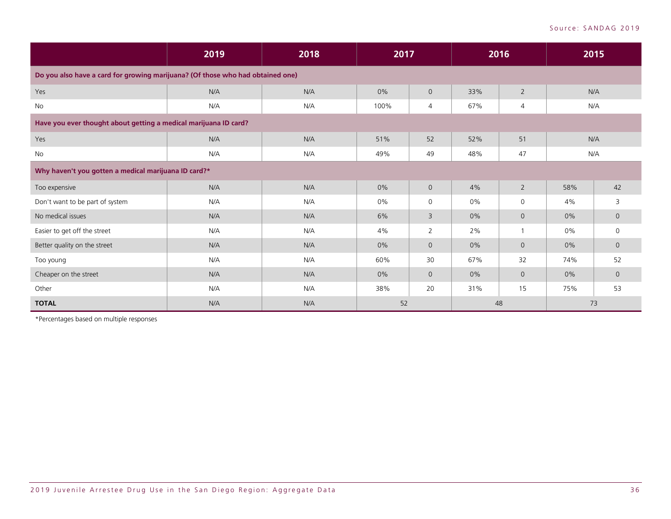|                                                                                | 2019 | 2018<br>2017<br>2016 |       |                | 2015 |                |       |                |
|--------------------------------------------------------------------------------|------|----------------------|-------|----------------|------|----------------|-------|----------------|
| Do you also have a card for growing marijuana? (Of those who had obtained one) |      |                      |       |                |      |                |       |                |
| Yes                                                                            | N/A  | N/A                  | 0%    | $\overline{0}$ | 33%  | $\overline{2}$ | N/A   |                |
| No                                                                             | N/A  | N/A                  | 100%  | 4              | 67%  | $\overline{4}$ | N/A   |                |
| Have you ever thought about getting a medical marijuana ID card?               |      |                      |       |                |      |                |       |                |
| Yes                                                                            | N/A  | N/A                  | 51%   | 52             | 52%  | 51             | N/A   |                |
| No                                                                             | N/A  | N/A                  | 49%   | 49             | 48%  | 47             | N/A   |                |
| Why haven't you gotten a medical marijuana ID card?*                           |      |                      |       |                |      |                |       |                |
| Too expensive                                                                  | N/A  | N/A                  | 0%    | $\overline{0}$ | 4%   | $\overline{2}$ | 58%   | 42             |
| Don't want to be part of system                                                | N/A  | N/A                  | 0%    | 0              | 0%   | 0              | 4%    | 3              |
| No medical issues                                                              | N/A  | N/A                  | 6%    | 3              | 0%   | $\overline{0}$ | $0\%$ | $\overline{0}$ |
| Easier to get off the street                                                   | N/A  | N/A                  | 4%    | $\overline{2}$ | 2%   | $\mathbf{1}$   | $0\%$ | $\mathbf 0$    |
| Better quality on the street                                                   | N/A  | N/A                  | $0\%$ | $\Omega$       | 0%   | $\overline{0}$ | 0%    | $\overline{0}$ |
| Too young                                                                      | N/A  | N/A                  | 60%   | 30             | 67%  | 32             | 74%   | 52             |
| Cheaper on the street                                                          | N/A  | N/A                  | $0\%$ | $\Omega$       | 0%   | $\overline{0}$ | $0\%$ | $\overline{0}$ |
| Other                                                                          | N/A  | N/A                  | 38%   | 20             | 31%  | 15             | 75%   | 53             |
| <b>TOTAL</b>                                                                   | N/A  | N/A                  | 52    |                | 48   |                | 73    |                |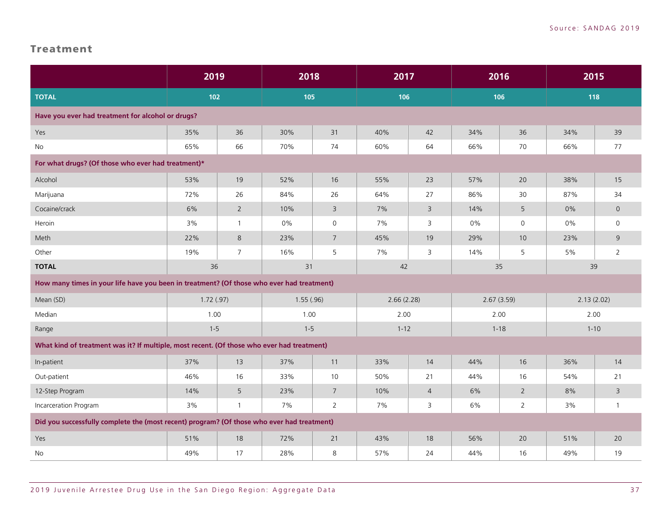#### <span id="page-38-0"></span>Treatment

|                                                                                            | 2019      |                | 2018      |                 | 2017       |                | 2016       |                     | 2015       |                     |
|--------------------------------------------------------------------------------------------|-----------|----------------|-----------|-----------------|------------|----------------|------------|---------------------|------------|---------------------|
| <b>TOTAL</b>                                                                               |           | $102$          |           | 105             |            | 106            |            | 106                 |            | 118                 |
| Have you ever had treatment for alcohol or drugs?                                          |           |                |           |                 |            |                |            |                     |            |                     |
| Yes                                                                                        | 35%       | 36             | 30%       | 31              | 40%        | 42             | 34%        | 36                  | 34%        | 39                  |
| No                                                                                         | 65%       | 66             | 70%       | 74              | 60%        | 64             | 66%        | 70                  | 66%        | 77                  |
| For what drugs? (Of those who ever had treatment)*                                         |           |                |           |                 |            |                |            |                     |            |                     |
| Alcohol                                                                                    | 53%       | 19             | 52%       | 16              | 55%        | 23             | 57%        | 20                  | 38%        | 15                  |
| Marijuana                                                                                  | 72%       | 26             | 84%       | 26              | 64%        | 27             | 86%        | 30                  | 87%        | 34                  |
| Cocaine/crack                                                                              | 6%        | $\overline{2}$ | 10%       | $\overline{3}$  | 7%         | $\overline{3}$ | 14%        | 5                   | 0%         | $\mathsf{O}$        |
| Heroin                                                                                     | 3%        | $\overline{1}$ | $0\%$     | $\mathsf{O}$    | 7%         | 3              | 0%         | $\mathsf{O}\xspace$ | 0%         | $\mathsf{O}\xspace$ |
| Meth                                                                                       | 22%       | 8              | 23%       | $7\overline{ }$ | 45%        | 19             | 29%        | 10 <sup>°</sup>     | 23%        | 9                   |
| Other                                                                                      | 19%       | $\overline{7}$ | 16%       | 5               | 7%         | $\overline{3}$ | 14%        | 5                   | 5%         | $\overline{2}$      |
| <b>TOTAL</b>                                                                               | 36        |                | 31        |                 | 42         |                | 35         |                     | 39         |                     |
| How many times in your life have you been in treatment? (Of those who ever had treatment)  |           |                |           |                 |            |                |            |                     |            |                     |
| Mean (SD)                                                                                  | 1.72(.97) |                | 1.55(.96) |                 | 2.66(2.28) |                | 2.67(3.59) |                     | 2.13(2.02) |                     |
| Median                                                                                     | 1.00      |                | 1.00      |                 | 2.00       |                | 2.00       |                     | 2.00       |                     |
| Range                                                                                      | $1 - 5$   |                | $1 - 5$   |                 | $1 - 12$   |                | $1 - 18$   |                     | $1 - 10$   |                     |
| What kind of treatment was it? If multiple, most recent. (Of those who ever had treatment) |           |                |           |                 |            |                |            |                     |            |                     |
| In-patient                                                                                 | 37%       | 13             | 37%       | 11              | 33%        | 14             | 44%        | 16                  | 36%        | 14                  |
| Out-patient                                                                                | 46%       | 16             | 33%       | 10              | 50%        | 21             | 44%        | 16                  | 54%        | 21                  |
| 12-Step Program                                                                            | 14%       | 5              | 23%       | $7\overline{ }$ | 10%        | $\overline{4}$ | 6%         | $2\overline{ }$     | 8%         | 3                   |
| Incarceration Program                                                                      | 3%        | $\overline{1}$ | 7%        | $\overline{2}$  | 7%         | 3              | 6%         | $\overline{2}$      | 3%         | $\mathbf{1}$        |
| Did you successfully complete the (most recent) program? (Of those who ever had treatment) |           |                |           |                 |            |                |            |                     |            |                     |
| Yes                                                                                        | 51%       | 18             | 72%       | 21              | 43%        | 18             | 56%        | 20                  | 51%        | 20                  |
| No                                                                                         | 49%       | 17             | 28%       | 8               | 57%        | 24             | 44%        | 16                  | 49%        | 19                  |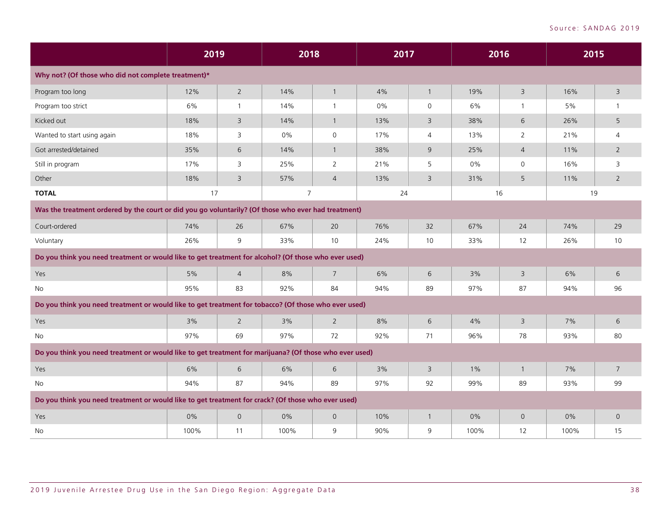|                                                                                                        | 2019  |                | 2018           |                     | 2017  |                | 2016  |                | 2015  |                 |
|--------------------------------------------------------------------------------------------------------|-------|----------------|----------------|---------------------|-------|----------------|-------|----------------|-------|-----------------|
| Why not? (Of those who did not complete treatment)*                                                    |       |                |                |                     |       |                |       |                |       |                 |
| Program too long                                                                                       | 12%   | $\overline{2}$ | 14%            | $\mathbf{1}$        | 4%    | $\mathbf{1}$   | 19%   | $\mathsf 3$    | 16%   | 3               |
| Program too strict                                                                                     | 6%    | $\overline{1}$ | 14%            | $\mathbf{1}$        | $0\%$ | $\mathsf{O}$   | 6%    | 1              | 5%    | $\mathbf{1}$    |
| Kicked out                                                                                             | 18%   | $\overline{3}$ | 14%            | $\mathbf{1}$        | 13%   | $\overline{3}$ | 38%   | 6              | 26%   | 5               |
| Wanted to start using again                                                                            | 18%   | 3              | $0\%$          | $\mathsf{O}\xspace$ | 17%   | $\overline{4}$ | 13%   | $\overline{2}$ | 21%   | $\overline{4}$  |
| Got arrested/detained                                                                                  | 35%   | 6              | 14%            | $\mathbf{1}$        | 38%   | 9              | 25%   | $\overline{4}$ | 11%   | $\overline{2}$  |
| Still in program                                                                                       | 17%   | $\overline{3}$ | 25%            | $\overline{2}$      | 21%   | 5              | 0%    | $\mathsf{O}$   | 16%   | 3               |
| Other                                                                                                  | 18%   | $\overline{3}$ | 57%            | $\overline{4}$      | 13%   | $\overline{3}$ | 31%   | 5              | 11%   | $2^{\circ}$     |
| <b>TOTAL</b>                                                                                           | 17    |                | $\overline{7}$ |                     | 24    |                | 16    |                | 19    |                 |
| Was the treatment ordered by the court or did you go voluntarily? (Of those who ever had treatment)    |       |                |                |                     |       |                |       |                |       |                 |
| Court-ordered                                                                                          | 74%   | 26             | 67%            | 20                  | 76%   | 32             | 67%   | 24             | 74%   | 29              |
| Voluntary                                                                                              | 26%   | 9              | 33%            | 10                  | 24%   | 10             | 33%   | 12             | 26%   | 10              |
| Do you think you need treatment or would like to get treatment for alcohol? (Of those who ever used)   |       |                |                |                     |       |                |       |                |       |                 |
| Yes                                                                                                    | 5%    | $\overline{4}$ | 8%             | $\overline{7}$      | 6%    | 6              | 3%    | $\overline{3}$ | 6%    | 6               |
| <b>No</b>                                                                                              | 95%   | 83             | 92%            | 84                  | 94%   | 89             | 97%   | 87             | 94%   | 96              |
| Do you think you need treatment or would like to get treatment for tobacco? (Of those who ever used)   |       |                |                |                     |       |                |       |                |       |                 |
| Yes                                                                                                    | 3%    | $\overline{2}$ | 3%             | $\overline{2}$      | 8%    | 6              | 4%    | $\overline{3}$ | 7%    | 6               |
| No                                                                                                     | 97%   | 69             | 97%            | 72                  | 92%   | 71             | 96%   | 78             | 93%   | 80              |
| Do you think you need treatment or would like to get treatment for marijuana? (Of those who ever used) |       |                |                |                     |       |                |       |                |       |                 |
| Yes                                                                                                    | 6%    | 6              | 6%             | 6                   | 3%    | 3              | $1\%$ | $\overline{1}$ | 7%    | $7\overline{ }$ |
| <b>No</b>                                                                                              | 94%   | 87             | 94%            | 89                  | 97%   | 92             | 99%   | 89             | 93%   | 99              |
| Do you think you need treatment or would like to get treatment for crack? (Of those who ever used)     |       |                |                |                     |       |                |       |                |       |                 |
| Yes                                                                                                    | $0\%$ | $\Omega$       | 0%             | $\overline{0}$      | 10%   | $\mathbf{1}$   | $0\%$ | $\mathbf 0$    | $0\%$ | $\Omega$        |
| No                                                                                                     | 100%  | 11             | 100%           | 9                   | 90%   | 9              | 100%  | 12             | 100%  | 15              |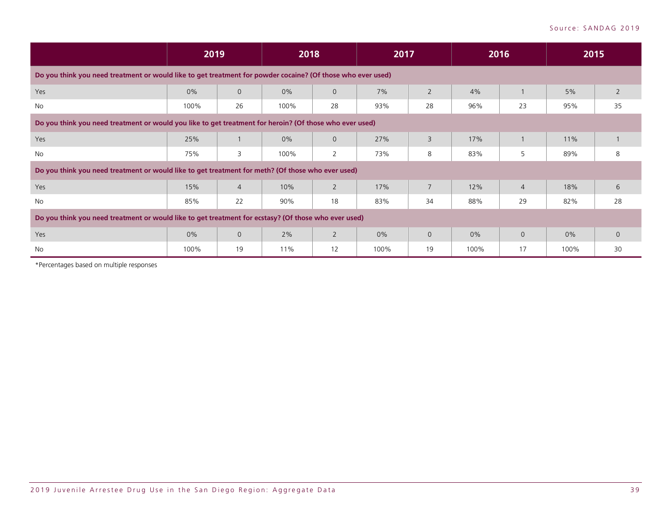|                                                                                                             |      | 2019           |       | 2018           |      | 2017           |       | 2016           |      | 2015           |
|-------------------------------------------------------------------------------------------------------------|------|----------------|-------|----------------|------|----------------|-------|----------------|------|----------------|
| Do you think you need treatment or would like to get treatment for powder cocaine? (Of those who ever used) |      |                |       |                |      |                |       |                |      |                |
| Yes                                                                                                         | 0%   | $\overline{0}$ | $0\%$ | $\mathbf{O}$   | 7%   | 2              | 4%    |                | 5%   | $\overline{2}$ |
| No                                                                                                          | 100% | 26             | 100%  | 28             | 93%  | 28             | 96%   | 23             | 95%  | 35             |
| Do you think you need treatment or would you like to get treatment for heroin? (Of those who ever used)     |      |                |       |                |      |                |       |                |      |                |
| Yes                                                                                                         | 25%  |                | $0\%$ | $\overline{0}$ | 27%  | $\overline{3}$ | 17%   |                | 11%  |                |
| No                                                                                                          | 75%  | 3              | 100%  | 2              | 73%  | 8              | 83%   | 5              | 89%  | 8              |
| Do you think you need treatment or would like to get treatment for meth? (Of those who ever used)           |      |                |       |                |      |                |       |                |      |                |
| Yes                                                                                                         | 15%  | $\overline{4}$ | 10%   | $\overline{2}$ | 17%  | 7              | 12%   | $\overline{4}$ | 18%  | 6              |
| No                                                                                                          | 85%  | 22             | 90%   | 18             | 83%  | 34             | 88%   | 29             | 82%  | 28             |
| Do you think you need treatment or would like to get treatment for ecstasy? (Of those who ever used)        |      |                |       |                |      |                |       |                |      |                |
| Yes                                                                                                         | 0%   | $\overline{0}$ | 2%    | $\overline{2}$ | 0%   | $\overline{0}$ | $0\%$ | $\mathbf{0}$   | 0%   | $\mathbf{0}$   |
| No                                                                                                          | 100% | 19             | 11%   | 12             | 100% | 19             | 100%  | 17             | 100% | 30             |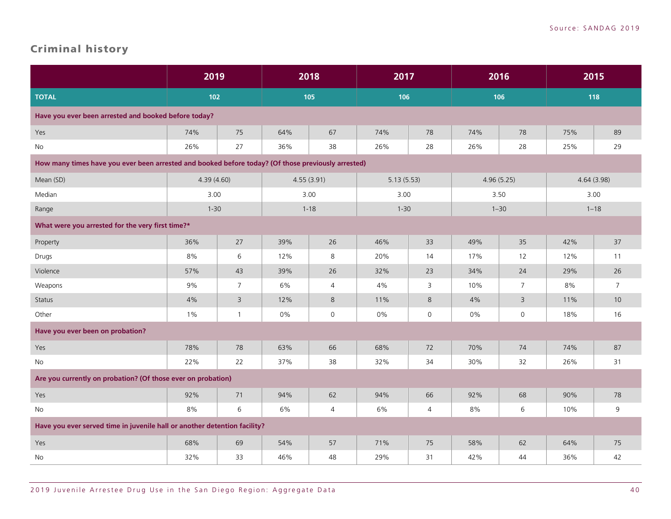### <span id="page-41-0"></span>Criminal history

|                                                                                                    | 2019       |                | 2018  |                | 2017       |              | 2016       |                | 2015       |                |
|----------------------------------------------------------------------------------------------------|------------|----------------|-------|----------------|------------|--------------|------------|----------------|------------|----------------|
| <b>TOTAL</b>                                                                                       | 102        |                |       | 105            | 106        |              | 106        |                | 118        |                |
| Have you ever been arrested and booked before today?                                               |            |                |       |                |            |              |            |                |            |                |
| Yes                                                                                                | 74%        | 75             | 64%   | 67             | 74%        | 78           | 74%        | 78             | 75%        | 89             |
| No                                                                                                 | 26%        | 27             | 36%   | 38             | 26%        | 28           | 26%        | 28             | 25%        | 29             |
| How many times have you ever been arrested and booked before today? (Of those previously arrested) |            |                |       |                |            |              |            |                |            |                |
| Mean (SD)                                                                                          | 4.39(4.60) |                |       | 4.55(3.91)     | 5.13(5.53) |              | 4.96(5.25) |                | 4.64(3.98) |                |
| Median                                                                                             | 3.00       |                |       | 3.00           | 3.00       |              | 3.50       |                |            | 3.00           |
| Range                                                                                              | $1 - 30$   |                |       | $1 - 18$       | $1 - 30$   |              |            | $1 - 30$       |            | $1 - 18$       |
| What were you arrested for the very first time?*                                                   |            |                |       |                |            |              |            |                |            |                |
| Property                                                                                           | 36%        | 27             | 39%   | 26             | 46%        | 33           | 49%        | 35             | 42%        | 37             |
| Drugs                                                                                              | 8%         | 6              | 12%   | 8              | 20%        | 14           | 17%        | 12             | 12%        | 11             |
| Violence                                                                                           | 57%        | 43             | 39%   | 26             | 32%        | 23           | 34%        | 24             | 29%        | 26             |
| Weapons                                                                                            | 9%         | $\overline{7}$ | 6%    | $\overline{4}$ | 4%         | 3            | 10%        | $\overline{7}$ | 8%         | $\overline{7}$ |
| Status                                                                                             | 4%         | $\overline{3}$ | 12%   | 8              | 11%        | 8            | 4%         | $\overline{3}$ | 11%        | 10             |
| Other                                                                                              | 1%         | $\mathbf{1}$   | $0\%$ | $\mathsf{O}$   | $0\%$      | $\mathsf{O}$ | 0%         | $\mathsf{O}$   | 18%        | 16             |
| Have you ever been on probation?                                                                   |            |                |       |                |            |              |            |                |            |                |
| Yes                                                                                                | 78%        | 78             | 63%   | 66             | 68%        | 72           | 70%        | 74             | 74%        | 87             |
| No                                                                                                 | 22%        | 22             | 37%   | 38             | 32%        | 34           | 30%        | 32             | 26%        | 31             |
| Are you currently on probation? (Of those ever on probation)                                       |            |                |       |                |            |              |            |                |            |                |
| Yes                                                                                                | 92%        | 71             | 94%   | 62             | 94%        | 66           | 92%        | 68             | 90%        | 78             |
| No                                                                                                 | 8%         | 6              | 6%    | $\overline{4}$ | 6%         | 4            | 8%         | 6              | 10%        | 9              |
| Have you ever served time in juvenile hall or another detention facility?                          |            |                |       |                |            |              |            |                |            |                |
| Yes                                                                                                | 68%        | 69             | 54%   | 57             | 71%        | 75           | 58%        | 62             | 64%        | 75             |
| No                                                                                                 | 32%        | 33             | 46%   | 48             | 29%        | 31           | 42%        | 44             | 36%        | 42             |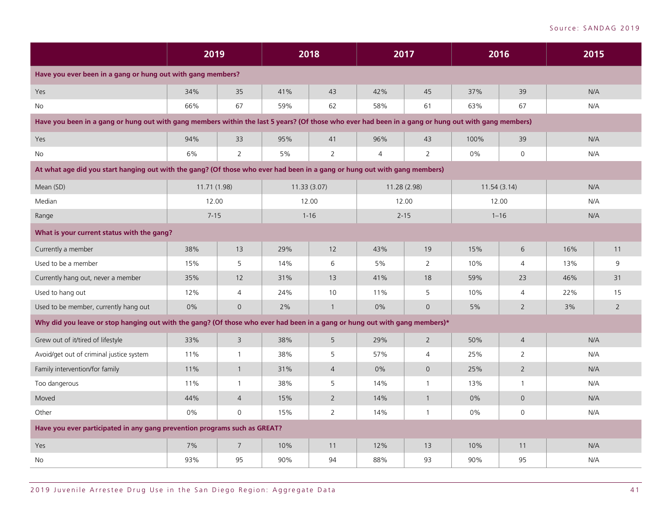|                                                                                                                                                     | 2019         |                | 2018 |                | 2017           |                | 2016  |                | 2015 |                |
|-----------------------------------------------------------------------------------------------------------------------------------------------------|--------------|----------------|------|----------------|----------------|----------------|-------|----------------|------|----------------|
| Have you ever been in a gang or hung out with gang members?                                                                                         |              |                |      |                |                |                |       |                |      |                |
| Yes                                                                                                                                                 | 34%          | 35             | 41%  | 43             | 42%            | 45             | 37%   | 39             | N/A  |                |
| No                                                                                                                                                  | 66%          | 67             | 59%  | 62             | 58%            | 61             | 63%   | 67             | N/A  |                |
| Have you been in a gang or hung out with gang members within the last 5 years? (Of those who ever had been in a gang or hung out with gang members) |              |                |      |                |                |                |       |                |      |                |
| Yes                                                                                                                                                 | 94%          | 33             | 95%  | 41             | 96%            | 43             | 100%  | 39             | N/A  |                |
| <b>No</b>                                                                                                                                           | 6%           | $\overline{2}$ | 5%   | $\overline{2}$ | $\overline{4}$ | $\overline{2}$ | $0\%$ | $\mathsf{O}$   | N/A  |                |
| At what age did you start hanging out with the gang? (Of those who ever had been in a gang or hung out with gang members)                           |              |                |      |                |                |                |       |                |      |                |
| Mean (SD)                                                                                                                                           | 11.71 (1.98) |                |      | 11.33(3.07)    | 11.28 (2.98)   |                |       | 11.54(3.14)    | N/A  |                |
| Median                                                                                                                                              | 12.00        |                |      | 12.00          |                | 12.00          | 12.00 |                | N/A  |                |
| Range                                                                                                                                               | $7 - 15$     |                |      | $1 - 16$       |                | $2 - 15$       |       | $1 - 16$       | N/A  |                |
| What is your current status with the gang?                                                                                                          |              |                |      |                |                |                |       |                |      |                |
| Currently a member                                                                                                                                  | 38%          | 13             | 29%  | 12             | 43%            | 19             | 15%   | 6              | 16%  | 11             |
| Used to be a member                                                                                                                                 | 15%          | 5              | 14%  | 6              | 5%             | 2              | 10%   | $\overline{4}$ | 13%  | 9              |
| Currently hang out, never a member                                                                                                                  | 35%          | 12             | 31%  | 13             | 41%            | 18             | 59%   | 23             | 46%  | 31             |
| Used to hang out                                                                                                                                    | 12%          | $\overline{4}$ | 24%  | 10             | 11%            | 5              | 10%   | $\overline{4}$ | 22%  | 15             |
| Used to be member, currently hang out                                                                                                               | 0%           | $\overline{0}$ | 2%   | $\mathbf{1}$   | 0%             | $\mathbf 0$    | 5%    | $\overline{2}$ | 3%   | $\overline{2}$ |
| Why did you leave or stop hanging out with the gang? (Of those who ever had been in a gang or hung out with gang members)*                          |              |                |      |                |                |                |       |                |      |                |
| Grew out of it/tired of lifestyle                                                                                                                   | 33%          | $\overline{3}$ | 38%  | 5              | 29%            | $\overline{2}$ | 50%   | $\overline{4}$ | N/A  |                |
| Avoid/get out of criminal justice system                                                                                                            | 11%          | $\mathbf{1}$   | 38%  | 5              | 57%            | $\overline{4}$ | 25%   | $\overline{2}$ | N/A  |                |
| Family intervention/for family                                                                                                                      | 11%          | $\overline{1}$ | 31%  | $\overline{4}$ | 0%             | $\overline{0}$ | 25%   | $\overline{2}$ | N/A  |                |
| Too dangerous                                                                                                                                       | 11%          | $\mathbf{1}$   | 38%  | 5              | 14%            | $\mathbf{1}$   | 13%   | $\mathbf{1}$   | N/A  |                |
| Moved                                                                                                                                               | 44%          | $\overline{4}$ | 15%  | $\overline{2}$ | 14%            | $\overline{1}$ | $0\%$ | $\mathsf{O}$   | N/A  |                |
| Other                                                                                                                                               | $0\%$        | $\mathbf{0}$   | 15%  | $\overline{2}$ | 14%            | $\mathbf{1}$   | 0%    | $\mathsf{O}$   | N/A  |                |
| Have you ever participated in any gang prevention programs such as GREAT?                                                                           |              |                |      |                |                |                |       |                |      |                |
| Yes                                                                                                                                                 | 7%           | $\overline{7}$ | 10%  | 11             | 12%            | 13             | 10%   | 11             | N/A  |                |
| No                                                                                                                                                  | 93%          | 95             | 90%  | 94             | 88%            | 93             | 90%   | 95             | N/A  |                |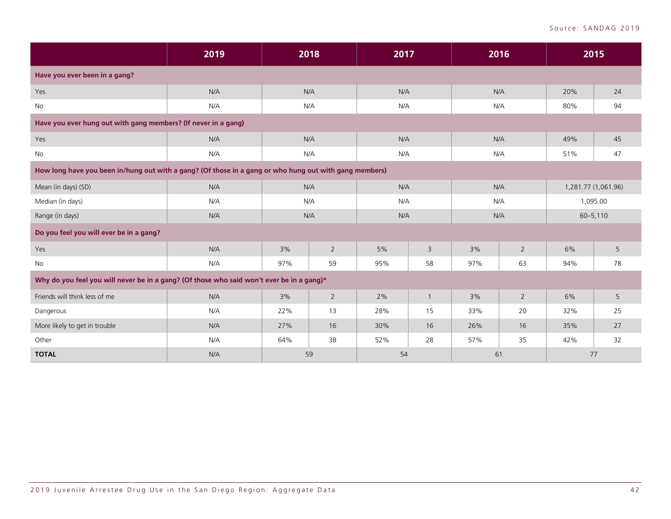|                                                                                                        | 2019 | 2018      |                | 2017 |                | 2016 |                | 2015                |          |
|--------------------------------------------------------------------------------------------------------|------|-----------|----------------|------|----------------|------|----------------|---------------------|----------|
| Have you ever been in a gang?                                                                          |      |           |                |      |                |      |                |                     |          |
| Yes                                                                                                    | N/A  |           | N/A            | N/A  |                | N/A  |                | 20%                 | 24       |
| No                                                                                                     | N/A  |           | N/A            |      | N/A            | N/A  |                | 80%                 | 94       |
| Have you ever hung out with gang members? (If never in a gang)                                         |      |           |                |      |                |      |                |                     |          |
| Yes                                                                                                    | N/A  |           | N/A            | N/A  |                | N/A  |                | 49%                 | 45       |
| No                                                                                                     | N/A  | N/A       |                | N/A  |                | N/A  |                | 51%                 | 47       |
| How long have you been in/hung out with a gang? (Of those in a gang or who hung out with gang members) |      |           |                |      |                |      |                |                     |          |
| Mean (in days) (SD)                                                                                    | N/A  |           | N/A            | N/A  |                | N/A  |                | 1,281.77 (1,061.96) |          |
| Median (in days)                                                                                       | N/A  |           | N/A            | N/A  |                | N/A  |                |                     | 1,095.00 |
| Range (in days)                                                                                        | N/A  |           | N/A            | N/A  |                | N/A  |                | $60 - 5,110$        |          |
| Do you feel you will ever be in a gang?                                                                |      |           |                |      |                |      |                |                     |          |
| Yes                                                                                                    | N/A  | 3%        | $\overline{2}$ | 5%   | $\overline{3}$ | 3%   | $\overline{2}$ | 6%                  | 5        |
| No                                                                                                     | N/A  | 97%       | 59             | 95%  | 58             | 97%  | 63             | 94%                 | 78       |
| Why do you feel you will never be in a gang? (Of those who said won't ever be in a gang)*              |      |           |                |      |                |      |                |                     |          |
| Friends will think less of me                                                                          | N/A  | 3%        | $\overline{2}$ | 2%   | $\overline{1}$ | 3%   | $\overline{2}$ | 6%                  | 5        |
| Dangerous                                                                                              | N/A  | 13<br>22% |                | 28%  | 15             | 33%  | 20             | 32%                 | 25       |
| More likely to get in trouble                                                                          | N/A  | 27%       | 16             | 30%  | 16             | 26%  | 16             | 35%                 | 27       |
| Other                                                                                                  | N/A  | 64%       | 38             | 52%  | 28             | 57%  | 35             | 42%                 | 32       |
| <b>TOTAL</b>                                                                                           | N/A  |           | 59             | 54   |                | 61   |                | 77                  |          |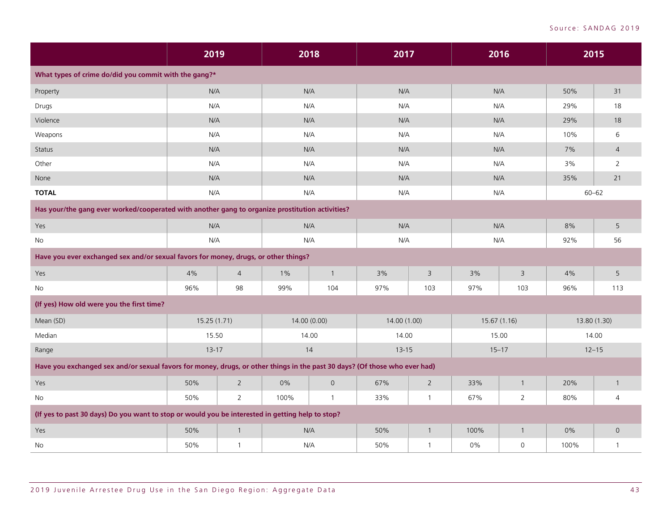|                                                                                                                            | 2019        |                | 2018                 |                | 2017         |                | 2016        |                | 2015         |                |
|----------------------------------------------------------------------------------------------------------------------------|-------------|----------------|----------------------|----------------|--------------|----------------|-------------|----------------|--------------|----------------|
| What types of crime do/did you commit with the gang?*                                                                      |             |                |                      |                |              |                |             |                |              |                |
| Property                                                                                                                   | N/A         |                | N/A                  |                | N/A          |                | N/A         |                | 50%          | 31             |
| Drugs                                                                                                                      | N/A         |                | N/A                  |                | N/A          |                | N/A         |                | 29%          | 18             |
| Violence                                                                                                                   | N/A         |                | N/A                  |                | N/A          |                | N/A         |                | 29%          | 18             |
| Weapons                                                                                                                    | N/A         |                | N/A                  |                | N/A          |                | N/A         |                | 10%          | 6              |
| <b>Status</b>                                                                                                              | N/A         |                | N/A                  |                | N/A          |                | N/A         |                | 7%           | $\overline{4}$ |
| Other                                                                                                                      | N/A         |                | N/A                  |                | N/A          |                | N/A         |                | 3%           | $\overline{2}$ |
| None                                                                                                                       | N/A         |                | N/A                  |                | N/A          |                | N/A         |                | 35%          | 21             |
| <b>TOTAL</b>                                                                                                               | N/A         |                | N/A                  |                | N/A          |                | N/A         |                | $60 - 62$    |                |
| Has your/the gang ever worked/cooperated with another gang to organize prostitution activities?                            |             |                |                      |                |              |                |             |                |              |                |
| <b>Yes</b>                                                                                                                 | N/A         |                | N/A                  |                | N/A          |                | N/A         |                | 8%           | 5              |
| No                                                                                                                         | N/A         |                | N/A                  |                | N/A          |                | N/A         |                | 92%          | 56             |
| Have you ever exchanged sex and/or sexual favors for money, drugs, or other things?                                        |             |                |                      |                |              |                |             |                |              |                |
| Yes                                                                                                                        | 4%          | $\overline{4}$ | $1\%$                | $\mathbf{1}$   | 3%           | $\overline{3}$ | 3%          | $\mathsf 3$    | 4%           | 5              |
| No                                                                                                                         | 96%         | 98             | 99%                  | 104            | 97%          | 103            | 97%         | 103            | 96%          | 113            |
| (If yes) How old were you the first time?                                                                                  |             |                |                      |                |              |                |             |                |              |                |
| Mean (SD)                                                                                                                  | 15.25(1.71) |                |                      | 14.00 (0.00)   | 14.00 (1.00) |                | 15.67(1.16) |                | 13.80 (1.30) |                |
| Median                                                                                                                     | 15.50       |                | 14.00                |                | 14.00        |                | 15.00       |                |              | 14.00          |
| Range                                                                                                                      | $13 - 17$   |                |                      | 14             | $13 - 15$    |                | $15 - 17$   |                | $12 - 15$    |                |
| Have you exchanged sex and/or sexual favors for money, drugs, or other things in the past 30 days? (Of those who ever had) |             |                |                      |                |              |                |             |                |              |                |
| Yes                                                                                                                        | 50%         | $\overline{2}$ | 0%                   | $\overline{0}$ | 67%          | $\overline{2}$ | 33%         | $\mathbf{1}$   | 20%          | $\mathbf{1}$   |
| No                                                                                                                         | 50%         | $\overline{2}$ | 100%<br>$\mathbf{1}$ |                | 33%          | $\overline{1}$ | 67%         | $\overline{2}$ | 80%          | 4              |
| (If yes to past 30 days) Do you want to stop or would you be interested in getting help to stop?                           |             |                |                      |                |              |                |             |                |              |                |
| <b>Yes</b>                                                                                                                 | 50%         | $\overline{1}$ |                      | N/A            | 50%          | $\overline{1}$ | 100%        | $\mathbf{1}$   | 0%           | $\overline{O}$ |
| No                                                                                                                         | 50%         | $\mathbf{1}$   | N/A                  |                | 50%          | $\overline{1}$ | 0%          | $\mathsf{O}$   | 100%         | $\mathbf{1}$   |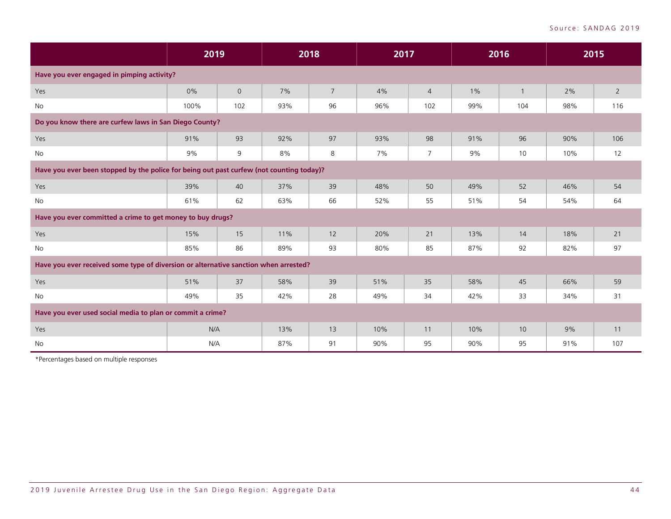|                                                                                          | 2019 |             | 2018 |                | 2017 |                | 2016  |                | 2015 |                |
|------------------------------------------------------------------------------------------|------|-------------|------|----------------|------|----------------|-------|----------------|------|----------------|
| Have you ever engaged in pimping activity?                                               |      |             |      |                |      |                |       |                |      |                |
| Yes                                                                                      | 0%   | $\mathbf 0$ | 7%   | $\overline{7}$ | 4%   | $\overline{4}$ | $1\%$ | $\overline{1}$ | 2%   | $\overline{2}$ |
| No                                                                                       | 100% | 102         | 93%  | 96             | 96%  | 102            | 99%   | 104            | 98%  | 116            |
| Do you know there are curfew laws in San Diego County?                                   |      |             |      |                |      |                |       |                |      |                |
| Yes                                                                                      | 91%  | 93          | 92%  | 97             | 93%  | 98             | 91%   | 96             | 90%  | 106            |
| No                                                                                       | 9%   | 9           | 8%   | 8              | 7%   | 7              | 9%    | 10             | 10%  | 12             |
| Have you ever been stopped by the police for being out past curfew (not counting today)? |      |             |      |                |      |                |       |                |      |                |
| Yes                                                                                      | 39%  | 40          | 37%  | 39             | 48%  | 50             | 49%   | 52             | 46%  | 54             |
| <b>No</b>                                                                                | 61%  | 62          | 63%  | 66             | 52%  | 55             | 51%   | 54             | 54%  | 64             |
| Have you ever committed a crime to get money to buy drugs?                               |      |             |      |                |      |                |       |                |      |                |
| Yes                                                                                      | 15%  | 15          | 11%  | 12             | 20%  | 21             | 13%   | 14             | 18%  | 21             |
| No                                                                                       | 85%  | 86          | 89%  | 93             | 80%  | 85             | 87%   | 92             | 82%  | 97             |
| Have you ever received some type of diversion or alternative sanction when arrested?     |      |             |      |                |      |                |       |                |      |                |
| Yes                                                                                      | 51%  | 37          | 58%  | 39             | 51%  | 35             | 58%   | 45             | 66%  | 59             |
| No                                                                                       | 49%  | 35          | 42%  | 28             | 49%  | 34             | 42%   | 33             | 34%  | 31             |
| Have you ever used social media to plan or commit a crime?                               |      |             |      |                |      |                |       |                |      |                |
| Yes                                                                                      | N/A  |             | 13%  | 13             | 10%  | 11             | 10%   | 10             | 9%   | 11             |
| No                                                                                       | N/A  |             | 87%  | 91             | 90%  | 95             | 90%   | 95             | 91%  | 107            |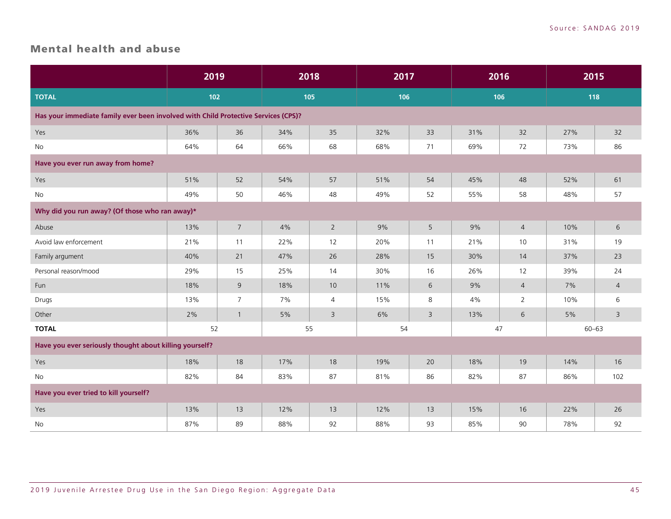#### <span id="page-46-0"></span>Mental health and abuse

|                                                                                    | 2019 |                | 2018 |                | 2017 |                | 2016 |                | 2015      |                |
|------------------------------------------------------------------------------------|------|----------------|------|----------------|------|----------------|------|----------------|-----------|----------------|
| <b>TOTAL</b>                                                                       | 102  |                |      | 105            | 106  |                | 106  |                | 118       |                |
| Has your immediate family ever been involved with Child Protective Services (CPS)? |      |                |      |                |      |                |      |                |           |                |
| Yes                                                                                | 36%  | 36             | 34%  | 35             | 32%  | 33             | 31%  | 32             | 27%       | 32             |
| <b>No</b>                                                                          | 64%  | 64             | 66%  | 68             | 68%  | 71             | 69%  | 72             | 73%       | 86             |
| Have you ever run away from home?                                                  |      |                |      |                |      |                |      |                |           |                |
| Yes                                                                                | 51%  | 52             | 54%  | 57             | 51%  | 54             | 45%  | 48             | 52%       | 61             |
| No                                                                                 | 49%  | 50             | 46%  | 48             | 49%  | 52             | 55%  | 58             | 48%       | 57             |
| Why did you run away? (Of those who ran away)*                                     |      |                |      |                |      |                |      |                |           |                |
| Abuse                                                                              | 13%  | $\overline{7}$ | 4%   | $\overline{2}$ | 9%   | 5              | 9%   | $\overline{4}$ | 10%       | 6              |
| Avoid law enforcement                                                              | 21%  | 11             | 22%  | 12             | 20%  | 11             | 21%  | 10             | 31%       | 19             |
| Family argument                                                                    | 40%  | 21             | 47%  | 26             | 28%  | 15             | 30%  | 14             | 37%       | 23             |
| Personal reason/mood                                                               | 29%  | 15             | 25%  | 14             | 30%  | 16             | 26%  | 12             | 39%       | 24             |
| Fun                                                                                | 18%  | 9              | 18%  | 10             | 11%  | 6              | 9%   | $\overline{4}$ | 7%        | $\overline{4}$ |
| Drugs                                                                              | 13%  | $\overline{7}$ | 7%   | $\overline{4}$ | 15%  | 8              | 4%   | $\overline{2}$ | 10%       | 6              |
| Other                                                                              | 2%   | $\mathbf{1}$   | 5%   | $\mathsf{3}$   | 6%   | $\overline{3}$ | 13%  | 6              | 5%        | 3              |
| <b>TOTAL</b>                                                                       | 52   |                |      | 55             | 54   |                | 47   |                | $60 - 63$ |                |
| Have you ever seriously thought about killing yourself?                            |      |                |      |                |      |                |      |                |           |                |
| Yes                                                                                | 18%  | 18             | 17%  | 18             | 19%  | 20             | 18%  | 19             | 14%       | 16             |
| No                                                                                 | 82%  | 84             | 83%  | 87             | 81%  | 86             | 82%  | 87             | 86%       | 102            |
| Have you ever tried to kill yourself?                                              |      |                |      |                |      |                |      |                |           |                |
| Yes                                                                                | 13%  | 13             | 12%  | 13             | 12%  | 13             | 15%  | 16             | 22%       | 26             |
| No                                                                                 | 87%  | 89             | 88%  | 92             | 88%  | 93             | 85%  | 90             | 78%       | 92             |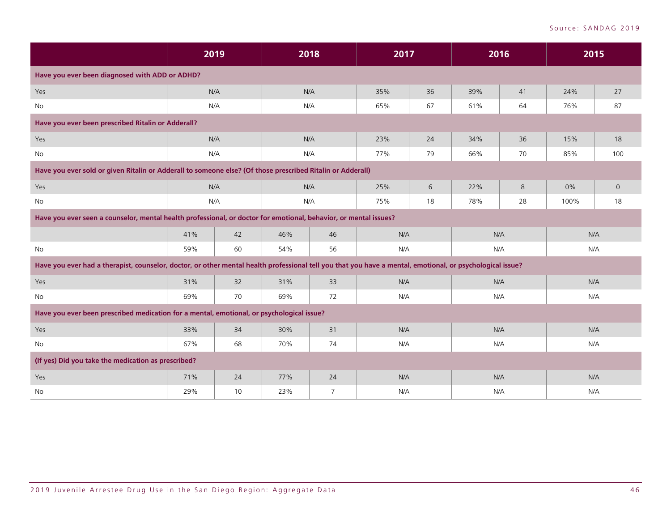|                                                                                                                                                           | 2019 |    | 2018      |                | 2017 |     | 2016 |     | 2015 |             |
|-----------------------------------------------------------------------------------------------------------------------------------------------------------|------|----|-----------|----------------|------|-----|------|-----|------|-------------|
| Have you ever been diagnosed with ADD or ADHD?                                                                                                            |      |    |           |                |      |     |      |     |      |             |
| Yes                                                                                                                                                       | N/A  |    | N/A       |                | 35%  | 36  | 39%  | 41  | 24%  | 27          |
| No                                                                                                                                                        | N/A  |    |           | N/A            | 65%  | 67  | 61%  | 64  | 76%  | 87          |
| Have you ever been prescribed Ritalin or Adderall?                                                                                                        |      |    |           |                |      |     |      |     |      |             |
| Yes                                                                                                                                                       | N/A  |    | N/A       |                | 23%  | 24  | 34%  | 36  | 15%  | 18          |
| No                                                                                                                                                        | N/A  |    |           | N/A            | 77%  | 79  | 66%  | 70  | 85%  | 100         |
| Have you ever sold or given Ritalin or Adderall to someone else? (Of those prescribed Ritalin or Adderall)                                                |      |    |           |                |      |     |      |     |      |             |
| Yes                                                                                                                                                       | N/A  |    | N/A       |                | 25%  | 6   | 22%  | 8   | 0%   | $\mathbf 0$ |
| No                                                                                                                                                        | N/A  |    |           | N/A            | 75%  | 18  | 78%  | 28  | 100% | 18          |
| Have you ever seen a counselor, mental health professional, or doctor for emotional, behavior, or mental issues?                                          |      |    |           |                |      |     |      |     |      |             |
|                                                                                                                                                           | 41%  | 42 | 46%       | 46             | N/A  |     | N/A  |     | N/A  |             |
| <b>No</b>                                                                                                                                                 | 59%  | 60 | 54%       | 56             | N/A  |     | N/A  |     | N/A  |             |
| Have you ever had a therapist, counselor, doctor, or other mental health professional tell you that you have a mental, emotional, or psychological issue? |      |    |           |                |      |     |      |     |      |             |
| Yes                                                                                                                                                       | 31%  | 32 | 31%       | 33             | N/A  |     | N/A  |     | N/A  |             |
| No                                                                                                                                                        | 69%  | 70 | 69%       | 72             | N/A  |     | N/A  |     | N/A  |             |
| Have you ever been prescribed medication for a mental, emotional, or psychological issue?                                                                 |      |    |           |                |      |     |      |     |      |             |
| Yes                                                                                                                                                       | 33%  | 34 | 30%<br>31 |                | N/A  |     | N/A  |     | N/A  |             |
| No                                                                                                                                                        | 67%  | 68 | 70%<br>74 |                | N/A  |     | N/A  |     | N/A  |             |
| (If yes) Did you take the medication as prescribed?                                                                                                       |      |    |           |                |      |     |      |     |      |             |
| Yes                                                                                                                                                       | 71%  | 24 | 77%       | 24             | N/A  |     | N/A  |     | N/A  |             |
| No                                                                                                                                                        | 29%  | 10 | 23%       | $\overline{7}$ |      | N/A |      | N/A |      | N/A         |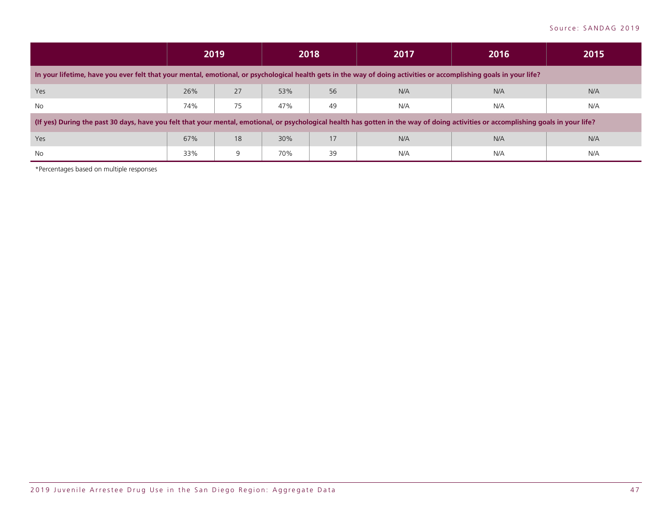|                                                                                                                                                                                     |     | 2019 | 2018 |    | 2017 | 2016 | 2015 |
|-------------------------------------------------------------------------------------------------------------------------------------------------------------------------------------|-----|------|------|----|------|------|------|
| In your lifetime, have you ever felt that your mental, emotional, or psychological health gets in the way of doing activities or accomplishing goals in your life?                  |     |      |      |    |      |      |      |
| Yes                                                                                                                                                                                 | 26% | 27   | 53%  | 56 | N/A  | N/A  | N/A  |
| No                                                                                                                                                                                  | 74% | 75   | 47%  | 49 | N/A  | N/A  | N/A  |
| (If yes) During the past 30 days, have you felt that your mental, emotional, or psychological health has gotten in the way of doing activities or accomplishing goals in your life? |     |      |      |    |      |      |      |
| Yes                                                                                                                                                                                 | 67% | 18   | 30%  | 17 | N/A  | N/A  | N/A  |
| <b>No</b>                                                                                                                                                                           | 33% | 9    | 70%  | 39 | N/A  | N/A  | N/A  |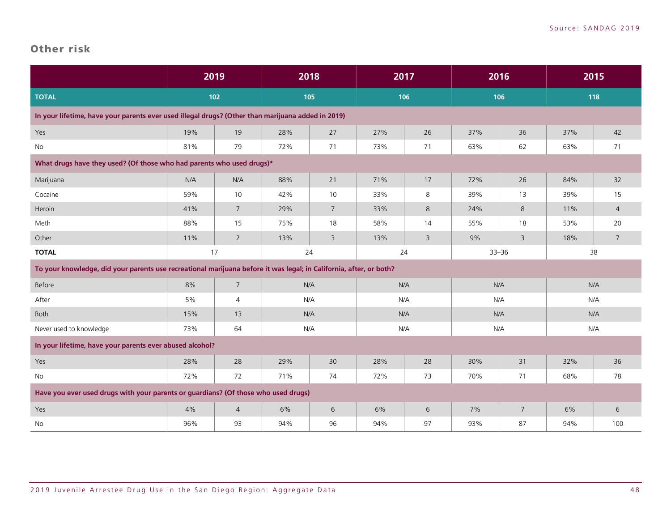#### <span id="page-49-0"></span>Other risk

|                                                                                                                    | 2019 |                 |     | 2018           | 2017 |    | 2016      |                | 2015 |                |
|--------------------------------------------------------------------------------------------------------------------|------|-----------------|-----|----------------|------|----|-----------|----------------|------|----------------|
| <b>TOTAL</b>                                                                                                       |      | 102             |     | 105            | 106  |    | 106       |                | 118  |                |
| In your lifetime, have your parents ever used illegal drugs? (Other than marijuana added in 2019)                  |      |                 |     |                |      |    |           |                |      |                |
| Yes                                                                                                                | 19%  | 19              | 28% | 27             | 27%  | 26 | 37%       | 36             | 37%  | 42             |
| No                                                                                                                 | 81%  | 79              | 72% | 71             | 73%  | 71 | 63%       | 62             | 63%  | 71             |
| What drugs have they used? (Of those who had parents who used drugs)*                                              |      |                 |     |                |      |    |           |                |      |                |
| Marijuana                                                                                                          | N/A  | N/A             | 88% | 21             | 71%  | 17 | 72%       | 26             | 84%  | 32             |
| Cocaine                                                                                                            | 59%  | 10              | 42% | 10             | 33%  | 8  | 39%       | 13             | 39%  | 15             |
| Heroin                                                                                                             | 41%  | $7^{\circ}$     | 29% | $7^{\circ}$    | 33%  | 8  | 24%       | 8              | 11%  | $\overline{4}$ |
| Meth                                                                                                               | 88%  | 15              | 75% | 18             | 58%  | 14 | 55%       | 18             | 53%  | 20             |
| Other                                                                                                              | 11%  | $2^{\circ}$     | 13% | $\overline{3}$ | 13%  | 3  | 9%        | 3              | 18%  | $\overline{7}$ |
| <b>TOTAL</b>                                                                                                       | 17   |                 |     | 24             | 24   |    | $33 - 36$ |                | 38   |                |
| To your knowledge, did your parents use recreational marijuana before it was legal; in California, after, or both? |      |                 |     |                |      |    |           |                |      |                |
| Before                                                                                                             | 8%   | $7\overline{ }$ |     | N/A            | N/A  |    | N/A       |                | N/A  |                |
| After                                                                                                              | 5%   | 4               |     | N/A            | N/A  |    | N/A       |                |      | N/A            |
| Both                                                                                                               | 15%  | 13              |     | N/A            | N/A  |    | N/A       |                |      | N/A            |
| Never used to knowledge                                                                                            | 73%  | 64              |     | N/A            | N/A  |    | N/A       |                |      | N/A            |
| In your lifetime, have your parents ever abused alcohol?                                                           |      |                 |     |                |      |    |           |                |      |                |
| Yes                                                                                                                | 28%  | 28              | 29% | 30             | 28%  | 28 | 30%       | 31             | 32%  | 36             |
| No                                                                                                                 | 72%  | 72              | 71% | 74             | 72%  | 73 | 70%       | 71             | 68%  | 78             |
| Have you ever used drugs with your parents or guardians? (Of those who used drugs)                                 |      |                 |     |                |      |    |           |                |      |                |
| Yes                                                                                                                | 4%   | $\overline{4}$  | 6%  | 6              | 6%   | 6  | 7%        | $\overline{7}$ | 6%   | 6              |
| No                                                                                                                 | 96%  | 93              | 94% | 96             | 94%  | 97 | 93%       | 87             | 94%  | 100            |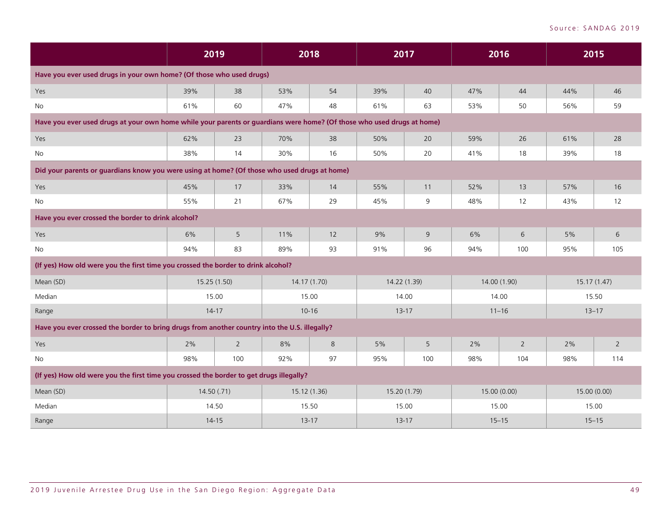|                                                                                                                        | 2019         |                |           | 2018         | 2017         |           | 2016         |                | 2015         |                |  |
|------------------------------------------------------------------------------------------------------------------------|--------------|----------------|-----------|--------------|--------------|-----------|--------------|----------------|--------------|----------------|--|
| Have you ever used drugs in your own home? (Of those who used drugs)                                                   |              |                |           |              |              |           |              |                |              |                |  |
| Yes                                                                                                                    | 39%          | 38             | 53%       | 54           | 39%          | 40        | 47%          | 44             | 44%          | 46             |  |
| No                                                                                                                     | 61%          | 60             | 47%       | 48           | 61%          | 63        | 53%          | 50             | 56%          | 59             |  |
| Have you ever used drugs at your own home while your parents or guardians were home? (Of those who used drugs at home) |              |                |           |              |              |           |              |                |              |                |  |
| Yes                                                                                                                    | 62%          | 23             | 70%       | 38           | 50%          | 20        | 59%          | 26             | 61%          | 28             |  |
| No                                                                                                                     | 38%          | 14             | 30%       | 16           | 50%          | 20        | 41%          | 18             | 39%          | 18             |  |
| Did your parents or guardians know you were using at home? (Of those who used drugs at home)                           |              |                |           |              |              |           |              |                |              |                |  |
| Yes                                                                                                                    | 45%          | $17\,$         | 33%       | 14           | 55%          | 11        | 52%          | 13             | 57%          | 16             |  |
| <b>No</b>                                                                                                              | 55%          | 21             | 67%       | 29           | 45%          | 9         | 48%          | 12             | 43%          | 12             |  |
| Have you ever crossed the border to drink alcohol?                                                                     |              |                |           |              |              |           |              |                |              |                |  |
| Yes                                                                                                                    | 6%           | 5              | 11%       | 12           | 9%           | 9         | 6%           | 6              | 5%           | 6              |  |
| No                                                                                                                     | 94%          | 83             | 89%       | 93           | 91%          | 96        | 94%          | 100            | 95%          | 105            |  |
| (If yes) How old were you the first time you crossed the border to drink alcohol?                                      |              |                |           |              |              |           |              |                |              |                |  |
| Mean (SD)                                                                                                              | 15.25 (1.50) |                |           | 14.17 (1.70) | 14.22 (1.39) |           | 14.00 (1.90) |                | 15.17(1.47)  |                |  |
| Median                                                                                                                 | 15.00        |                | 15.00     |              | 14.00        |           | 14.00        |                | 15.50        |                |  |
| Range                                                                                                                  | $14 - 17$    |                |           | $10 - 16$    |              | $13 - 17$ | $11 - 16$    |                | $13 - 17$    |                |  |
| Have you ever crossed the border to bring drugs from another country into the U.S. illegally?                          |              |                |           |              |              |           |              |                |              |                |  |
| Yes                                                                                                                    | 2%           | $\overline{2}$ | 8%        | 8            | 5%           | 5         | 2%           | $\overline{2}$ | 2%           | $\overline{2}$ |  |
| No                                                                                                                     | 98%          | 100            | 92%       | 97           | 95%          | 100       | 98%          | 104            | 98%          | 114            |  |
| (If yes) How old were you the first time you crossed the border to get drugs illegally?                                |              |                |           |              |              |           |              |                |              |                |  |
| Mean (SD)                                                                                                              | 14.50 (.71)  |                |           | 15.12 (1.36) | 15.20 (1.79) |           | 15.00 (0.00) |                | 15.00 (0.00) |                |  |
| Median                                                                                                                 | 14.50        |                | 15.50     |              | 15.00        |           | 15.00        |                | 15.00        |                |  |
| Range                                                                                                                  | $14 - 15$    |                | $13 - 17$ |              | $13 - 17$    |           | $15 - 15$    |                | $15 - 15$    |                |  |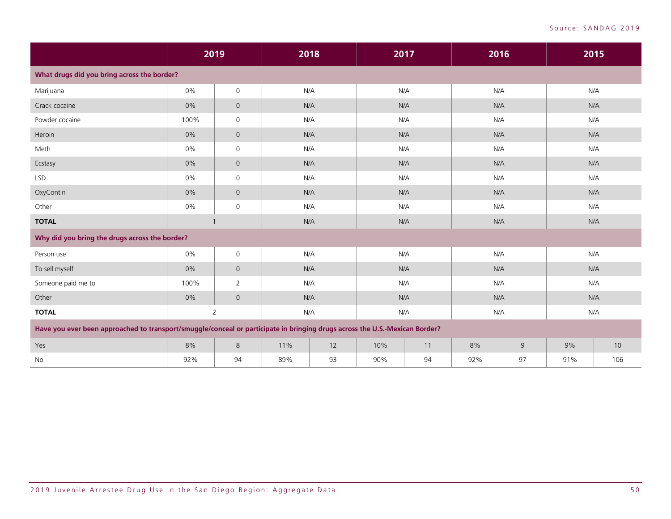|                                                                                                                             |      | 2019                |     | 2018 | 2017 |     |     | 2016 |     | 2015 |
|-----------------------------------------------------------------------------------------------------------------------------|------|---------------------|-----|------|------|-----|-----|------|-----|------|
| What drugs did you bring across the border?                                                                                 |      |                     |     |      |      |     |     |      |     |      |
| Marijuana                                                                                                                   | 0%   | $\mathsf{O}\xspace$ | N/A |      | N/A  |     | N/A |      | N/A |      |
| Crack cocaine                                                                                                               | 0%   | $\overline{0}$      |     | N/A  |      | N/A | N/A |      | N/A |      |
| Powder cocaine                                                                                                              | 100% | $\mathbf 0$         | N/A |      | N/A  |     | N/A |      | N/A |      |
| Heroin                                                                                                                      | 0%   | $\overline{0}$      | N/A |      | N/A  |     | N/A |      | N/A |      |
| Meth                                                                                                                        | 0%   | $\mathbf 0$         | N/A |      | N/A  |     | N/A |      | N/A |      |
| Ecstasy                                                                                                                     | 0%   | $\mathbf 0$         | N/A |      | N/A  |     | N/A |      | N/A |      |
| <b>LSD</b>                                                                                                                  | 0%   | $\mathbf 0$         | N/A |      | N/A  |     | N/A |      | N/A |      |
| OxyContin                                                                                                                   | 0%   | $\overline{0}$      | N/A |      | N/A  |     | N/A |      | N/A |      |
| Other                                                                                                                       | 0%   | $\mathsf{O}\xspace$ | N/A |      | N/A  |     | N/A |      | N/A |      |
| <b>TOTAL</b>                                                                                                                |      |                     | N/A |      | N/A  |     | N/A |      | N/A |      |
| Why did you bring the drugs across the border?                                                                              |      |                     |     |      |      |     |     |      |     |      |
| Person use                                                                                                                  | 0%   | $\mathbf 0$         | N/A |      | N/A  |     | N/A |      | N/A |      |
| To sell myself                                                                                                              | 0%   | $\overline{0}$      | N/A |      | N/A  |     | N/A |      | N/A |      |
| Someone paid me to                                                                                                          | 100% | 2                   | N/A |      | N/A  |     | N/A |      | N/A |      |
| Other                                                                                                                       | 0%   | $\overline{0}$      | N/A |      | N/A  |     | N/A |      | N/A |      |
| <b>TOTAL</b>                                                                                                                |      | $\overline{2}$      | N/A |      | N/A  |     | N/A |      | N/A |      |
| Have you ever been approached to transport/smuggle/conceal or participate in bringing drugs across the U.S.-Mexican Border? |      |                     |     |      |      |     |     |      |     |      |
| Yes                                                                                                                         | 8%   | 8                   | 11% | 12   | 10%  | 11  | 8%  | 9    | 9%  | 10   |
| No                                                                                                                          | 92%  | 94                  | 89% | 93   | 90%  | 94  | 92% | 97   | 91% | 106  |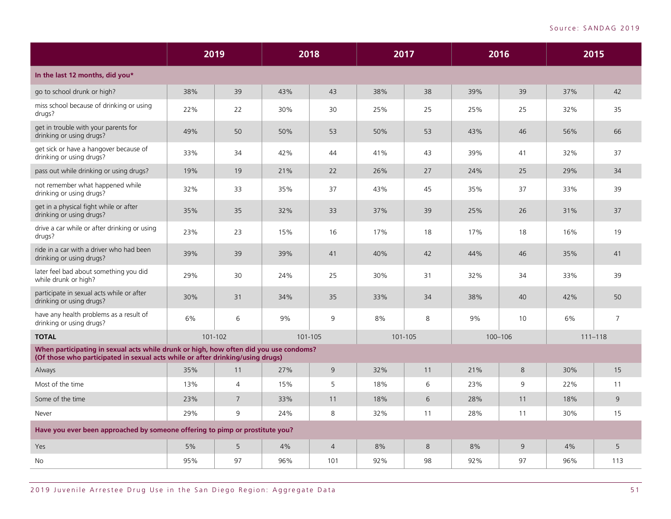|                                                                                                                                                                         | 2019 |                |     | 2018           | 2017    |    | 2016    |    | 2015 |                |
|-------------------------------------------------------------------------------------------------------------------------------------------------------------------------|------|----------------|-----|----------------|---------|----|---------|----|------|----------------|
| In the last 12 months, did you*                                                                                                                                         |      |                |     |                |         |    |         |    |      |                |
| go to school drunk or high?                                                                                                                                             | 38%  | 39             | 43% | 43             | 38%     | 38 | 39%     | 39 | 37%  | 42             |
| miss school because of drinking or using<br>drugs?                                                                                                                      | 22%  | 22             | 30% | 30             | 25%     | 25 | 25%     | 25 | 32%  | 35             |
| get in trouble with your parents for<br>drinking or using drugs?                                                                                                        | 49%  | 50             | 50% | 53             | 50%     | 53 | 43%     | 46 | 56%  | 66             |
| get sick or have a hangover because of<br>drinking or using drugs?                                                                                                      | 33%  | 34             | 42% | 44             | 41%     | 43 | 39%     | 41 | 32%  | 37             |
| pass out while drinking or using drugs?                                                                                                                                 | 19%  | 19             | 21% | 22             | 26%     | 27 | 24%     | 25 | 29%  | 34             |
| not remember what happened while<br>drinking or using drugs?                                                                                                            | 32%  | 33             | 35% | 37             | 43%     | 45 | 35%     | 37 | 33%  | 39             |
| get in a physical fight while or after<br>drinking or using drugs?                                                                                                      | 35%  | 35             | 32% | 33             | 37%     | 39 | 25%     | 26 | 31%  | 37             |
| drive a car while or after drinking or using<br>drugs?                                                                                                                  | 23%  | 23             | 15% | 16             | 17%     | 18 | 17%     | 18 | 16%  | 19             |
| ride in a car with a driver who had been<br>drinking or using drugs?                                                                                                    | 39%  | 39             | 39% | 41             | 40%     | 42 | 44%     | 46 | 35%  | 41             |
| later feel bad about something you did<br>while drunk or high?                                                                                                          | 29%  | 30             | 24% | 25             | 30%     | 31 | 32%     | 34 | 33%  | 39             |
| participate in sexual acts while or after<br>drinking or using drugs?                                                                                                   | 30%  | 31             | 34% | 35             | 33%     | 34 | 38%     | 40 | 42%  | 50             |
| have any health problems as a result of<br>drinking or using drugs?                                                                                                     | 6%   | 6              | 9%  | 9              | 8%      | 8  | 9%      | 10 | 6%   | $\overline{7}$ |
| <b>TOTAL</b>                                                                                                                                                            |      | 101-102        |     | 101-105        | 101-105 |    | 100-106 |    |      | $111 - 118$    |
| When participating in sexual acts while drunk or high, how often did you use condoms?<br>(Of those who participated in sexual acts while or after drinking/using drugs) |      |                |     |                |         |    |         |    |      |                |
| Always                                                                                                                                                                  | 35%  | 11             | 27% | 9              | 32%     | 11 | 21%     | 8  | 30%  | 15             |
| Most of the time                                                                                                                                                        | 13%  | $\overline{4}$ | 15% | 5              | 18%     | 6  | 23%     | 9  | 22%  | 11             |
| Some of the time                                                                                                                                                        | 23%  | $\overline{7}$ | 33% | 11             | 18%     | 6  | 28%     | 11 | 18%  | 9              |
| Never                                                                                                                                                                   | 29%  | 9              | 24% | 8              | 32%     | 11 | 28%     | 11 | 30%  | 15             |
| Have you ever been approached by someone offering to pimp or prostitute you?                                                                                            |      |                |     |                |         |    |         |    |      |                |
| Yes                                                                                                                                                                     | 5%   | 5              | 4%  | $\overline{4}$ | 8%      | 8  | 8%      | 9  | 4%   | 5              |
| No                                                                                                                                                                      | 95%  | 97             | 96% | 101            | 92%     | 98 | 92%     | 97 | 96%  | 113            |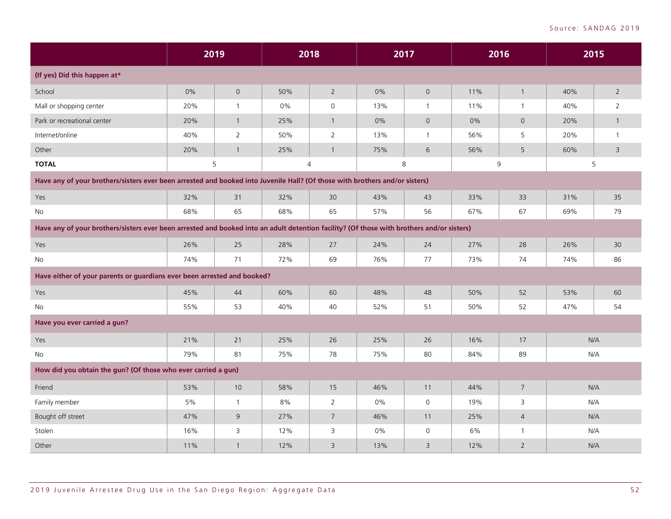|                                                                                                                                           |       | 2019           |     | 2018            |     | 2017                |     | 2016           |     | 2015           |  |
|-------------------------------------------------------------------------------------------------------------------------------------------|-------|----------------|-----|-----------------|-----|---------------------|-----|----------------|-----|----------------|--|
| (If yes) Did this happen at*                                                                                                              |       |                |     |                 |     |                     |     |                |     |                |  |
| School                                                                                                                                    | $0\%$ | $\mathsf{O}$   | 50% | $\overline{2}$  | 0%  | $\mathsf{O}\xspace$ | 11% | $\mathbf{1}$   | 40% | $\overline{2}$ |  |
| Mall or shopping center                                                                                                                   | 20%   | $\mathbf{1}$   | 0%  | $\mathsf{O}$    | 13% | $\mathbf{1}$        | 11% | $\mathbf{1}$   | 40% | 2              |  |
| Park or recreational center                                                                                                               | 20%   | $\mathbf{1}$   | 25% | $\mathbf{1}$    | 0%  | $\mathsf{O}$        | 0%  | $\overline{0}$ | 20% | $\mathbf{1}$   |  |
| Internet/online                                                                                                                           | 40%   | $\overline{2}$ | 50% | $\overline{2}$  | 13% | $\mathbf{1}$        | 56% | 5              | 20% | $\mathbf{1}$   |  |
| Other                                                                                                                                     | 20%   | $\mathbf{1}$   | 25% | $\mathbf{1}$    | 75% | $6\phantom{1}6$     | 56% | 5              | 60% | 3              |  |
| <b>TOTAL</b>                                                                                                                              |       | 5              |     | $\overline{4}$  |     | $\,8\,$             |     | 9              |     | 5              |  |
| Have any of your brothers/sisters ever been arrested and booked into Juvenile Hall? (Of those with brothers and/or sisters)               |       |                |     |                 |     |                     |     |                |     |                |  |
| Yes                                                                                                                                       | 32%   | 31             | 32% | 30              | 43% | 43                  | 33% | 33             | 31% | 35             |  |
| No                                                                                                                                        | 68%   | 65             | 68% | 65              | 57% | 56                  | 67% | 67             | 69% | 79             |  |
| Have any of your brothers/sisters ever been arrested and booked into an adult detention facility? (Of those with brothers and/or sisters) |       |                |     |                 |     |                     |     |                |     |                |  |
| Yes                                                                                                                                       | 26%   | 25             | 28% | 27              | 24% | 24                  | 27% | 28             | 26% | 30             |  |
| No                                                                                                                                        | 74%   | 71             | 72% | 69              | 76% | 77                  | 73% | 74             | 74% | 86             |  |
| Have either of your parents or guardians ever been arrested and booked?                                                                   |       |                |     |                 |     |                     |     |                |     |                |  |
| Yes                                                                                                                                       | 45%   | 44             | 60% | 60              | 48% | 48                  | 50% | 52             | 53% | 60             |  |
| No                                                                                                                                        | 55%   | 53             | 40% | 40              | 52% | 51                  | 50% | 52             | 47% | 54             |  |
| Have you ever carried a gun?                                                                                                              |       |                |     |                 |     |                     |     |                |     |                |  |
| Yes                                                                                                                                       | 21%   | $21$           | 25% | 26              | 25% | 26                  | 16% | $17$           |     | N/A            |  |
| No                                                                                                                                        | 79%   | 81             | 75% | 78              | 75% | 80                  | 84% | 89             |     | N/A            |  |
| How did you obtain the gun? (Of those who ever carried a gun)                                                                             |       |                |     |                 |     |                     |     |                |     |                |  |
| Friend                                                                                                                                    | 53%   | 10             | 58% | 15              | 46% | 11                  | 44% | $\overline{7}$ |     | N/A            |  |
| Family member                                                                                                                             | 5%    | $\mathbf{1}$   | 8%  | $\overline{2}$  | 0%  | $\mathbf 0$         | 19% | 3              |     | N/A            |  |
| Bought off street                                                                                                                         | 47%   | $\mathsf 9$    | 27% | $7\overline{ }$ | 46% | 11                  | 25% | $\overline{4}$ |     | N/A            |  |
| Stolen                                                                                                                                    | 16%   | 3              | 12% | 3               | 0%  | $\mathbf 0$         | 6%  | $\mathbf{1}$   |     | N/A            |  |
| Other                                                                                                                                     | 11%   | $\mathbf{1}$   | 12% | 3               | 13% | 3                   | 12% | $\overline{2}$ |     | N/A            |  |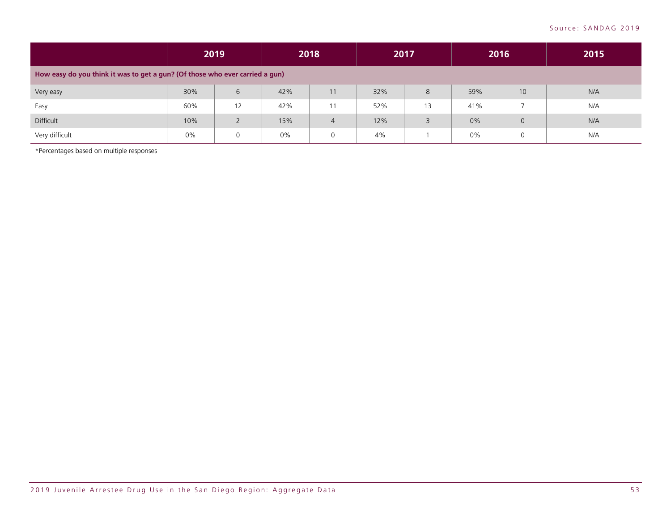|                                                                              | 2019  |             | 2018 |                | 2017 |    | 2016 |                | 2015 |  |
|------------------------------------------------------------------------------|-------|-------------|------|----------------|------|----|------|----------------|------|--|
| How easy do you think it was to get a gun? (Of those who ever carried a gun) |       |             |      |                |      |    |      |                |      |  |
| Very easy                                                                    | 30%   | 6           | 42%  | 11             | 32%  | 8  | 59%  | 10             | N/A  |  |
| Easy                                                                         | 60%   | 12          | 42%  |                | 52%  | 13 | 41%  |                | N/A  |  |
| Difficult                                                                    | 10%   |             | 15%  | $\overline{4}$ | 12%  | 3  | 0%   | $\overline{0}$ | N/A  |  |
| Very difficult                                                               | $0\%$ | $\mathbf 0$ | 0%   | 0              | 4%   |    | 0%   | 0              | N/A  |  |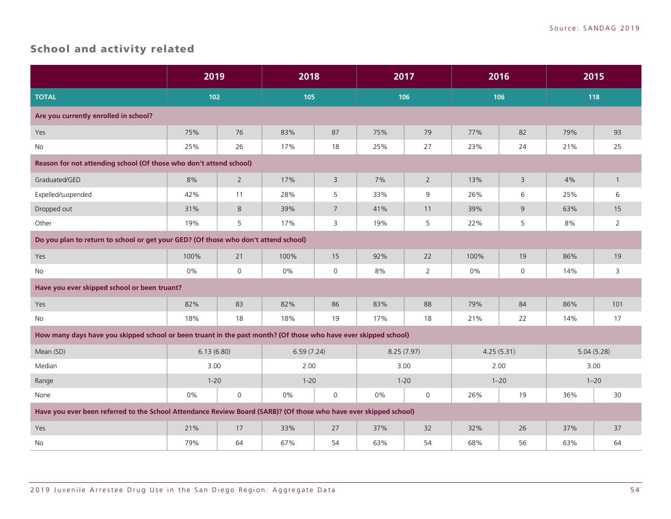# <span id="page-55-0"></span>School and activity related

|                                                                                                                   |            | 2019<br>2018   |            |                | 2017     |                | 2016     |                |     | 2015           |  |
|-------------------------------------------------------------------------------------------------------------------|------------|----------------|------------|----------------|----------|----------------|----------|----------------|-----|----------------|--|
| <b>TOTAL</b>                                                                                                      | 102        |                | 105        |                | 106      |                |          | 106            | 118 |                |  |
| Are you currently enrolled in school?                                                                             |            |                |            |                |          |                |          |                |     |                |  |
| Yes                                                                                                               | 75%        | 76             | 83%        | 87             | 75%      | 79             | 77%      | 82             | 79% | 93             |  |
| No                                                                                                                | 25%        | 26             | 17%        | 18             | 25%      | 27             | 23%      | 24             | 21% | 25             |  |
| Reason for not attending school (Of those who don't attend school)                                                |            |                |            |                |          |                |          |                |     |                |  |
| Graduated/GED                                                                                                     | 8%         | $\overline{2}$ | 17%        | $\overline{3}$ | 7%       | $\overline{2}$ | 13%      | $\overline{3}$ | 4%  | $\mathbf{1}$   |  |
| Expelled/suspended                                                                                                | 42%        | 11             | 28%        | 5              | 33%      | 9              | 26%      | 6              | 25% | 6              |  |
| Dropped out                                                                                                       | 31%        | 8              | 39%        | $\overline{7}$ | 41%      | 11             | 39%      | $\overline{9}$ | 63% | 15             |  |
| Other                                                                                                             | 19%        | 5              | 17%        | 3              | 19%      | 5              | 22%      | 5              | 8%  | $\overline{2}$ |  |
| Do you plan to return to school or get your GED? (Of those who don't attend school)                               |            |                |            |                |          |                |          |                |     |                |  |
| Yes                                                                                                               | 100%       | 21             | 100%       | 15             | 92%      | 22             | 100%     | 19             | 86% | 19             |  |
| No                                                                                                                | 0%         | $\mathsf{O}$   | 0%         | $\mathsf{O}$   | 8%       | $\overline{2}$ | 0%       | 0              | 14% | 3              |  |
| Have you ever skipped school or been truant?                                                                      |            |                |            |                |          |                |          |                |     |                |  |
| Yes                                                                                                               | 82%        | 83             | 82%        | 86             | 83%      | 88             | 79%      | 84             | 86% | 101            |  |
| No                                                                                                                | 18%        | 18             | 18%        | 19             | 17%      | 18             | 21%      | 22             | 14% | 17             |  |
| How many days have you skipped school or been truant in the past month? (Of those who have ever skipped school)   |            |                |            |                |          |                |          |                |     |                |  |
| Mean (SD)                                                                                                         | 6.13(6.80) |                | 6.59(7.24) |                |          | 8.25(7.97)     |          | 4.25(5.31)     |     | 5.04(5.28)     |  |
| Median                                                                                                            | 3.00       |                | 2.00       |                | 3.00     |                | 2.00     |                |     | 3.00           |  |
| Range                                                                                                             | $1 - 20$   |                | $1 - 20$   |                | $1 - 20$ |                | $1 - 20$ |                |     | $1 - 20$       |  |
| None                                                                                                              | 0%         | $\mathsf{O}$   | 0%         | $\mathbf 0$    | $0\%$    | $\mathbf 0$    | 26%      | 19             | 36% | 30             |  |
| Have you ever been referred to the School Attendance Review Board (SARB)? (Of those who have ever skipped school) |            |                |            |                |          |                |          |                |     |                |  |
| Yes                                                                                                               | 21%        | 17             | 33%        | 27             | 37%      | 32             | 32%      | 26             | 37% | 37             |  |
| <b>No</b>                                                                                                         | 79%        | 64             | 67%        | 54             | 63%      | 54             | 68%      | 56             | 63% | 64             |  |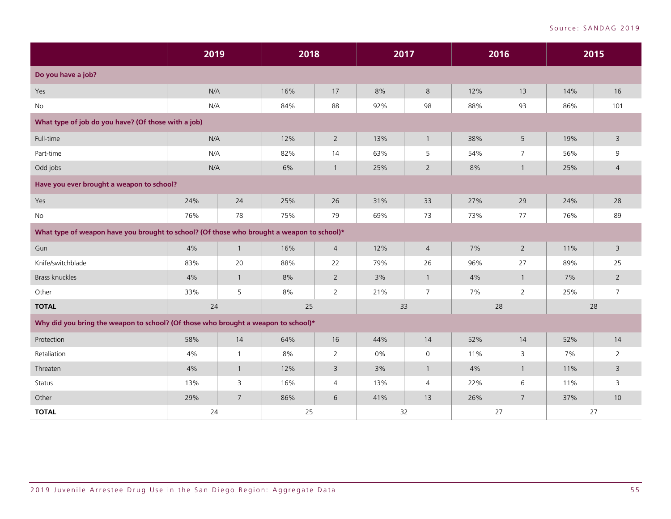|                                                                                            | 2019 |                | 2018 |                | 2017 |                | 2016 |                 |     | 2015           |  |
|--------------------------------------------------------------------------------------------|------|----------------|------|----------------|------|----------------|------|-----------------|-----|----------------|--|
| Do you have a job?                                                                         |      |                |      |                |      |                |      |                 |     |                |  |
| Yes                                                                                        | N/A  |                | 16%  | $17\,$         | 8%   | 8              | 12%  | 13              | 14% | 16             |  |
| <b>No</b>                                                                                  |      | N/A            |      | 88             | 92%  | 98             | 88%  | 93              | 86% | 101            |  |
| What type of job do you have? (Of those with a job)                                        |      |                |      |                |      |                |      |                 |     |                |  |
| Full-time                                                                                  | N/A  |                | 12%  | $\overline{2}$ | 13%  | $\mathbf{1}$   | 38%  | 5               | 19% | 3              |  |
| Part-time                                                                                  | N/A  |                | 82%  | 14             | 63%  | 5              | 54%  | $\overline{7}$  | 56% | 9              |  |
| Odd jobs                                                                                   | N/A  |                | 6%   | $\mathbf{1}$   | 25%  | $\overline{2}$ | 8%   | $\mathbf{1}$    | 25% | $\overline{4}$ |  |
| Have you ever brought a weapon to school?                                                  |      |                |      |                |      |                |      |                 |     |                |  |
| Yes                                                                                        | 24%  | 24             | 25%  | 26             | 31%  | 33             | 27%  | 29              | 24% | 28             |  |
| <b>No</b>                                                                                  | 76%  | 78             | 75%  | 79             | 69%  | 73             | 73%  | $77 \,$         | 76% | 89             |  |
| What type of weapon have you brought to school? (Of those who brought a weapon to school)* |      |                |      |                |      |                |      |                 |     |                |  |
| Gun                                                                                        | 4%   | $\mathbf{1}$   | 16%  | $\overline{4}$ | 12%  | $\overline{4}$ | 7%   | $\overline{2}$  | 11% | 3              |  |
| Knife/switchblade                                                                          | 83%  | 20             | 88%  | 22             | 79%  | 26             | 96%  | 27              | 89% | 25             |  |
| Brass knuckles                                                                             | 4%   | $\mathbf{1}$   | 8%   | $\overline{2}$ | 3%   | $\mathbf{1}$   | 4%   | $\mathbf{1}$    | 7%  | $2^{\circ}$    |  |
| Other                                                                                      | 33%  | 5              | 8%   | $\overline{2}$ | 21%  | $\overline{7}$ | 7%   | $\overline{2}$  | 25% | $\overline{7}$ |  |
| <b>TOTAL</b>                                                                               | 24   |                | 25   |                | 33   |                | 28   |                 | 28  |                |  |
| Why did you bring the weapon to school? (Of those who brought a weapon to school)*         |      |                |      |                |      |                |      |                 |     |                |  |
| Protection                                                                                 | 58%  | 14             | 64%  | 16             | 44%  | 14             | 52%  | 14              | 52% | 14             |  |
| Retaliation                                                                                | 4%   | $\mathbf{1}$   | 8%   | $\overline{2}$ | 0%   | $\mathsf{O}$   | 11%  | 3               | 7%  | $\overline{2}$ |  |
| Threaten                                                                                   | 4%   | $\mathbf{1}$   | 12%  | $\overline{3}$ | 3%   | $\mathbf{1}$   | 4%   | $\mathbf{1}$    | 11% | $\overline{3}$ |  |
| Status                                                                                     | 13%  | 3              | 16%  | $\overline{4}$ | 13%  | $\overline{4}$ | 22%  | 6               | 11% | 3              |  |
| Other                                                                                      | 29%  | $\overline{7}$ | 86%  | 6              | 41%  | 13             | 26%  | $7\overline{ }$ | 37% | 10             |  |
| <b>TOTAL</b>                                                                               | 24   |                | 25   |                | 32   |                | 27   |                 | 27  |                |  |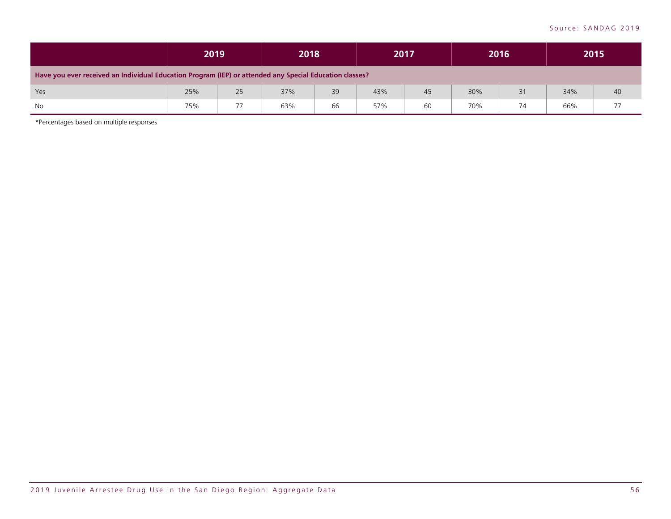|                                                                                                         | 2019 |    | 2018 |    |     | 2017 |     | 2016 |     | 2015 |
|---------------------------------------------------------------------------------------------------------|------|----|------|----|-----|------|-----|------|-----|------|
| Have you ever received an Individual Education Program (IEP) or attended any Special Education classes? |      |    |      |    |     |      |     |      |     |      |
| Yes                                                                                                     | 25%  | 25 | 37%  | 39 | 43% | 45   | 30% | 31   | 34% | 40   |
| No                                                                                                      | 75%  | 77 | 63%  | 66 | 57% | 60   | 70% | 74   | 66% | 77   |